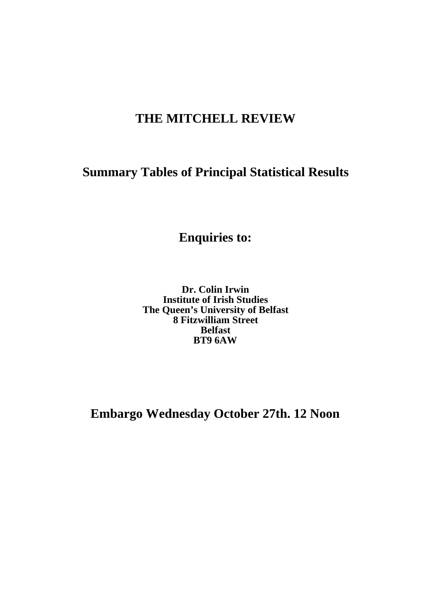# **THE MITCHELL REVIEW**

# **Summary Tables of Principal Statistical Results**

**Enquiries to:**

**Dr. Colin Irwin Institute of Irish Studies The Queen's University of Belfast 8 Fitzwilliam Street Belfast BT9 6AW**

**Embargo Wednesday October 27th. 12 Noon**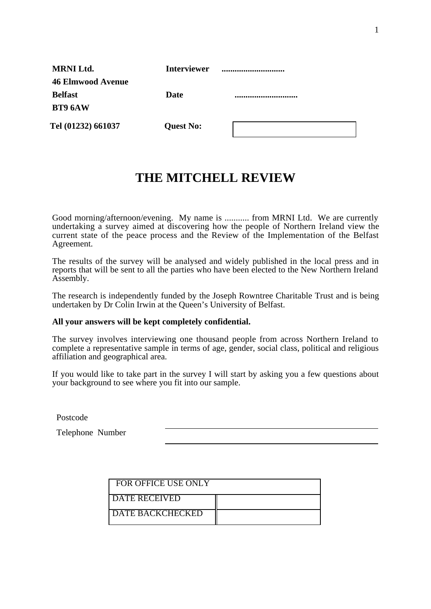| <b>MRNI Ltd.</b>         | <b>Interviewer</b> |  |
|--------------------------|--------------------|--|
| <b>46 Elmwood Avenue</b> |                    |  |
| <b>Belfast</b>           | Date               |  |
| <b>BT9 6AW</b>           |                    |  |
| Tel (01232) 661037       | <b>Quest No:</b>   |  |

# **THE MITCHELL REVIEW**

Good morning/afternoon/evening. My name is ........... from MRNI Ltd. We are currently undertaking a survey aimed at discovering how the people of Northern Ireland view the current state of the peace process and the Review of the Implementation of the Belfast Agreement.

The results of the survey will be analysed and widely published in the local press and in reports that will be sent to all the parties who have been elected to the New Northern Ireland Assembly.

The research is independently funded by the Joseph Rowntree Charitable Trust and is being undertaken by Dr Colin Irwin at the Queen's University of Belfast.

#### **All your answers will be kept completely confidential.**

The survey involves interviewing one thousand people from across Northern Ireland to complete a representative sample in terms of age, gender, social class, political and religious affiliation and geographical area.

If you would like to take part in the survey I will start by asking you a few questions about your background to see where you fit into our sample.

Postcode

Telephone Number

| FOR OFFICE USE ONLY       |  |
|---------------------------|--|
| <b>I DATE RECEIVED</b>    |  |
| <b>I DATE BACKCHECKED</b> |  |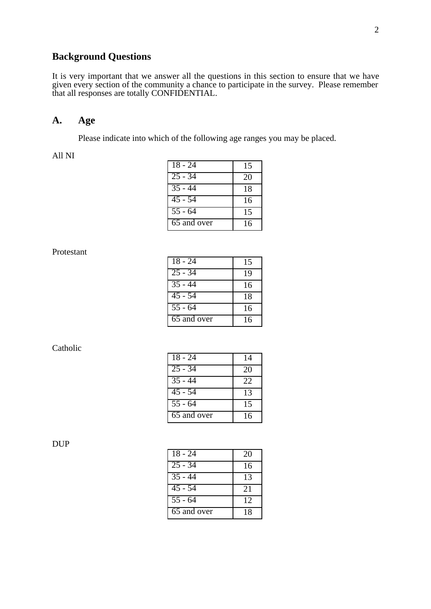### **Background Questions**

It is very important that we answer all the questions in this section to ensure that we have given every section of the community a chance to participate in the survey. Please remember that all responses are totally CONFIDENTIAL.

#### **A. Age**

Please indicate into which of the following age ranges you may be placed.

All NI

| $18 - 24$            | 15 |
|----------------------|----|
| $\overline{25 - 34}$ | 20 |
| $35 - 44$            | 18 |
| 45 - 54              | 16 |
| $\overline{5}5 - 64$ | 15 |
| 65 and over          | 16 |

Protestant

| $18 - 24$                | 15 |
|--------------------------|----|
| $25 - 34$                | 19 |
| $35 - 44$                | 16 |
| $45 - 54$                | 18 |
| $\overline{55}$ - 64     | 16 |
| $\overline{65}$ and over | 16 |

Catholic

| $18 - 24$            | 14 |
|----------------------|----|
| $25 - 34$            | 20 |
| $35 - 44$            | 22 |
| $45 - 54$            | 13 |
| $\overline{55}$ - 64 | 15 |
| 65 and over          | 16 |

DUP

| $18 - 24$            | 20 |
|----------------------|----|
| $\overline{25}$ - 34 | 16 |
| $\overline{35}$ - 44 | 13 |
| $\overline{45}$ - 54 | 21 |
| $\overline{5}5 - 64$ | 12 |
| 65 and over          | 18 |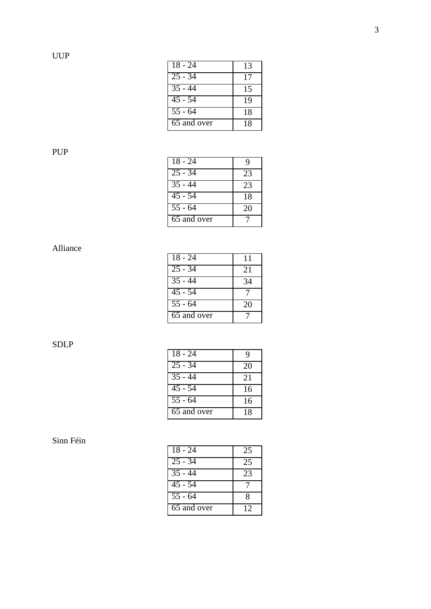| $18 - 24$            | 13 |
|----------------------|----|
| $25 - 34$            | 17 |
| $35 - 44$            | 15 |
| $\overline{45}$ - 54 | 19 |
| $55 - 64$            | 18 |
| 65 and over          | 18 |

# PUP

| $18 - 24$            | Q  |
|----------------------|----|
| $\overline{25}$ - 34 | 23 |
| $\overline{35}$ - 44 | 23 |
| $\overline{45}$ - 54 | 18 |
| $\overline{55}$ - 64 | 20 |
| 65 and over          |    |

### Alliance

| $18 - 24$            | 11 |
|----------------------|----|
| $25 - 34$            | 21 |
| $35 - 44$            | 34 |
| $\overline{45}$ - 54 |    |
| $\overline{55}$ - 64 | 20 |
| 65 and over          |    |

SDLP

| $18 - 24$            | 9  |
|----------------------|----|
| $25 - 34$            | 20 |
| $\overline{35 - 44}$ | 21 |
| $\overline{45}$ - 54 | 16 |
| $\overline{55}$ - 64 | 16 |
| 65 and over          | 18 |

| $18 - 24$            | 25 |
|----------------------|----|
| $25 - 34$            | 25 |
| $\overline{35}$ - 44 | 23 |
| $\overline{45}$ - 54 |    |
| $55 - 64$            | 8  |
| 65 and over          | 12 |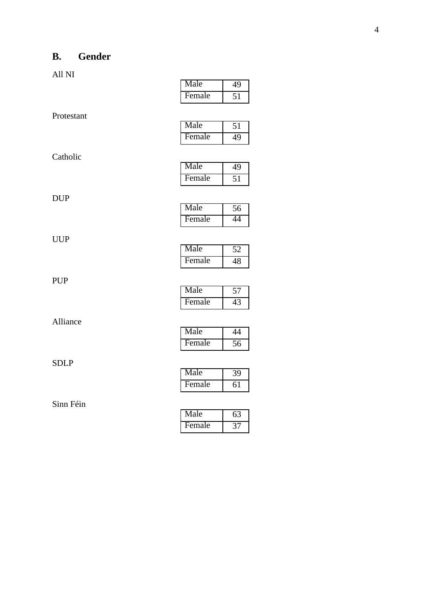# **B. Gender**

|             | Female | 51              |
|-------------|--------|-----------------|
| Protestant  |        |                 |
|             | Male   | $\overline{51}$ |
|             | Female | 49              |
| Catholic    |        |                 |
|             | Male   | 49              |
|             | Female | $\overline{51}$ |
| <b>DUP</b>  |        |                 |
|             | Male   | $\overline{56}$ |
|             | Female | 44              |
| <b>UUP</b>  |        |                 |
|             | Male   | 52              |
|             | Female | 48              |
| <b>PUP</b>  |        |                 |
|             | Male   | $\overline{57}$ |
|             | Female | 43              |
| Alliance    |        |                 |
|             | Male   | $\overline{44}$ |
|             | Female | $\overline{56}$ |
| <b>SDLP</b> |        |                 |
|             | Male   | $\overline{39}$ |
|             | Female | 61              |
| Sinn Féin   |        |                 |
|             | Male   | 63              |

| Male   | 49 |
|--------|----|
| Female |    |
|        |    |

| Male   |  |
|--------|--|
| Female |  |
|        |  |

| Male   |  |
|--------|--|
| Female |  |

| Male   |  |
|--------|--|
| Female |  |

| Male   |  |
|--------|--|
| Female |  |

| Male   |  |
|--------|--|
| Female |  |

| Male   |  |
|--------|--|
| Female |  |

| Male   |              |
|--------|--------------|
| Female | <sub>n</sub> |

| Male   |  |
|--------|--|
| Female |  |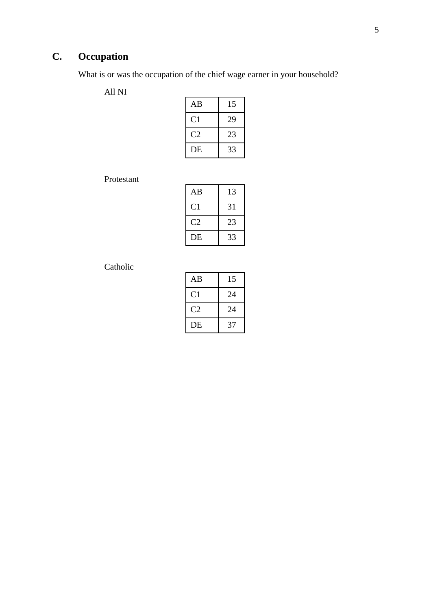# **C. Occupation**

What is or was the occupation of the chief wage earner in your household?

All NI

| AΒ | 15 |
|----|----|
| C1 | 29 |
| C2 | 23 |
| DE | 33 |

Protestant

| AB | 13 |
|----|----|
| C1 | 31 |
| C2 | 23 |
| DE | 33 |

| AB       | 15 |
|----------|----|
| C1       | 24 |
| $\alpha$ | 24 |
| DE       | 37 |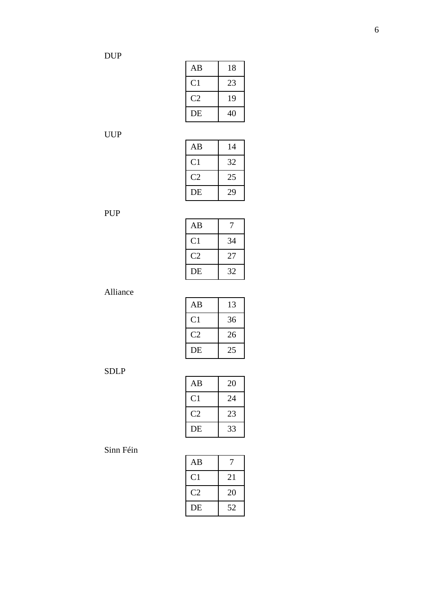| AB             | 18 |
|----------------|----|
| C <sub>1</sub> | 23 |
| C2             | 19 |
| DE             | 40 |

UUP

| AB             | 14 |
|----------------|----|
| C <sub>1</sub> | 32 |
| C2             | 25 |
| DE             | 29 |

# PUP

| AB                     |    |
|------------------------|----|
| C1                     | 34 |
| $\mathcal{C}^{\prime}$ | 27 |
| DE                     | 32 |

Alliance

| AΒ   | 13 |
|------|----|
| C 1  | 36 |
| C '2 | 26 |
| DE   | 25 |

SDLP

| AВ       | 20 |
|----------|----|
| C1       | 24 |
| $\alpha$ | 23 |
| DE       | 33 |

| AB |    |
|----|----|
| C1 | 21 |
| C2 | 20 |
| DE | 52 |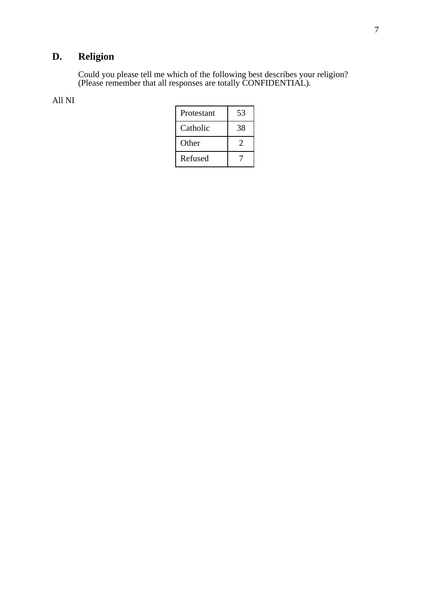# **D. Religion**

Could you please tell me which of the following best describes your religion? (Please remember that all responses are totally CONFIDENTIAL).

| Protestant | 53 |
|------------|----|
| Catholic   | 38 |
| Other      |    |
| Refused    |    |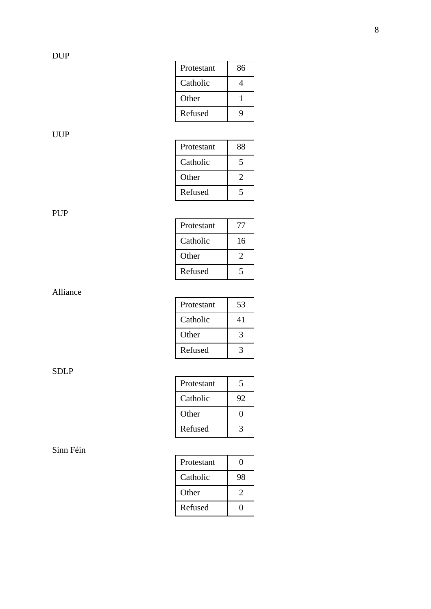| Protestant | 86 |
|------------|----|
| Catholic   | 4  |
| Other      |    |
| Refused    | Q, |

UUP

| Protestant | 88 |
|------------|----|
| Catholic   | 5  |
| Other      | 2  |
| Refused    |    |

PUP

| Protestant |    |
|------------|----|
| Catholic   | 16 |
| Other      | 2  |
| Refused    |    |

Alliance

| Protestant | 53 |
|------------|----|
| Catholic   | 41 |
| Other      |    |
| Refused    |    |

SDLP

| Protestant |    |
|------------|----|
| Catholic   | 92 |
| Other      | ш  |
| Refused    |    |

| Protestant |    |
|------------|----|
| Catholic   | 98 |
| Other      | 2  |
| Refused    |    |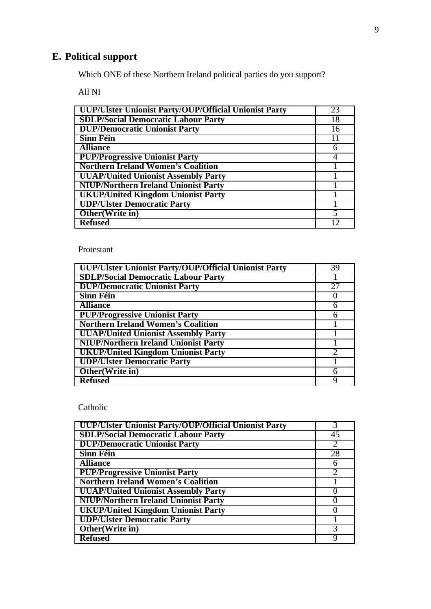# **E. Political support**

Which ONE of these Northern Ireland political parties do you support?

All NI

| <b>UUP/Ulster Unionist Party/OUP/Official Unionist Party</b> | 23 |
|--------------------------------------------------------------|----|
| <b>SDLP/Social Democratic Labour Party</b>                   | 18 |
| <b>DUP/Democratic Unionist Party</b>                         | 16 |
| <b>Sinn Féin</b>                                             | 11 |
| <b>Alliance</b>                                              | 6  |
| <b>PUP/Progressive Unionist Party</b>                        |    |
| <b>Northern Ireland Women's Coalition</b>                    |    |
| <b>UUAP/United Unionist Assembly Party</b>                   |    |
| <b>NIUP/Northern Ireland Unionist Party</b>                  |    |
| <b>UKUP/United Kingdom Unionist Party</b>                    |    |
| <b>UDP/Ulster Democratic Party</b>                           |    |
| Other(Write in)                                              |    |
| <b>Refused</b>                                               |    |

#### Protestant

| UUP/Ulster Unionist Party/OUP/Official Unionist Party | 39 |
|-------------------------------------------------------|----|
| <b>SDLP/Social Democratic Labour Party</b>            |    |
| <b>DUP/Democratic Unionist Party</b>                  | 27 |
| <b>Sinn Féin</b>                                      |    |
| <b>Alliance</b>                                       | 6  |
| <b>PUP/Progressive Unionist Party</b>                 | 6  |
| <b>Northern Ireland Women's Coalition</b>             |    |
| <b>UUAP/United Unionist Assembly Party</b>            |    |
| <b>NIUP/Northern Ireland Unionist Party</b>           |    |
| <b>UKUP/United Kingdom Unionist Party</b>             |    |
| <b>UDP/Ulster Democratic Party</b>                    |    |
| Other(Write in)                                       | 6  |
| <b>Refused</b>                                        |    |

| UUP/Ulster Unionist Party/OUP/Official Unionist Party |    |
|-------------------------------------------------------|----|
| <b>SDLP/Social Democratic Labour Party</b>            | 45 |
| <b>DUP/Democratic Unionist Party</b>                  |    |
| <b>Sinn Féin</b>                                      | 28 |
| <b>Alliance</b>                                       |    |
| <b>PUP/Progressive Unionist Party</b>                 |    |
| <b>Northern Ireland Women's Coalition</b>             |    |
| <b>UUAP/United Unionist Assembly Party</b>            |    |
| <b>NIUP/Northern Ireland Unionist Party</b>           |    |
| <b>UKUP/United Kingdom Unionist Party</b>             |    |
| <b>UDP/Ulster Democratic Party</b>                    |    |
| Other(Write in)                                       |    |
| <b>Refused</b>                                        |    |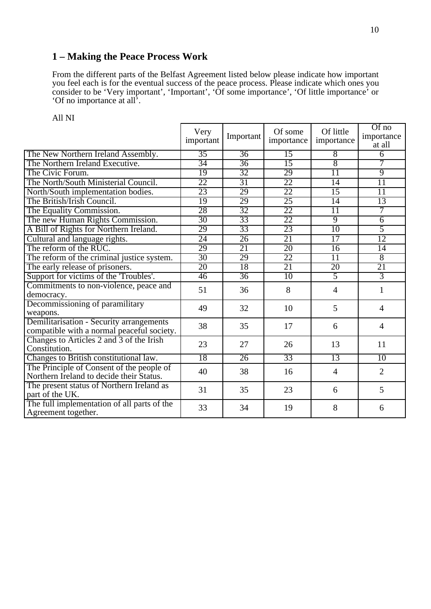### **1 – Making the Peace Process Work**

From the different parts of the Belfast Agreement listed below please indicate how important you feel each is for the eventual success of the peace process. Please indicate which ones you consider to be 'Very important', 'Important', 'Of some importance', 'Of little importance' or 'Of no importance at all'.

|                                                                                        | Very<br>important | Important       | Of some<br>importance | Of little<br>importance | Of no<br>importance<br>at all |
|----------------------------------------------------------------------------------------|-------------------|-----------------|-----------------------|-------------------------|-------------------------------|
| The New Northern Ireland Assembly.                                                     | 35                | 36              | $\overline{15}$       | $\overline{8}$          | $\overline{6}$                |
| The Northern Ireland Executive.                                                        | 34                | $\overline{36}$ | 15                    | $\overline{8}$          | 7                             |
| The Civic Forum.                                                                       | 19                | 32              | 29                    | $\overline{11}$         | $\overline{9}$                |
| The North/South Ministerial Council.                                                   | 22                | 31              | 22                    | $\overline{14}$         | 11                            |
| North/South implementation bodies.                                                     | 23                | 29              | $\overline{22}$       | 15                      | $\overline{11}$               |
| The British/Irish Council.                                                             | 19                | 29              | 25                    | 14                      | 13                            |
| The Equality Commission.                                                               | 28                | 32              | $\overline{22}$       | $\overline{11}$         | 7                             |
| The new Human Rights Commission.                                                       | 30                | 33              | 22                    | $\overline{9}$          | $\overline{6}$                |
| A Bill of Rights for Northern Ireland.                                                 | 29                | 33              | 23                    | 10                      | 5                             |
| Cultural and language rights.                                                          | 24                | 26              | 21                    | $\overline{17}$         | 12                            |
| The reform of the RUC.                                                                 | 29                | 21              | 20                    | 16                      | $\overline{14}$               |
| The reform of the criminal justice system.                                             | $\overline{30}$   | 29              | 22                    | $\overline{11}$         | $\overline{8}$                |
| The early release of prisoners.                                                        | 20                | 18              | 21                    | 20                      | 21                            |
| Support for victims of the 'Troubles'.                                                 | $\overline{46}$   | 36              | 10                    | $\overline{5}$          | $\overline{3}$                |
| Commitments to non-violence, peace and<br>democracy.                                   | 51                | 36              | 8                     | $\overline{4}$          | $\mathbf{1}$                  |
| Decommissioning of paramilitary<br>weapons.                                            | 49                | 32              | 10                    | 5                       | $\overline{4}$                |
| Demilitarisation - Security arrangements<br>compatible with a normal peaceful society. | 38                | 35              | 17                    | 6                       | $\overline{4}$                |
| Changes to Articles 2 and 3 of the Irish<br>Constitution.                              | 23                | 27              | 26                    | 13                      | 11                            |
| Changes to British constitutional law.                                                 | 18                | 26              | 33                    | 13                      | 10                            |
| The Principle of Consent of the people of<br>Northern Ireland to decide their Status.  | 40                | 38              | 16                    | $\overline{4}$          | $\overline{2}$                |
| The present status of Northern Ireland as<br>part of the UK.                           | 31                | 35              | 23                    | 6                       | 5                             |
| The full implementation of all parts of the<br>Agreement together.                     | 33                | 34              | 19                    | 8                       | 6                             |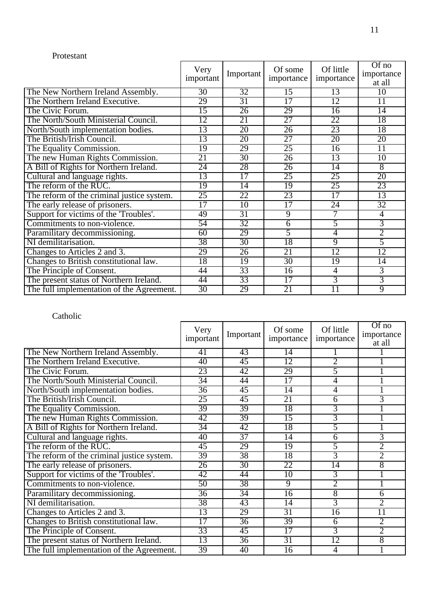#### Protestant

|                                            | Very<br>important | Important       | Of some<br>importance | Of little<br>importance | Of no<br>importance<br>at all |
|--------------------------------------------|-------------------|-----------------|-----------------------|-------------------------|-------------------------------|
| The New Northern Ireland Assembly.         | 30                | 32              | 15                    | 13                      | 10                            |
| The Northern Ireland Executive.            | 29                | 31              | $\overline{17}$       | $\overline{12}$         | 11                            |
| The Civic Forum.                           | $\overline{15}$   | $\overline{26}$ | 29                    | $\overline{16}$         | $\overline{14}$               |
| The North/South Ministerial Council.       | 12                | 21              | 27                    | 22                      | 18                            |
| North/South implementation bodies.         | 13                | 20              | $\overline{26}$       | 23                      | 18                            |
| The British/Irish Council.                 | 13                | 20              | 27                    | 20                      | 20                            |
| The Equality Commission.                   | 19                | 29              | 25                    | 16                      | $\overline{11}$               |
| The new Human Rights Commission.           | 21                | 30              | $\overline{26}$       | 13                      | 10                            |
| A Bill of Rights for Northern Ireland.     | $\overline{24}$   | 28              | $\overline{26}$       | 14                      | $\overline{8}$                |
| Cultural and language rights.              | 13                | $\overline{17}$ | 25                    | 25                      | 20                            |
| The reform of the RUC.                     | 19                | 14              | 19                    | 25                      | 23                            |
| The reform of the criminal justice system. | 25                | 22              | 23                    | $\overline{17}$         | 13                            |
| The early release of prisoners.            | $\overline{17}$   | 10              | $\overline{17}$       | 24                      | 32                            |
| Support for victims of the 'Troubles'.     | 49                | $\overline{31}$ | $\overline{9}$        | 7                       | $\overline{4}$                |
| Commitments to non-violence.               | 54                | 32              | $\overline{6}$        | 5                       | $\overline{3}$                |
| Paramilitary decommissioning.              | 60                | 29              | $\overline{5}$        | 4                       | $\overline{2}$                |
| NI demilitarisation.                       | 38                | $\overline{30}$ | 18                    | $\overline{9}$          | 5                             |
| Changes to Articles 2 and 3.               | 29                | $\overline{26}$ | 21                    | $\overline{12}$         | $\overline{12}$               |
| Changes to British constitutional law.     | 18                | 19              | $\overline{30}$       | $\overline{19}$         | $\overline{14}$               |
| The Principle of Consent.                  | 44                | 33              | $\overline{16}$       | $\overline{4}$          | $\overline{3}$                |
| The present status of Northern Ireland.    | 44                | 33              | 17                    | $\overline{3}$          | $\overline{3}$                |
| The full implementation of the Agreement.  | 30                | 29              | 21                    | 11                      | $\overline{9}$                |

|                                            | Very<br>important | Important       | Of some<br>importance | Of little<br>importance | Of no<br>importance<br>at all |
|--------------------------------------------|-------------------|-----------------|-----------------------|-------------------------|-------------------------------|
| The New Northern Ireland Assembly.         | 41                | 43              | 14                    |                         |                               |
| The Northern Ireland Executive.            | 40                | 45              | 12                    | 2                       |                               |
| The Civic Forum.                           | 23                | 42              | 29                    | 5                       |                               |
| The North/South Ministerial Council.       | 34                | 44              | $\overline{17}$       | 4                       |                               |
| North/South implementation bodies.         | 36                | 45              | 14                    | 4                       |                               |
| The British/Irish Council.                 | 25                | 45              | 21                    | 6                       | 3                             |
| The Equality Commission.                   | 39                | 39              | 18                    | 3                       |                               |
| The new Human Rights Commission.           | 42                | 39              | 15                    | 3                       |                               |
| A Bill of Rights for Northern Ireland.     | 34                | 42              | 18                    | 5                       |                               |
| Cultural and language rights.              | 40                | 37              | $\overline{14}$       | 6                       | 3                             |
| The reform of the RUC.                     | 45                | 29              | 19                    | 5                       | 2                             |
| The reform of the criminal justice system. | 39                | 38              | 18                    | $\overline{3}$          | $\overline{2}$                |
| The early release of prisoners.            | $\overline{26}$   | $\overline{30}$ | 22                    | $\overline{14}$         | $\overline{8}$                |
| Support for victims of the 'Troubles'.     | 42                | 44              | $\overline{10}$       | 3                       |                               |
| Commitments to non-violence.               | 50                | 38              | $\overline{9}$        | $\overline{2}$          |                               |
| Paramilitary decommissioning.              | $\overline{36}$   | 34              | 16                    | 8                       | $\overline{6}$                |
| NI demilitarisation.                       | 38                | 43              | 14                    | 3                       | $\overline{2}$                |
| Changes to Articles 2 and 3.               | 13                | 29              | 31                    | $\overline{16}$         | 11                            |
| Changes to British constitutional law.     | $\overline{17}$   | 36              | 39                    | 6                       | $\overline{2}$                |
| The Principle of Consent.                  | 33                | 45              | 17                    | $\overline{3}$          | $\overline{2}$                |
| The present status of Northern Ireland.    | 13                | $\overline{36}$ | 31                    | 12                      | $\overline{8}$                |
| The full implementation of the Agreement.  | 39                | 40              | 16                    | 4                       |                               |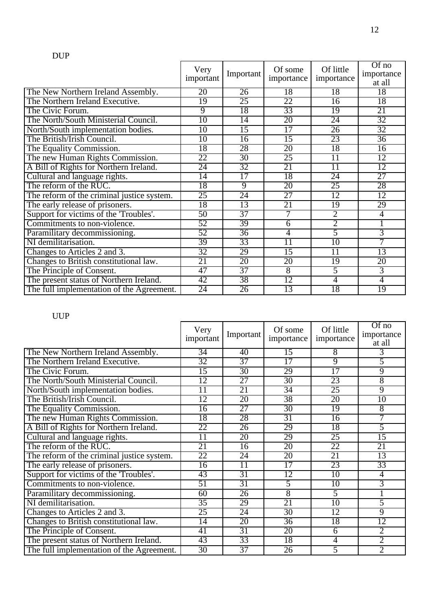|                                            | Very<br>important | Important       | Of some<br>importance | Of little<br>importance | Of no<br>importance<br>at all |
|--------------------------------------------|-------------------|-----------------|-----------------------|-------------------------|-------------------------------|
| The New Northern Ireland Assembly.         | 20                | 26              | 18                    | 18                      | 18                            |
| The Northern Ireland Executive.            | $\overline{19}$   | 25              | 22                    | $\overline{16}$         | 18                            |
| The Civic Forum.                           | $\overline{9}$    | 18              | 33                    | 19                      | 21                            |
| The North/South Ministerial Council.       | 10                | 14              | 20                    | 24                      | 32                            |
| North/South implementation bodies.         | 10                | $\overline{15}$ | $\overline{17}$       | $\overline{26}$         | 32                            |
| The British/Irish Council.                 | $\overline{10}$   | $\overline{16}$ | 15                    | 23                      | $\overline{36}$               |
| The Equality Commission.                   | 18                | 28              | 20                    | 18                      | 16                            |
| The new Human Rights Commission.           | 22                | 30              | 25                    | $\overline{11}$         | $\overline{12}$               |
| A Bill of Rights for Northern Ireland.     | 24                | 32              | 21                    | $\overline{11}$         | 12                            |
| Cultural and language rights.              | $\overline{14}$   | $\overline{17}$ | 18                    | 24                      | 27                            |
| The reform of the RUC.                     | 18                | $\overline{9}$  | 20                    | 25                      | 28                            |
| The reform of the criminal justice system. | 25                | 24              | $\overline{27}$       | $\overline{12}$         | 12                            |
| The early release of prisoners.            | 18                | 13              | 21                    | 19                      | 29                            |
| Support for victims of the 'Troubles'.     | 50                | 37              | 7                     | $\overline{2}$          | $\overline{4}$                |
| Commitments to non-violence.               | 52                | 39              | $\overline{6}$        | $\overline{2}$          | 1                             |
| Paramilitary decommissioning.              | 52                | 36              | $\overline{4}$        | 5                       | $\overline{3}$                |
| NI demilitarisation.                       | 39                | 33              | 11                    | $\overline{10}$         | 7                             |
| Changes to Articles 2 and 3.               | 32                | 29              | 15                    | $\overline{11}$         | 13                            |
| Changes to British constitutional law.     | 21                | 20              | 20                    | 19                      | 20                            |
| The Principle of Consent.                  | 47                | 37              | $\overline{8}$        | $\overline{5}$          | $\overline{3}$                |
| The present status of Northern Ireland.    | 42                | 38              | 12                    | 4                       | $\overline{4}$                |
| The full implementation of the Agreement.  | 24                | 26              | 13                    | 18                      | 19                            |

# UUP

|                                            | Very<br>important | Important       | Of some<br>importance | Of little<br>importance | $\overline{Of}$ no<br>importance<br>at all |
|--------------------------------------------|-------------------|-----------------|-----------------------|-------------------------|--------------------------------------------|
| The New Northern Ireland Assembly.         | $\overline{34}$   | 40              | 15                    | 8                       | 3                                          |
| The Northern Ireland Executive.            | 32                | 37              | 17                    | 9                       | 5                                          |
| The Civic Forum.                           | $\overline{15}$   | $\overline{30}$ | 29                    | $\overline{17}$         | 9                                          |
| The North/South Ministerial Council.       | 12                | 27              | $\overline{30}$       | 23                      | $\overline{8}$                             |
| North/South implementation bodies.         | $\overline{11}$   | 21              | 34                    | 25                      | 9                                          |
| The British/Irish Council.                 | 12                | 20              | 38                    | 20                      | $\overline{10}$                            |
| The Equality Commission.                   | $\overline{16}$   | 27              | $\overline{30}$       | $\overline{19}$         | $\overline{8}$                             |
| The new Human Rights Commission.           | 18                | 28              | 31                    | 16                      | 7                                          |
| A Bill of Rights for Northern Ireland.     | 22                | $\overline{26}$ | 29                    | 18                      | 5                                          |
| Cultural and language rights.              | $\overline{11}$   | 20              | 29                    | 25                      | $\overline{15}$                            |
| The reform of the RUC.                     | 21                | 16              | 20                    | 22                      | 21                                         |
| The reform of the criminal justice system. | 22                | 24              | 20                    | 21                      | 13                                         |
| The early release of prisoners.            | $\overline{16}$   | $\overline{11}$ | $\overline{17}$       | 23                      | 33                                         |
| Support for victims of the 'Troubles'.     | 43                | 31              | 12                    | 10                      | $\overline{4}$                             |
| Commitments to non-violence.               | 51                | 31              | 5                     | $\overline{10}$         | 3                                          |
| Paramilitary decommissioning.              | 60                | 26              | $\overline{8}$        | 5                       | ī                                          |
| NI demilitarisation.                       | 35                | 29              | 21                    | 10                      | 5                                          |
| Changes to Articles 2 and 3.               | 25                | 24              | 30                    | $\overline{12}$         | 9                                          |
| Changes to British constitutional law.     | $\overline{14}$   | 20              | 36                    | 18                      | $\overline{12}$                            |
| The Principle of Consent.                  | 41                | 31              | 20                    | 6                       | $\overline{2}$                             |
| The present status of Northern Ireland.    | 43                | 33              | 18                    | $\overline{4}$          | $\overline{2}$                             |
| The full implementation of the Agreement.  | 30                | 37              | $\overline{26}$       | 5                       | $\overline{2}$                             |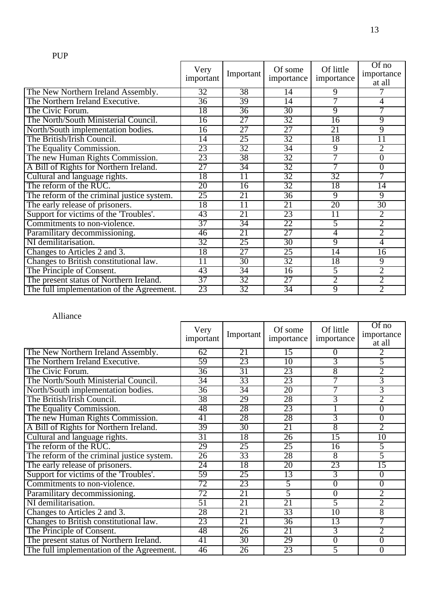|                                            | Very<br>important | Important       | Of some<br>importance | Of little<br>importance | $Of$ no<br>importance<br>at all |
|--------------------------------------------|-------------------|-----------------|-----------------------|-------------------------|---------------------------------|
| The New Northern Ireland Assembly.         | 32                | 38              | 14                    | 9                       |                                 |
| The Northern Ireland Executive.            | 36                | 39              | 14                    | 7                       | 4                               |
| The Civic Forum.                           | 18                | 36              | 30                    | $\overline{9}$          | $\overline{7}$                  |
| The North/South Ministerial Council.       | 16                | 27              | 32                    | 16                      | 9                               |
| North/South implementation bodies.         | $\overline{16}$   | 27              | 27                    | 21                      | $\overline{9}$                  |
| The British/Irish Council.                 | $\overline{14}$   | 25              | 32                    | 18                      | $\overline{11}$                 |
| The Equality Commission.                   | 23                | 32              | 34                    | 9                       | $\overline{2}$                  |
| The new Human Rights Commission.           | 23                | 38              | 32                    | 7                       | $\overline{0}$                  |
| A Bill of Rights for Northern Ireland.     | 27                | 34              | 32                    | 7                       | $\overline{0}$                  |
| Cultural and language rights.              | 18                | $\overline{11}$ | 32                    | 32                      | 7                               |
| The reform of the RUC.                     | 20                | $\overline{16}$ | 32                    | 18                      | $\overline{14}$                 |
| The reform of the criminal justice system. | 25                | 21              | 36                    | $\overline{9}$          | $\overline{9}$                  |
| The early release of prisoners.            | 18                | $\overline{11}$ | 21                    | 20                      | 30                              |
| Support for victims of the 'Troubles'.     | 43                | 21              | 23                    | $\overline{11}$         | $\overline{2}$                  |
| Commitments to non-violence.               | 37                | 34              | 22                    | 5                       | $\overline{2}$                  |
| Paramilitary decommissioning.              | 46                | 21              | $\overline{27}$       | 4                       | $\overline{2}$                  |
| NI demilitarisation.                       | 32                | 25              | 30                    | $\overline{9}$          | 4                               |
| Changes to Articles 2 and 3.               | 18                | $\overline{27}$ | 25                    | $\overline{14}$         | $\overline{16}$                 |
| Changes to British constitutional law.     | $\overline{11}$   | $\overline{30}$ | 32                    | 18                      | $\overline{9}$                  |
| The Principle of Consent.                  | 43                | 34              | $\overline{16}$       | 5                       | $\overline{2}$                  |
| The present status of Northern Ireland.    | $\overline{37}$   | 32              | $\overline{27}$       | $\overline{2}$          | $\overline{2}$                  |
| The full implementation of the Agreement.  | 23                | 32              | $\overline{34}$       | $\overline{9}$          | $\overline{2}$                  |

 $\mathbf{r}$ 

#### Alliance

|                                            | Very<br>important | Important       | Of some<br>importance | Of little<br>importance | Of no<br>importance<br>at all |
|--------------------------------------------|-------------------|-----------------|-----------------------|-------------------------|-------------------------------|
| The New Northern Ireland Assembly.         | 62                | 21              | 15                    | 0                       | 2                             |
| The Northern Ireland Executive.            | 59                | 23              | 10                    | $\overline{3}$          | 5                             |
| The Civic Forum.                           | $\overline{36}$   | $\overline{31}$ | 23                    | $\overline{8}$          | $\overline{2}$                |
| The North/South Ministerial Council.       | 34                | 33              | 23                    | 7                       | 3                             |
| North/South implementation bodies.         | 36                | 34              | 20                    |                         | 3                             |
| The British/Irish Council.                 | 38                | 29              | 28                    | $\overline{3}$          | $\overline{2}$                |
| The Equality Commission.                   | 48                | 28              | 23                    |                         | $\overline{0}$                |
| The new Human Rights Commission.           | 41                | 28              | 28                    | $\overline{3}$          | $\overline{0}$                |
| A Bill of Rights for Northern Ireland.     | 39                | 30              | 21                    | 8                       | $\overline{2}$                |
| Cultural and language rights.              | 31                | 18              | $\overline{26}$       | $\overline{15}$         | $\overline{10}$               |
| The reform of the RUC.                     | 29                | 25              | 25                    | 16                      | 5                             |
| The reform of the criminal justice system. | 26                | 33              | 28                    | 8                       | 5                             |
| The early release of prisoners.            | $\overline{24}$   | 18              | 20                    | 23                      | $\overline{15}$               |
| Support for victims of the 'Troubles'.     | 59                | 25              | 13                    | 3                       | $\overline{0}$                |
| Commitments to non-violence.               | 72                | 23              | $\overline{5}$        | $\overline{0}$          | $\overline{0}$                |
| Paramilitary decommissioning.              | 72                | 21              | 5                     | $\overline{0}$          | $\overline{2}$                |
| NI demilitarisation.                       | 51                | 21              | 21                    | 5                       | $\overline{2}$                |
| Changes to Articles 2 and 3.               | 28                | 21              | 33                    | 10                      | $\overline{8}$                |
| Changes to British constitutional law.     | 23                | 21              | 36                    | 13                      | 7                             |
| The Principle of Consent.                  | 48                | 26              | 21                    | $\overline{3}$          | $\overline{2}$                |
| The present status of Northern Ireland.    | 41                | 30              | 29                    | $\overline{0}$          | $\overline{0}$                |
| The full implementation of the Agreement.  | 46                | 26              | 23                    | 5                       | $\overline{0}$                |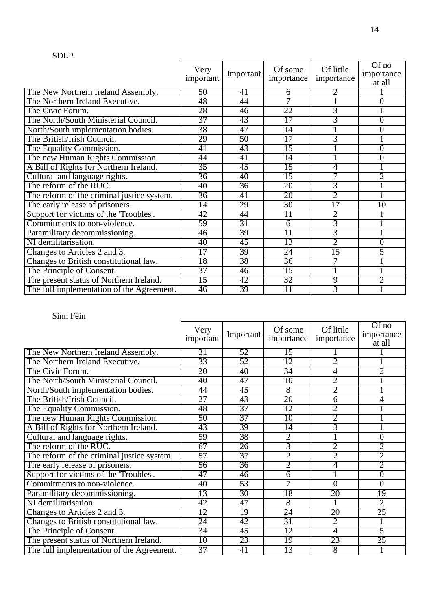#### SDLP

|                                            | Very<br>important | Important       | Of some<br>importance | Of little<br>importance | $Of$ no<br>importance<br>at all |
|--------------------------------------------|-------------------|-----------------|-----------------------|-------------------------|---------------------------------|
| The New Northern Ireland Assembly.         | 50                | 41              | 6                     |                         |                                 |
| The Northern Ireland Executive.            | 48                | 44              | 7                     |                         | $\overline{0}$                  |
| The Civic Forum.                           | 28                | 46              | 22                    | $\overline{3}$          |                                 |
| The North/South Ministerial Council.       | 37                | 43              | 17                    | 3                       | $\overline{0}$                  |
| North/South implementation bodies.         | 38                | 47              | $\overline{14}$       |                         | $\overline{0}$                  |
| The British/Irish Council.                 | 29                | $\overline{50}$ | $\overline{17}$       | 3                       |                                 |
| The Equality Commission.                   | 41                | 43              | 15                    |                         | $\overline{0}$                  |
| The new Human Rights Commission.           | 44                | 41              | 14                    |                         | $\overline{0}$                  |
| A Bill of Rights for Northern Ireland.     | $\overline{35}$   | 45              | $\overline{15}$       | 4                       |                                 |
| Cultural and language rights.              | $\overline{36}$   | 40              | $\overline{15}$       |                         | $\overline{2}$                  |
| The reform of the RUC.                     | 40                | $\overline{36}$ | 20                    | 3                       |                                 |
| The reform of the criminal justice system. | $\overline{36}$   | $\overline{41}$ | 20                    | $\overline{2}$          |                                 |
| The early release of prisoners.            | $\overline{14}$   | 29              | 30                    | $\overline{17}$         | 10                              |
| Support for victims of the 'Troubles'.     | 42                | 44              | 11                    | $\overline{2}$          |                                 |
| Commitments to non-violence.               | 59                | $\overline{31}$ | 6                     | $\overline{3}$          |                                 |
| Paramilitary decommissioning.              | 46                | 39              | $\overline{11}$       | 3                       |                                 |
| NI demilitarisation.                       | 40                | 45              | 13                    | $\overline{2}$          | $\overline{0}$                  |
| Changes to Articles 2 and 3.               | $\overline{17}$   | 39              | 24                    | 15                      | 5                               |
| Changes to British constitutional law.     | 18                | 38              | $\overline{36}$       | 7                       |                                 |
| The Principle of Consent.                  | 37                | 46              | 15                    |                         |                                 |
| The present status of Northern Ireland.    | $\overline{15}$   | 42              | 32                    | 9                       | $\overline{2}$                  |
| The full implementation of the Agreement.  | 46                | 39              | $\overline{11}$       | 3                       |                                 |

|                                            | Very<br>important | Important       | Of some<br>importance | Of little<br>importance | $Of$ no<br>importance<br>at all |
|--------------------------------------------|-------------------|-----------------|-----------------------|-------------------------|---------------------------------|
| The New Northern Ireland Assembly.         | 31                | 52              | 15                    |                         |                                 |
| The Northern Ireland Executive.            | 33                | 52              | 12                    | 2                       |                                 |
| The Civic Forum.                           | 20                | 40              | 34                    | 4                       | $\overline{2}$                  |
| The North/South Ministerial Council.       | 40                | 47              | 10                    | $\overline{2}$          |                                 |
| North/South implementation bodies.         | 44                | 45              | $\overline{8}$        | 2                       |                                 |
| The British/Irish Council.                 | $\overline{27}$   | 43              | 20                    | 6                       | 4                               |
| The Equality Commission.                   | 48                | 37              | 12                    | $\overline{2}$          |                                 |
| The new Human Rights Commission.           | 50                | 37              | 10                    | 2                       |                                 |
| A Bill of Rights for Northern Ireland.     | 43                | 39              | $\overline{14}$       | $\overline{3}$          |                                 |
| Cultural and language rights.              | 59                | 38              | $\overline{2}$        |                         | $\overline{0}$                  |
| The reform of the RUC.                     | 67                | 26              | 3                     | 2                       | 2                               |
| The reform of the criminal justice system. | 57                | 37              | $\overline{2}$        | $\overline{2}$          | $\overline{2}$                  |
| The early release of prisoners.            | 56                | $\overline{36}$ | $\overline{2}$        | 4                       | $\overline{2}$                  |
| Support for victims of the 'Troubles'.     | 47                | 46              | $\overline{6}$        |                         | $\overline{0}$                  |
| Commitments to non-violence.               | 40                | 53              |                       | $\overline{0}$          | $\overline{0}$                  |
| Paramilitary decommissioning.              | 13                | 30              | 18                    | 20                      | 19                              |
| NI demilitarisation.                       | 42                | 47              | 8                     |                         | $\overline{2}$                  |
| Changes to Articles 2 and 3.               | 12                | 19              | 24                    | 20                      | 25                              |
| Changes to British constitutional law.     | 24                | 42              | 31                    | $\overline{2}$          |                                 |
| The Principle of Consent.                  | 34                | 45              | 12                    | 4                       | 5                               |
| The present status of Northern Ireland.    | 10                | 23              | 19                    | 23                      | 25                              |
| The full implementation of the Agreement.  | 37                | 41              | 13                    | $\overline{8}$          |                                 |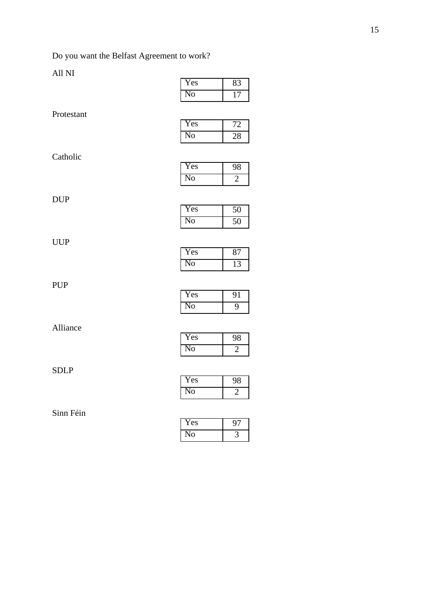# Do you want the Belfast Agreement to work?

### All NI

|             | No                     | $\overline{17}$ |
|-------------|------------------------|-----------------|
| Protestant  |                        |                 |
|             | Yes                    | 72              |
|             | N <sub>0</sub>         | 28              |
| Catholic    |                        |                 |
|             | Yes                    | 98              |
|             | N <sub>0</sub>         | $\overline{2}$  |
| <b>DUP</b>  |                        |                 |
|             | Yes                    | 50              |
|             | $\overline{\text{No}}$ | $\overline{50}$ |
| <b>UUP</b>  |                        |                 |
|             | Yes                    | 87              |
|             | N <sub>0</sub>         | 13              |
|             |                        |                 |
| PUP         | Yes                    | 91              |
|             | N <sub>0</sub>         | $\overline{9}$  |
|             |                        |                 |
| Alliance    | Yes                    | 98              |
|             | No                     | $\overline{2}$  |
|             |                        |                 |
| <b>SDLP</b> | Yes                    | 98              |
|             | N <sub>0</sub>         | $\overline{2}$  |
|             |                        |                 |

### Sinn Féin

| es |  |
|----|--|
|    |  |

| Yes |    |
|-----|----|
| No  | צי |

Yes 83

| Y es |  |
|------|--|
| 'O   |  |

| Yes |  |
|-----|--|
| ٧O  |  |

| <b>Yes</b> | 87 |
|------------|----|
| N٥<br>₽    |    |

| Yes     | 91 |
|---------|----|
| Nо<br>r |    |

| Y es |  |
|------|--|
|      |  |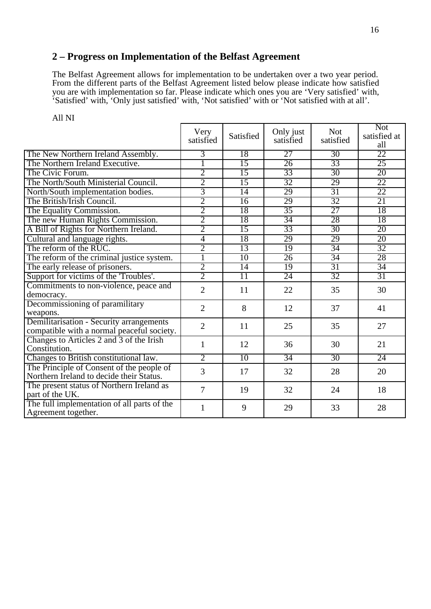### **2 – Progress on Implementation of the Belfast Agreement**

The Belfast Agreement allows for implementation to be undertaken over a two year period. From the different parts of the Belfast Agreement listed below please indicate how satisfied you are with implementation so far. Please indicate which ones you are 'Very satisfied' with, 'Satisfied' with, 'Only just satisfied' with, 'Not satisfied' with or 'Not satisfied with at all'.

|                                                                    | Very<br>satisfied | Satisfied       | Only just<br>satisfied | <b>Not</b><br>satisfied | <b>Not</b><br>satisfied at<br>all |
|--------------------------------------------------------------------|-------------------|-----------------|------------------------|-------------------------|-----------------------------------|
| The New Northern Ireland Assembly.                                 | 3                 | 18              | 27                     | 30                      | 22                                |
| The Northern Ireland Executive.                                    | ī                 | 15              | 26                     | 33                      | 25                                |
| The Civic Forum.                                                   | $\overline{2}$    | 15              | 33                     | 30                      | 20                                |
| The North/South Ministerial Council.                               | $\overline{2}$    | $\overline{15}$ | 32                     | 29                      | 22                                |
| North/South implementation bodies.                                 | $\overline{3}$    | 14              | 29                     | 31                      | 22                                |
| The British/Irish Council.                                         | $\overline{2}$    | $\overline{16}$ | 29                     | 32                      | 21                                |
| The Equality Commission.                                           | $\overline{2}$    | 18              | 35                     | $\overline{27}$         | 18                                |
| The new Human Rights Commission.                                   | $\overline{2}$    | 18              | 34                     | 28                      | 18                                |
| A Bill of Rights for Northern Ireland.                             | $\overline{2}$    | 15              | 33                     | 30                      | 20                                |
| Cultural and language rights.                                      | $\overline{4}$    | 18              | 29                     | 29                      | 20                                |
| The reform of the RUC.                                             | $\overline{2}$    | 13              | 19                     | 34                      | 32                                |
| The reform of the criminal justice system.                         | ī                 | $\overline{10}$ | 26                     | 34                      | 28                                |
| The early release of prisoners.                                    | $\overline{2}$    | 14              | 19                     | 31                      | 34                                |
| Support for victims of the 'Troubles'.                             | $\overline{2}$    | $\overline{11}$ | 24                     | 32                      | 31                                |
| Commitments to non-violence, peace and                             | $\overline{2}$    | 11              | 22                     | 35                      | 30                                |
| democracy.                                                         |                   |                 |                        |                         |                                   |
| Decommissioning of paramilitary                                    | $\overline{2}$    | 8               | 12                     | 37                      | 41                                |
| weapons.                                                           |                   |                 |                        |                         |                                   |
| Demilitarisation - Security arrangements                           | $\overline{2}$    | 11              | 25                     | 35                      | 27                                |
| compatible with a normal peaceful society.                         |                   |                 |                        |                         |                                   |
| Changes to Articles 2 and 3 of the Irish                           | 1                 | 12              | 36                     | 30                      | 21                                |
| Constitution.                                                      |                   |                 |                        |                         |                                   |
| Changes to British constitutional law.                             | $\overline{2}$    | $\overline{10}$ | 34                     | 30                      | 24                                |
| The Principle of Consent of the people of                          | 3                 | 17              | 32                     | 28                      | 20                                |
| Northern Ireland to decide their Status.                           |                   |                 |                        |                         |                                   |
| The present status of Northern Ireland as<br>part of the UK.       | $\overline{7}$    | 19              | 32                     | 24                      | 18                                |
| The full implementation of all parts of the<br>Agreement together. | 1                 | 9               | 29                     | 33                      | 28                                |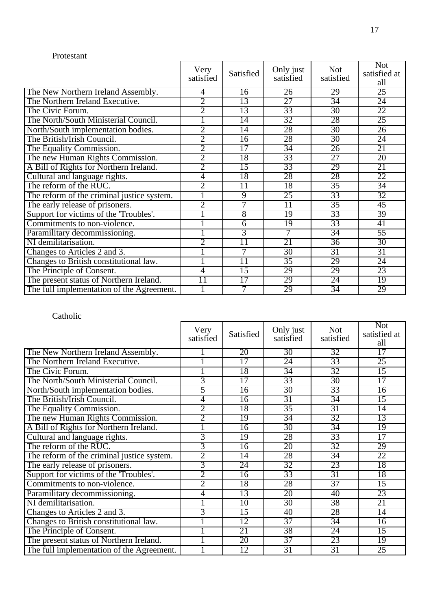#### Protestant

|                                            | Very<br>satisfied | Satisfied       | Only just<br>satisfied | <b>Not</b><br>satisfied | <b>Not</b><br>satisfied at<br>all |
|--------------------------------------------|-------------------|-----------------|------------------------|-------------------------|-----------------------------------|
| The New Northern Ireland Assembly.         | 4                 | 16              | 26                     | 29                      | 25                                |
| The Northern Ireland Executive.            | $\overline{2}$    | 13              | 27                     | 34                      | 24                                |
| The Civic Forum.                           | $\overline{2}$    | 13              | 33                     | 30                      | 22                                |
| The North/South Ministerial Council.       |                   | 14              | 32                     | 28                      | 25                                |
| North/South implementation bodies.         | $\overline{2}$    | 14              | 28                     | 30                      | $\overline{26}$                   |
| The British/Irish Council.                 | $\overline{2}$    | $\overline{16}$ | 28                     | 30                      | 24                                |
| The Equality Commission.                   | $\overline{2}$    | 17              | 34                     | 26                      | 21                                |
| The new Human Rights Commission.           | $\overline{2}$    | 18              | 33                     | 27                      | 20                                |
| A Bill of Rights for Northern Ireland.     | $\overline{2}$    | $\overline{15}$ | 33                     | 29                      | 21                                |
| Cultural and language rights.              | 4                 | 18              | 28                     | 28                      | 22                                |
| The reform of the RUC.                     | $\overline{2}$    | 11              | 18                     | $\overline{35}$         | 34                                |
| The reform of the criminal justice system. |                   | $\overline{9}$  | 25                     | 33                      | 32                                |
| The early release of prisoners.            | $\overline{2}$    | 7               | $\overline{11}$        | $\overline{35}$         | 45                                |
| Support for victims of the 'Troubles'.     |                   | 8               | 19                     | 33                      | 39                                |
| Commitments to non-violence.               |                   | 6               | $\overline{19}$        | 33                      | 41                                |
| Paramilitary decommissioning.              |                   | 3               | 7                      | $\overline{34}$         | $\overline{55}$                   |
| NI demilitarisation.                       | $\overline{2}$    | $\overline{11}$ | 21                     | $\overline{36}$         | 30                                |
| Changes to Articles 2 and 3.               |                   | 7               | $\overline{30}$        | $\overline{31}$         | 31                                |
| Changes to British constitutional law.     |                   | $\overline{11}$ | $\overline{35}$        | 29                      | 24                                |
| The Principle of Consent.                  | 4                 | $\overline{15}$ | 29                     | 29                      | 23                                |
| The present status of Northern Ireland.    | 11                | $\overline{17}$ | 29                     | 24                      | 19                                |
| The full implementation of the Agreement.  |                   | 7               | 29                     | $\overline{34}$         | 29                                |

|                                            | Very<br>satisfied | Satisfied       | Only just<br>satisfied | <b>Not</b><br>satisfied | <b>Not</b><br>satisfied at<br>all |
|--------------------------------------------|-------------------|-----------------|------------------------|-------------------------|-----------------------------------|
| The New Northern Ireland Assembly.         |                   | 20              | 30                     | 32                      | $\overline{17}$                   |
| The Northern Ireland Executive.            |                   | 17              | 24                     | 33                      | 25                                |
| The Civic Forum.                           |                   | 18              | 34                     | 32                      | $\overline{15}$                   |
| The North/South Ministerial Council.       | $\overline{3}$    | $\overline{17}$ | 33                     | 30                      | 17                                |
| North/South implementation bodies.         | 5                 | 16              | 30                     | 33                      | 16                                |
| The British/Irish Council.                 | 4                 | $\overline{16}$ | $\overline{31}$        | $\overline{34}$         | $\overline{15}$                   |
| The Equality Commission.                   | $\overline{2}$    | 18              | 35                     | $\overline{31}$         | $\overline{14}$                   |
| The new Human Rights Commission.           | 2                 | 19              | 34                     | 32                      | 13                                |
| A Bill of Rights for Northern Ireland.     |                   | 16              | $\overline{30}$        | 34                      | 19                                |
| Cultural and language rights.              | $\overline{3}$    | 19              | 28                     | 33                      | 17                                |
| The reform of the RUC.                     | 3                 | 16              | 20                     | 32                      | 29                                |
| The reform of the criminal justice system. | $\overline{2}$    | $\overline{14}$ | 28                     | 34                      | 22                                |
| The early release of prisoners.            | 3                 | $\overline{24}$ | 32                     | 23                      | 18                                |
| Support for victims of the 'Troubles'.     | $\overline{2}$    | $\overline{16}$ | 33                     | 31                      | 18                                |
| Commitments to non-violence.               | $\overline{2}$    | 18              | 28                     | 37                      | $\overline{15}$                   |
| Paramilitary decommissioning.              | 4                 | 13              | 20                     | 40                      | 23                                |
| NI demilitarisation.                       |                   | 10              | 30                     | 38                      | 21                                |
| Changes to Articles 2 and 3.               | 3                 | 15              | 40                     | 28                      | 14                                |
| Changes to British constitutional law.     |                   | 12              | 37                     | 34                      | $\overline{16}$                   |
| The Principle of Consent.                  |                   | 21              | 38                     | 24                      | $\overline{15}$                   |
| The present status of Northern Ireland.    |                   | 20              | 37                     | 23                      | 19                                |
| The full implementation of the Agreement.  |                   | 12              | 31                     | 31                      | 25                                |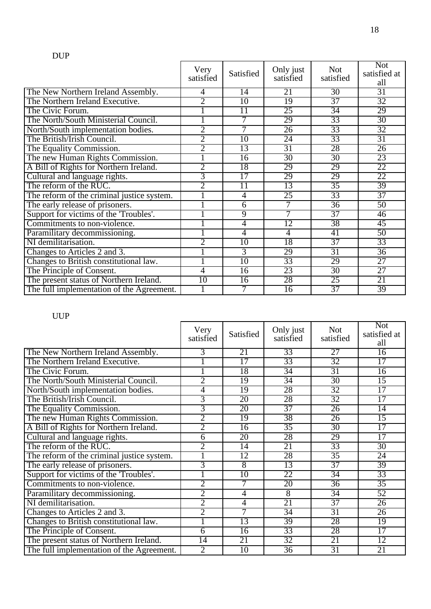|                                            | Very<br>satisfied | Satisfied       | Only just<br>satisfied | <b>Not</b><br>satisfied | <b>Not</b><br>satisfied at<br>all |
|--------------------------------------------|-------------------|-----------------|------------------------|-------------------------|-----------------------------------|
| The New Northern Ireland Assembly.         | 4                 | 14              | 21                     | 30                      | 31                                |
| The Northern Ireland Executive.            | $\overline{2}$    | 10              | 19                     | 37                      | 32                                |
| The Civic Forum.                           |                   | 11              | 25                     | 34                      | 29                                |
| The North/South Ministerial Council.       |                   | 7               | 29                     | 33                      | 30                                |
| North/South implementation bodies.         | $\overline{2}$    | 7               | $\overline{26}$        | 33                      | 32                                |
| The British/Irish Council.                 | $\overline{2}$    | $\overline{10}$ | 24                     | 33                      | $\overline{31}$                   |
| The Equality Commission.                   | 2                 | 13              | 31                     | 28                      | 26                                |
| The new Human Rights Commission.           |                   | 16              | 30                     | 30                      | 23                                |
| A Bill of Rights for Northern Ireland.     | $\overline{2}$    | 18              | 29                     | 29                      | 22                                |
| Cultural and language rights.              | 3                 | $\overline{17}$ | 29                     | 29                      | 22                                |
| The reform of the RUC.                     | $\overline{2}$    | 11              | 13                     | $\overline{35}$         | 39                                |
| The reform of the criminal justice system. |                   | 4               | 25                     | 33                      | 37                                |
| The early release of prisoners.            |                   | $\overline{6}$  | 7                      | $\overline{36}$         | 50                                |
| Support for victims of the 'Troubles'.     |                   | 9               | 7                      | 37                      | 46                                |
| Commitments to non-violence.               |                   | 4               | 12                     | 38                      | $\overline{45}$                   |
| Paramilitary decommissioning.              |                   | 4               | 4                      | 41                      | 50                                |
| NI demilitarisation.                       | $\overline{2}$    | 10              | 18                     | 37                      | 33                                |
| Changes to Articles 2 and 3.               |                   | $\overline{3}$  | 29                     | 31                      | 36                                |
| Changes to British constitutional law.     |                   | $\overline{10}$ | 33                     | 29                      | $\overline{27}$                   |
| The Principle of Consent.                  | 4                 | $\overline{16}$ | 23                     | 30                      | $\overline{27}$                   |
| The present status of Northern Ireland.    | 10                | $\overline{16}$ | 28                     | 25                      | 21                                |
| The full implementation of the Agreement.  |                   | 7               | $\overline{16}$        | 37                      | 39                                |

# UUP

|                                            | Very<br>satisfied | Satisfied       | Only just<br>satisfied | <b>Not</b><br>satisfied | <b>Not</b><br>satisfied at<br>all |
|--------------------------------------------|-------------------|-----------------|------------------------|-------------------------|-----------------------------------|
| The New Northern Ireland Assembly.         | 3                 | 21              | 33                     | $\overline{27}$         | 16                                |
| The Northern Ireland Executive.            |                   | 17              | 33                     | 32                      | 17                                |
| The Civic Forum.                           |                   | 18              | $\overline{34}$        | $\overline{31}$         | $\overline{16}$                   |
| The North/South Ministerial Council.       | $\overline{2}$    | 19              | $\overline{34}$        | 30                      | $\overline{15}$                   |
| North/South implementation bodies.         | 4                 | 19              | 28                     | 32                      | 17                                |
| The British/Irish Council.                 | 3                 | 20              | 28                     | 32                      | $\overline{17}$                   |
| The Equality Commission.                   | 3                 | 20              | 37                     | 26                      | $\overline{14}$                   |
| The new Human Rights Commission.           | $\overline{2}$    | 19              | 38                     | 26                      | 15                                |
| A Bill of Rights for Northern Ireland.     | $\overline{2}$    | 16              | $\overline{35}$        | $\overline{30}$         | $\overline{17}$                   |
| Cultural and language rights.              | 6                 | 20              | 28                     | 29                      | 17                                |
| The reform of the RUC.                     | 2                 | 14              | 21                     | 33                      | 30                                |
| The reform of the criminal justice system. |                   | 12              | 28                     | $\overline{35}$         | $\overline{24}$                   |
| The early release of prisoners.            | 3                 | 8               | 13                     | 37                      | 39                                |
| Support for victims of the 'Troubles'.     |                   | $\overline{10}$ | 22                     | 34                      | 33                                |
| Commitments to non-violence.               | $\overline{2}$    | 7               | 20                     | 36                      | $\overline{35}$                   |
| Paramilitary decommissioning.              | $\overline{2}$    | 4               | 8                      | 34                      | 52                                |
| NI demilitarisation.                       | $\overline{2}$    | 4               | 21                     | 37                      | $\overline{26}$                   |
| Changes to Articles 2 and 3.               | $\overline{2}$    | 7               | 34                     | 31                      | $\overline{26}$                   |
| Changes to British constitutional law.     |                   | 13              | 39                     | 28                      | 19                                |
| The Principle of Consent.                  | 6                 | $\overline{16}$ | 33                     | 28                      | $\overline{17}$                   |
| The present status of Northern Ireland.    | $\overline{14}$   | $\overline{21}$ | 32                     | 21                      | $\overline{12}$                   |
| The full implementation of the Agreement.  | $\overline{2}$    | 10              | 36                     | 31                      | 21                                |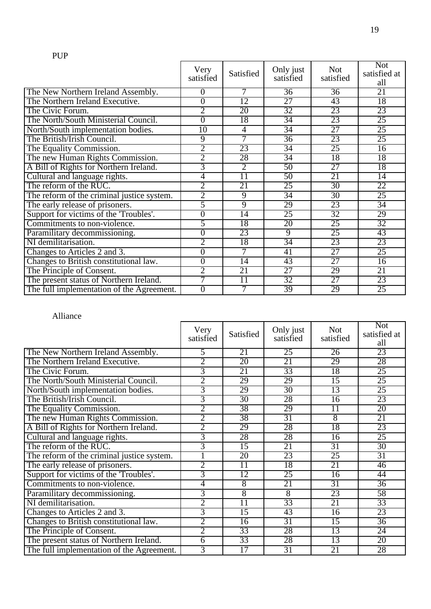|                                            | Very<br>satisfied | Satisfied       | Only just<br>satisfied | <b>Not</b><br>satisfied | <b>Not</b><br>satisfied at<br>all |
|--------------------------------------------|-------------------|-----------------|------------------------|-------------------------|-----------------------------------|
| The New Northern Ireland Assembly.         | 0                 | 7               | 36                     | 36                      | 21                                |
| The Northern Ireland Executive.            | 0                 | $\overline{12}$ | $\overline{27}$        | 43                      | 18                                |
| The Civic Forum.                           | $\overline{2}$    | 20              | 32                     | 23                      | 23                                |
| The North/South Ministerial Council.       | $\overline{0}$    | 18              | 34                     | 23                      | 25                                |
| North/South implementation bodies.         | 10                | $\overline{4}$  | 34                     | 27                      | 25                                |
| The British/Irish Council.                 | 9                 | 7               | $\overline{36}$        | 23                      | 25                                |
| The Equality Commission.                   | 2                 | 23              | 34                     | 25                      | 16                                |
| The new Human Rights Commission.           | $\overline{2}$    | 28              | $\overline{34}$        | 18                      | 18                                |
| A Bill of Rights for Northern Ireland.     | 3                 | $\overline{2}$  | 50                     | $\overline{27}$         | 18                                |
| Cultural and language rights.              | 4                 | $\overline{11}$ | 50                     | 21                      | $\overline{14}$                   |
| The reform of the RUC.                     | $\overline{2}$    | 21              | 25                     | 30                      | 22                                |
| The reform of the criminal justice system. | $\overline{2}$    | 9               | 34                     | 30                      | $\overline{25}$                   |
| The early release of prisoners.            | 5                 | 9               | 29                     | 23                      | 34                                |
| Support for victims of the 'Troubles'.     | $\overline{0}$    | $\overline{14}$ | 25                     | 32                      | 29                                |
| Commitments to non-violence.               | 5                 | 18              | 20                     | 25                      | 32                                |
| Paramilitary decommissioning.              | 0                 | 23              | $\overline{9}$         | 25                      | 43                                |
| NI demilitarisation.                       | $\overline{2}$    | 18              | 34                     | 23                      | 23                                |
| Changes to Articles 2 and 3.               | $\overline{0}$    | 7               | 41                     | $\overline{27}$         | $\overline{25}$                   |
| Changes to British constitutional law.     | $\overline{0}$    | $\overline{14}$ | 43                     | $\overline{27}$         | 16                                |
| The Principle of Consent.                  | $\overline{2}$    | 21              | $\overline{27}$        | 29                      | 21                                |
| The present status of Northern Ireland.    | 7                 | $\overline{11}$ | 32                     | 27                      | 23                                |
| The full implementation of the Agreement.  | $\overline{0}$    | 7               | 39                     | 29                      | 25                                |

#### Alliance

|                                            | Very<br>satisfied | Satisfied       | Only just<br>satisfied | <b>Not</b><br>satisfied | <b>Not</b><br>satisfied at<br>all |
|--------------------------------------------|-------------------|-----------------|------------------------|-------------------------|-----------------------------------|
| The New Northern Ireland Assembly.         | 5                 | 21              | 25                     | 26                      | 23                                |
| The Northern Ireland Executive.            | 2                 | 20              | 21                     | 29                      | 28                                |
| The Civic Forum.                           | 3                 | 21              | 33                     | 18                      | 25                                |
| The North/South Ministerial Council.       | $\overline{2}$    | 29              | 29                     | $\overline{15}$         | 25                                |
| North/South implementation bodies.         | 3                 | 29              | 30                     | 13                      | 25                                |
| The British/Irish Council.                 | 3                 | 30              | 28                     | $\overline{16}$         | 23                                |
| The Equality Commission.                   | $\overline{2}$    | 38              | 29                     | $\overline{11}$         | 20                                |
| The new Human Rights Commission.           | 2                 | 38              | 31                     | 8                       | 21                                |
| A Bill of Rights for Northern Ireland.     | $\overline{2}$    | 29              | 28                     | 18                      | 23                                |
| Cultural and language rights.              | 3                 | 28              | 28                     | $\overline{16}$         | 25                                |
| The reform of the RUC.                     | $\overline{3}$    | 15              | 21                     | 31                      | 30                                |
| The reform of the criminal justice system. |                   | 20              | 23                     | 25                      | 31                                |
| The early release of prisoners.            | $\overline{2}$    | $\overline{11}$ | 18                     | 21                      | 46                                |
| Support for victims of the 'Troubles'.     | $\overline{3}$    | $\overline{12}$ | 25                     | $\overline{16}$         | 44                                |
| Commitments to non-violence.               | 4                 | $\overline{8}$  | 21                     | 31                      | 36                                |
| Paramilitary decommissioning.              | $\overline{3}$    | 8               | 8                      | 23                      | 58                                |
| NI demilitarisation.                       | $\overline{2}$    | $\overline{11}$ | 33                     | 21                      | 33                                |
| Changes to Articles 2 and 3.               | $\overline{3}$    | $\overline{15}$ | 43                     | 16                      | 23                                |
| Changes to British constitutional law.     | $\overline{2}$    | $\overline{16}$ | 31                     | 15                      | 36                                |
| The Principle of Consent.                  | $\overline{2}$    | 33              | 28                     | 13                      | 24                                |
| The present status of Northern Ireland.    | $\overline{6}$    | 33              | 28                     | 13                      | 20                                |
| The full implementation of the Agreement.  | 3                 | 17              | 31                     | 21                      | 28                                |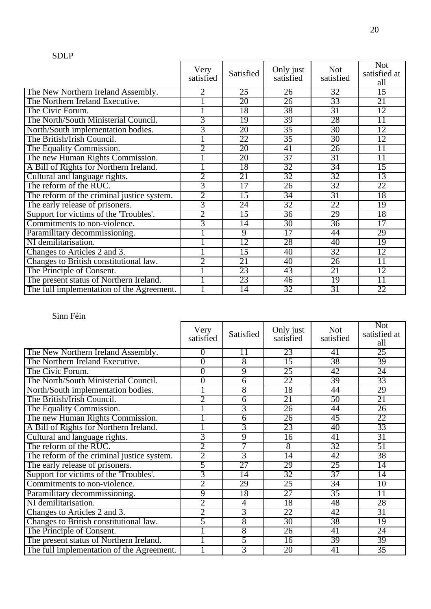#### SDLP

|                                            | Very<br>satisfied | Satisfied       | Only just<br>satisfied | <b>Not</b><br>satisfied | <b>Not</b><br>satisfied at<br>all |
|--------------------------------------------|-------------------|-----------------|------------------------|-------------------------|-----------------------------------|
| The New Northern Ireland Assembly.         | 2                 | 25              | 26                     | 32                      | 15                                |
| The Northern Ireland Executive.            |                   | 20              | $\overline{26}$        | 33                      | 21                                |
| The Civic Forum.                           |                   | 18              | 38                     | $\overline{31}$         | 12                                |
| The North/South Ministerial Council.       | $\overline{3}$    | 19              | 39                     | 28                      | $\overline{11}$                   |
| North/South implementation bodies.         | 3                 | 20              | $\overline{35}$        | $\overline{30}$         | 12                                |
| The British/Irish Council.                 |                   | 22              | 35                     | 30                      | 12                                |
| The Equality Commission.                   | $\overline{2}$    | 20              | 41                     | 26                      | $\overline{11}$                   |
| The new Human Rights Commission.           |                   | 20              | 37                     | $\overline{31}$         | $\overline{11}$                   |
| A Bill of Rights for Northern Ireland.     |                   | 18              | 32                     | 34                      | 15                                |
| Cultural and language rights.              | $\overline{2}$    | 21              | 32                     | 32                      | 13                                |
| The reform of the RUC.                     | 3                 | 17              | $\overline{26}$        | 32                      | 22                                |
| The reform of the criminal justice system. | $\overline{2}$    | $\overline{15}$ | $\overline{34}$        | $\overline{31}$         | 18                                |
| The early release of prisoners.            | 3                 | $\overline{24}$ | 32                     | 22                      | 19                                |
| Support for victims of the 'Troubles'.     | $\overline{2}$    | $\overline{15}$ | $\overline{36}$        | 29                      | 18                                |
| Commitments to non-violence.               | 3                 | $\overline{14}$ | $\overline{30}$        | $\overline{36}$         | $\overline{17}$                   |
| Paramilitary decommissioning.              |                   | $\overline{9}$  | $\overline{17}$        | 44                      | 29                                |
| NI demilitarisation.                       |                   | $\overline{12}$ | 28                     | 40                      | $\overline{19}$                   |
| Changes to Articles 2 and 3.               |                   | $\overline{15}$ | 40                     | 32                      | 12                                |
| Changes to British constitutional law.     | $\overline{2}$    | 21              | 40                     | $\overline{26}$         | $\overline{11}$                   |
| The Principle of Consent.                  |                   | 23              | 43                     | 21                      | 12                                |
| The present status of Northern Ireland.    |                   | 23              | 46                     | $\overline{19}$         | $\overline{11}$                   |
| The full implementation of the Agreement.  |                   | $\overline{14}$ | 32                     | 31                      | 22                                |

|                                            | Very<br>satisfied | Satisfied       | Only just<br>satisfied | <b>Not</b><br>satisfied | <b>Not</b><br>satisfied at<br>all |
|--------------------------------------------|-------------------|-----------------|------------------------|-------------------------|-----------------------------------|
| The New Northern Ireland Assembly.         | $\overline{0}$    | 11              | 23                     | 41                      | 25                                |
| The Northern Ireland Executive.            | $\overline{0}$    | 8               | 15                     | 38                      | 39                                |
| The Civic Forum.                           | $\overline{0}$    | $\overline{9}$  | 25                     | 42                      | 24                                |
| The North/South Ministerial Council.       | 0                 | 6               | 22                     | 39                      | 33                                |
| North/South implementation bodies.         |                   | 8               | 18                     | 44                      | 29                                |
| The British/Irish Council.                 | $\overline{2}$    | 6               | 21                     | $\overline{50}$         | 21                                |
| The Equality Commission.                   |                   | 3               | $\overline{26}$        | 44                      | $\overline{26}$                   |
| The new Human Rights Commission.           |                   | 6               | 26                     | 45                      | 22                                |
| A Bill of Rights for Northern Ireland.     |                   | $\overline{3}$  | 23                     | 40                      | 33                                |
| Cultural and language rights.              | $\overline{3}$    | 9               | $\overline{16}$        | 41                      | 31                                |
| The reform of the RUC.                     | 2                 | 7               | $\overline{8}$         | 32                      | 51                                |
| The reform of the criminal justice system. | $\overline{2}$    | $\overline{3}$  | $\overline{14}$        | 42                      | 38                                |
| The early release of prisoners.            | 5                 | 27              | 29                     | 25                      | $\overline{14}$                   |
| Support for victims of the 'Troubles'.     | $\overline{3}$    | $\overline{14}$ | 32                     | 37                      | $\overline{14}$                   |
| Commitments to non-violence.               | $\overline{2}$    | 29              | 25                     | 34                      | 10                                |
| Paramilitary decommissioning.              | $\overline{9}$    | 18              | $\overline{27}$        | $\overline{35}$         | $\overline{11}$                   |
| NI demilitarisation.                       | $\overline{2}$    | 4               | 18                     | 48                      | 28                                |
| Changes to Articles 2 and 3.               | $\overline{2}$    | 3               | 22                     | 42                      | 31                                |
| Changes to British constitutional law.     | 5                 | 8               | 30                     | 38                      | $\overline{19}$                   |
| The Principle of Consent.                  |                   | 8               | $\overline{26}$        | 41                      | $\overline{24}$                   |
| The present status of Northern Ireland.    |                   | 5               | $\overline{16}$        | 39                      | 39                                |
| The full implementation of the Agreement.  |                   | 3               | 20                     | 41                      | 35                                |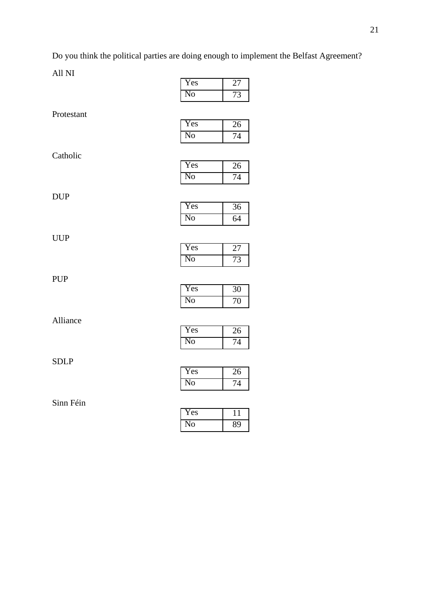Do you think the political parties are doing enough to implement the Belfast Agreement?

|             | Yes                    | 27                                 |
|-------------|------------------------|------------------------------------|
|             | No                     | 73                                 |
| Protestant  |                        |                                    |
|             | Yes                    | 26                                 |
|             | N <sub>0</sub>         | 74                                 |
| Catholic    |                        |                                    |
|             | Yes                    | 26                                 |
|             | $\overline{\text{No}}$ | $\overline{74}$                    |
|             |                        |                                    |
| <b>DUP</b>  | Yes                    | 36                                 |
|             | N <sub>o</sub>         | 64                                 |
|             |                        |                                    |
| <b>UUP</b>  | Yes                    |                                    |
|             | N <sub>o</sub>         | $\overline{27}$<br>$\overline{73}$ |
|             |                        |                                    |
| <b>PUP</b>  |                        |                                    |
|             | Yes                    | $\overline{30}$                    |
|             | N <sub>o</sub>         | $\overline{70}$                    |
| Alliance    |                        |                                    |
|             | Yes                    | 26                                 |
|             | N <sub>0</sub>         | 74                                 |
| <b>SDLP</b> |                        |                                    |
|             | Yes                    | 26                                 |
|             | N <sub>o</sub>         | $\overline{74}$                    |
| Sinn Féin   |                        |                                    |
|             | Yes                    | 11                                 |
|             | No                     | 89                                 |
|             |                        |                                    |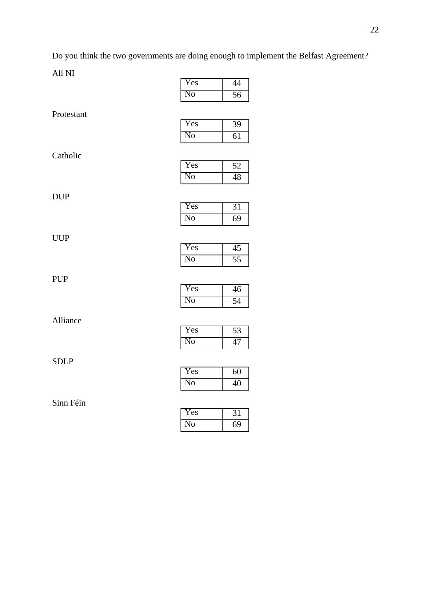Do you think the two governments are doing enough to implement the Belfast Agreement?

|             | Yes                    | 44              |
|-------------|------------------------|-----------------|
|             | N <sub>0</sub>         | 56              |
| Protestant  |                        |                 |
|             | Yes                    | 39              |
|             | No                     | 61              |
|             |                        |                 |
| Catholic    |                        |                 |
|             | Yes                    | $\overline{52}$ |
|             | $\overline{\text{No}}$ | 48              |
|             |                        |                 |
| <b>DUP</b>  | Yes                    |                 |
|             |                        | 31              |
|             | N <sub>0</sub>         | 69              |
| <b>UUP</b>  |                        |                 |
|             | Yes                    | $\overline{45}$ |
|             | $\overline{\text{No}}$ | $\overline{55}$ |
|             |                        |                 |
| <b>PUP</b>  |                        |                 |
|             | Yes                    | 46              |
|             | $\overline{\text{No}}$ | 54              |
|             |                        |                 |
| Alliance    |                        |                 |
|             | Yes                    | 53              |
|             | N <sub>0</sub>         | 47              |
|             |                        |                 |
| <b>SDLP</b> | Yes                    |                 |
|             |                        | $\overline{60}$ |
|             | N <sub>o</sub>         | $\overline{40}$ |
| Sinn Féin   |                        |                 |
|             | Yes                    | $\overline{31}$ |
|             | $\overline{\text{No}}$ | $\overline{69}$ |
|             |                        |                 |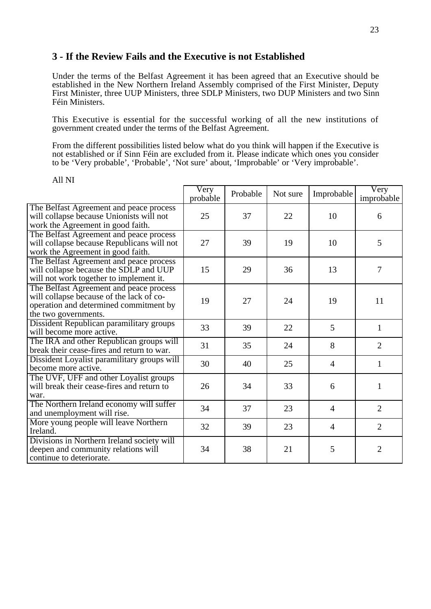#### **3 - If the Review Fails and the Executive is not Established**

Under the terms of the Belfast Agreement it has been agreed that an Executive should be established in the New Northern Ireland Assembly comprised of the First Minister, Deputy First Minister, three UUP Ministers, three SDLP Ministers, two DUP Ministers and two Sinn Féin Ministers.

This Executive is essential for the successful working of all the new institutions of government created under the terms of the Belfast Agreement.

From the different possibilities listed below what do you think will happen if the Executive is not established or if Sinn Féin are excluded from it. Please indicate which ones you consider to be 'Very probable', 'Probable', 'Not sure' about, 'Improbable' or 'Very improbable'.

|                                                                                                                                                       | Very<br>probable | Probable | Not sure | Improbable     | $\overline{\mathrm{V}}$ ery<br>improbable |
|-------------------------------------------------------------------------------------------------------------------------------------------------------|------------------|----------|----------|----------------|-------------------------------------------|
| The Belfast Agreement and peace process<br>will collapse because Unionists will not<br>work the Agreement in good faith.                              | 25               | 37       | 22       | 10             | 6                                         |
| The Belfast Agreement and peace process<br>will collapse because Republicans will not<br>work the Agreement in good faith.                            | 27               | 39       | 19       | 10             | 5                                         |
| The Belfast Agreement and peace process<br>will collapse because the SDLP and UUP<br>will not work together to implement it.                          | 15               | 29       | 36       | 13             | 7                                         |
| The Belfast Agreement and peace process<br>will collapse because of the lack of co-<br>operation and determined commitment by<br>the two governments. | 19               | 27       | 24       | 19             | 11                                        |
| Dissident Republican paramilitary groups<br>will become more active.                                                                                  | 33               | 39       | 22       | 5              | 1                                         |
| The IRA and other Republican groups will<br>break their cease-fires and return to war.                                                                | 31               | 35       | 24       | 8              | $\overline{2}$                            |
| Dissident Loyalist paramilitary groups will<br>become more active.                                                                                    | 30               | 40       | 25       | $\overline{4}$ | $\mathbf{1}$                              |
| The UVF, UFF and other Loyalist groups<br>will break their cease-fires and return to<br>war.                                                          | 26               | 34       | 33       | 6              | 1                                         |
| The Northern Ireland economy will suffer<br>and unemployment will rise.                                                                               | 34               | 37       | 23       | $\overline{4}$ | 2                                         |
| More young people will leave Northern<br>Ireland.                                                                                                     | 32               | 39       | 23       | $\overline{4}$ | $\overline{2}$                            |
| Divisions in Northern Ireland society will<br>deepen and community relations will<br>continue to deteriorate.                                         | 34               | 38       | 21       | 5              | $\overline{2}$                            |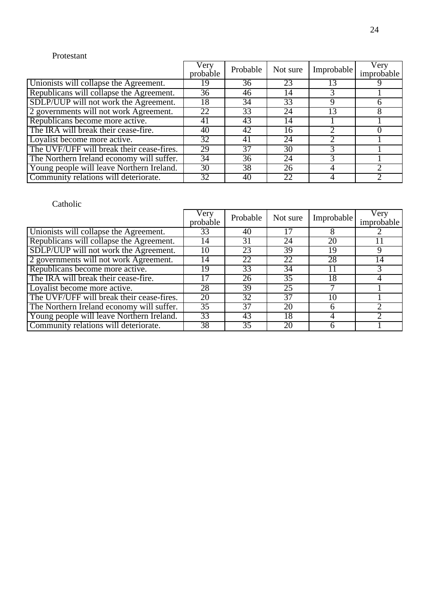#### Protestant

|                                           | Very<br>probable | Probable | Not sure | Improbable | Very<br>improbable |
|-------------------------------------------|------------------|----------|----------|------------|--------------------|
| Unionists will collapse the Agreement.    | 19               | 36       | 23       | 13         |                    |
| Republicans will collapse the Agreement.  | 36               | 46       | 14       |            |                    |
| SDLP/UUP will not work the Agreement.     | 18               | 34       | 33       | Q          |                    |
| 2 governments will not work Agreement.    | 22               | 33       | 24       | 3          |                    |
| Republicans become more active.           | 41               | 43       | 14       |            |                    |
| The IRA will break their cease-fire.      | 40               | 42       | 16       |            |                    |
| Loyalist become more active.              | 32               | 41       | 24       |            |                    |
| The UVF/UFF will break their cease-fires. | 29               | 37       | 30       |            |                    |
| The Northern Ireland economy will suffer. | 34               | 36       | 24       |            |                    |
| Young people will leave Northern Ireland. | 30               | 38       | 26       |            |                    |
| Community relations will deteriorate.     | 32               | 40       | 22       |            |                    |

|                                           | Very<br>probable | Probable        | Not sure | Improbable | Very<br>improbable |
|-------------------------------------------|------------------|-----------------|----------|------------|--------------------|
| Unionists will collapse the Agreement.    | 33               | 40              | 17       |            |                    |
| Republicans will collapse the Agreement.  | 14               | 31              | 24       | 20         |                    |
| SDLP/UUP will not work the Agreement.     | 10               | 23              | 39       | 19         | 9                  |
| 2 governments will not work Agreement.    | 14               | 22              | 22       | 28         | 14                 |
| Republicans become more active.           | 19.              | 33              | 34       |            |                    |
| The IRA will break their cease-fire.      | 17               | 26              | 35       | 18         |                    |
| Loyalist become more active.              | 28               | 39              | 25       |            |                    |
| The UVF/UFF will break their cease-fires. | 20               | 32              | 37       | 10         |                    |
| The Northern Ireland economy will suffer. | $\overline{35}$  | 37              | 20       |            |                    |
| Young people will leave Northern Ireland. | 33               | 43              | 18       |            |                    |
| Community relations will deteriorate.     | 38               | $\overline{35}$ | 20       |            |                    |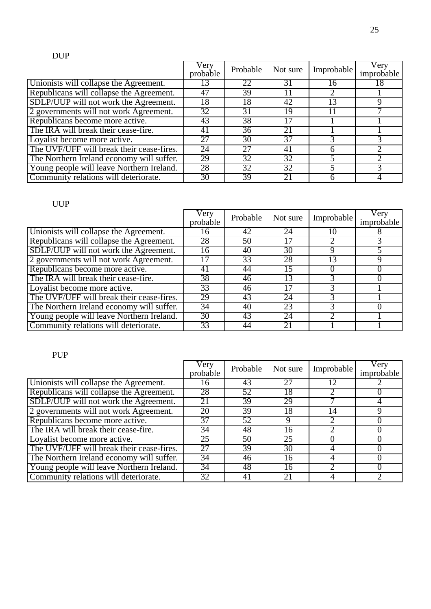### DUP

|                                           | Very<br>probable | Probable | Not sure | Improbable | Very<br>improbable |
|-------------------------------------------|------------------|----------|----------|------------|--------------------|
| Unionists will collapse the Agreement.    | 13               | 22       | 31       | 16         | 18                 |
| Republicans will collapse the Agreement.  | 47               | 39       |          | ာ          |                    |
| SDLP/UUP will not work the Agreement.     | 18               | 18       | 42       | 13         | Q                  |
| 2 governments will not work Agreement.    | 32               | 31       | 19       |            |                    |
| Republicans become more active.           | 43               | 38       | 17       |            |                    |
| The IRA will break their cease-fire.      | 41               | 36       | 21       |            |                    |
| Loyalist become more active.              | 27               | 30       | 37       |            |                    |
| The UVF/UFF will break their cease-fires. | 24               | 27       | 41       |            |                    |
| The Northern Ireland economy will suffer. | 29               | 32       | 32       |            |                    |
| Young people will leave Northern Ireland. | 28               | 32       | 32       |            |                    |
| Community relations will deteriorate.     | 30               | 39       | 21       |            |                    |

### UUP

|                                           | Very<br>probable | Probable | Not sure | Improbable | Very<br>improbable |
|-------------------------------------------|------------------|----------|----------|------------|--------------------|
| Unionists will collapse the Agreement.    | 16               | 42       | 24       | 10         |                    |
| Republicans will collapse the Agreement.  | 28               | 50       | 17       |            |                    |
| SDLP/UUP will not work the Agreement.     | 16               | 40       | 30       |            |                    |
| 2 governments will not work Agreement.    | 17               | 33       | 28       | 13         | Q                  |
| Republicans become more active.           | 41               | 44       | 15       |            |                    |
| The IRA will break their cease-fire.      | 38               | 46       | 13       |            |                    |
| Loyalist become more active.              | 33               | 46       | 17       |            |                    |
| The UVF/UFF will break their cease-fires. | 29               | 43       | 24       |            |                    |
| The Northern Ireland economy will suffer. | 34               | 40       | 23       |            | 0                  |
| Young people will leave Northern Ireland. | 30               | 43       | 24       |            |                    |
| Community relations will deteriorate.     | $3\overline{3}$  | 44       | 21       |            |                    |

### PUP

|                                           | Very<br>probable | Probable | Not sure | Improbable | Very<br>improbable |
|-------------------------------------------|------------------|----------|----------|------------|--------------------|
| Unionists will collapse the Agreement.    | 16               | 43       | 27       |            |                    |
| Republicans will collapse the Agreement.  | 28               | 52       | 18       |            |                    |
| SDLP/UUP will not work the Agreement.     | 21               | 39       | 29       |            |                    |
| 2 governments will not work Agreement.    | 20               | 39       | 18       | 14         | Q                  |
| Republicans become more active.           | 37               | 52       | 9        |            |                    |
| The IRA will break their cease-fire.      | 34               | 48       | 16       |            |                    |
| Loyalist become more active.              | 25               | 50       | 25       |            |                    |
| The UVF/UFF will break their cease-fires. | 27               | 39       | 30       |            |                    |
| The Northern Ireland economy will suffer. | 34               | 46       | 16       | 4          |                    |
| Young people will leave Northern Ireland. | $\overline{34}$  | 48       | 16       |            |                    |
| Community relations will deteriorate.     | 32               | 41       | 21       |            |                    |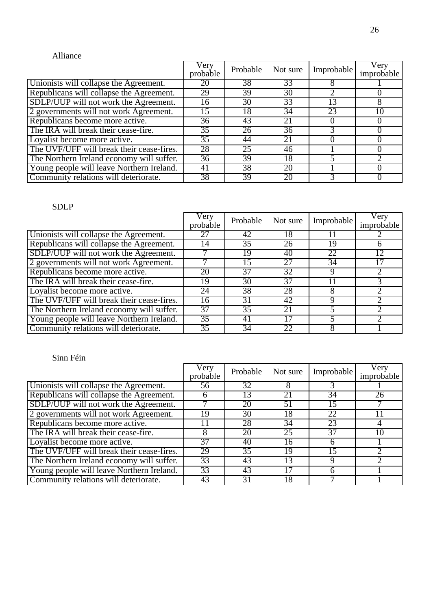#### Alliance

|                                           | Very<br>probable | Probable | Not sure | Improbable | Very<br>improbable |
|-------------------------------------------|------------------|----------|----------|------------|--------------------|
| Unionists will collapse the Agreement.    | 20               | 38       | 33       |            |                    |
| Republicans will collapse the Agreement.  | 29               | 39       | 30       |            |                    |
| SDLP/UUP will not work the Agreement.     | 16               | 30       | 33       | 13         |                    |
| 2 governments will not work Agreement.    | 15               | 18       | 34       | 23         | 10                 |
| Republicans become more active.           | 36               | 43       | 21       |            |                    |
| The IRA will break their cease-fire.      | 35               | 26       | 36       |            |                    |
| Loyalist become more active.              | 35               | 44       | 21       |            |                    |
| The UVF/UFF will break their cease-fires. | 28               | 25       | 46       |            |                    |
| The Northern Ireland economy will suffer. | 36               | 39       | 18       |            |                    |
| Young people will leave Northern Ireland. | 41               | 38       | 20       |            |                    |
| Community relations will deteriorate.     | 38               | 39       | 20       |            |                    |

### SDLP

|                                           | Very<br>probable | Probable | Not sure | Improbable | Very<br>improbable |
|-------------------------------------------|------------------|----------|----------|------------|--------------------|
| Unionists will collapse the Agreement.    |                  | 42       | 18       |            |                    |
| Republicans will collapse the Agreement.  | 14               | 35       | 26       | 19         | 6                  |
| SDLP/UUP will not work the Agreement.     |                  | 19       | 40       | 22         | 12                 |
| 2 governments will not work Agreement.    |                  | 15       | 27       | 34         | 17                 |
| Republicans become more active.           | 20               | 37       | 32       | Q          |                    |
| The IRA will break their cease-fire.      | 19               | 30       | 37       |            |                    |
| Loyalist become more active.              | 24               | 38       | 28       |            |                    |
| The UVF/UFF will break their cease-fires. | 16               | 31       | 42       | q          |                    |
| The Northern Ireland economy will suffer. | 37               | 35       | 21       |            |                    |
| Young people will leave Northern Ireland. | 35               | 41       |          |            |                    |
| Community relations will deteriorate.     | 35               | 34       | 22       |            |                    |

|                                           | Very<br>probable | Probable        | Not sure | Improbable      | Very<br>improbable |
|-------------------------------------------|------------------|-----------------|----------|-----------------|--------------------|
| Unionists will collapse the Agreement.    | 56               | $\overline{32}$ | 8        |                 |                    |
| Republicans will collapse the Agreement.  | h                | 13              | 21       | $\overline{3}4$ | 26                 |
| SDLP/UUP will not work the Agreement.     |                  | 20              | 51       | 15              |                    |
| 2 governments will not work Agreement.    | 19               | 30              | 18       | 22              |                    |
| Republicans become more active.           |                  | 28              | 34       | 23              |                    |
| The IRA will break their cease-fire.      |                  | 20              | 25       | 37              | 10                 |
| Loyalist become more active.              | 37               | 40              | 16       |                 |                    |
| The UVF/UFF will break their cease-fires. | 29               | 35              | 19       | 15              |                    |
| The Northern Ireland economy will suffer. | 33               | 43              | 13       | g               |                    |
| Young people will leave Northern Ireland. | 33               | 43              | ۱7       |                 |                    |
| Community relations will deteriorate.     | 43               | 31              | 18       |                 |                    |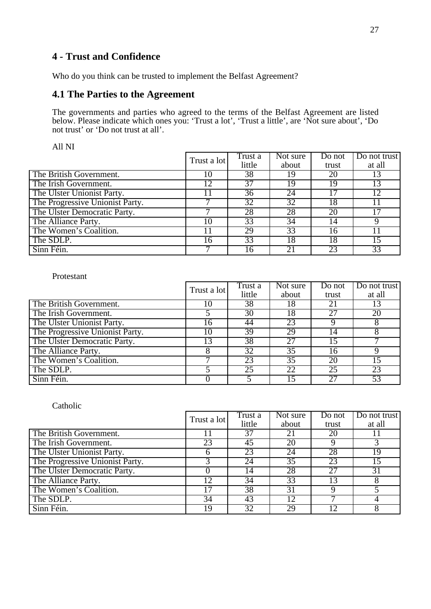### **4 - Trust and Confidence**

Who do you think can be trusted to implement the Belfast Agreement?

#### **4.1 The Parties to the Agreement**

The governments and parties who agreed to the terms of the Belfast Agreement are listed below. Please indicate which ones you: 'Trust a lot', 'Trust a little', are 'Not sure about', 'Do not trust' or 'Do not trust at all'.

All NI

|                                 | Trust a lot | Trust a         | Not sure | Do not | Do not trust |
|---------------------------------|-------------|-----------------|----------|--------|--------------|
|                                 |             | little          | about    | trust  | at all       |
| The British Government.         | 10          | 38              | 19       | 20     | 13           |
| The Irish Government.           | 12          | $\overline{37}$ | 19       | 19     | 13           |
| The Ulster Unionist Party.      | l l         | $\overline{36}$ | 24       |        | 12           |
| The Progressive Unionist Party. |             | 32              | 32       | 18     |              |
| The Ulster Democratic Party.    |             | 28              | 28       | 20     | 17           |
| The Alliance Party.             | 10          | 33              | 34       | 14     |              |
| The Women's Coalition.          | 11          | 29              | 33       | 16     |              |
| The SDLP.                       | 16          | 33              | 18       | 18     | 15           |
| Sinn Féin.                      |             | 16              |          | 23     | 33           |

#### Protestant

|                                 | Trust a lot | Trust a         | Not sure | Do not | Do not trust |
|---------------------------------|-------------|-----------------|----------|--------|--------------|
|                                 |             | little          | about    | trust  | at all       |
| The British Government.         | 10          | 38              | 18       | 21     | 13           |
| The Irish Government.           |             | $\overline{30}$ | 18       |        | 20           |
| The Ulster Unionist Party.      | 16          | 44              | 23       |        | 8            |
| The Progressive Unionist Party. | 10          | 39              | 29       | 14     |              |
| The Ulster Democratic Party.    | 13          | 38              | 27       | 15     |              |
| The Alliance Party.             |             | 32              | 35       | 16     |              |
| The Women's Coalition.          |             | 23              | 35       | 20     | 15           |
| The SDLP.                       |             | 25              | 22       | 25     | 23           |
| Sinn Féin.                      |             |                 |          |        | 53           |

|                                 | Trust a lot | Trust a | Not sure | Do not | Do not trust    |
|---------------------------------|-------------|---------|----------|--------|-----------------|
|                                 |             | little  | about    | trust  | at all          |
| The British Government.         |             | 37      | 21       | 20     |                 |
| The Irish Government.           | 23          | 45      | 20       |        |                 |
| The Ulster Unionist Party.      | h           | 23      | 24       | 28     | 19              |
| The Progressive Unionist Party. |             | 24      | 35       | 23     | 15              |
| The Ulster Democratic Party.    |             | 14      | 28       | 27     | $\overline{31}$ |
| The Alliance Party.             | 12          | 34      | 33       |        |                 |
| The Women's Coalition.          | 17          | 38      | 31       |        |                 |
| The SDLP.                       | 34          | 43      | 12       |        | 4               |
| Sinn Féin.                      | 19          | 32      | 29       |        |                 |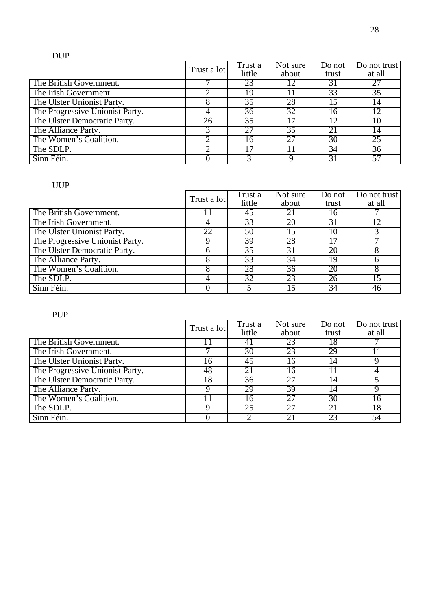### DUP

|                                 | Trust a lot | Trust a<br>little | Not sure<br>about | Do not<br>trust | Do not trust<br>at all |
|---------------------------------|-------------|-------------------|-------------------|-----------------|------------------------|
|                                 |             |                   |                   |                 |                        |
| The British Government.         |             | 23                | 12                | 31              | 27                     |
| The Irish Government.           |             | 19                |                   | 33              | $\overline{35}$        |
| The Ulster Unionist Party.      |             | 35                | 28                | .5              | 14                     |
| The Progressive Unionist Party. |             | 36                | 32                | 6               | 12                     |
| The Ulster Democratic Party.    | 26          | 35                |                   | 12              | 10                     |
| The Alliance Party.             |             | 27                | $\overline{35}$   |                 | 14                     |
| The Women's Coalition.          |             | 16                | 27                | 30              | 25                     |
| The SDLP.                       |             | 17                |                   | 34              | 36                     |
| Sinn Féin.                      |             |                   |                   |                 | 57                     |

#### UUP

|                                 | Trust a lot | Trust a         | $\overline{\text{Not sure}}$ | Do not | Do not trust |
|---------------------------------|-------------|-----------------|------------------------------|--------|--------------|
|                                 |             | little          | about                        | trust  | at all       |
| The British Government.         |             | 45              | 2 <sub>1</sub>               | 16     |              |
| The Irish Government.           |             | 33              | 20                           | 31     | 12           |
| The Ulster Unionist Party.      | 22          | 50              | 15                           | 10     |              |
| The Progressive Unionist Party. |             | 39              | 28                           |        |              |
| The Ulster Democratic Party.    | h           | $\overline{35}$ | 31                           | 20     |              |
| The Alliance Party.             |             | 33              | $3\overline{4}$              | 19     |              |
| The Women's Coalition.          |             | 28              | 36                           | 20     |              |
| The SDLP.                       |             | $\overline{32}$ | 23                           | 26     | 15           |
| Sinn Féin.                      |             |                 |                              | 34     | 46           |

### PUP

|                                 | Trust a lot | Trust a | Not sure | Do not | Do not trust |
|---------------------------------|-------------|---------|----------|--------|--------------|
|                                 |             | little  | about    | trust  | at all       |
| The British Government.         |             | 41      | 23       | 18     |              |
| The Irish Government.           |             | 30      | 23       | 29     |              |
| The Ulster Unionist Party.      | l6          | 45      | 16       | 14     |              |
| The Progressive Unionist Party. | 48          | 21      | 16       |        |              |
| The Ulster Democratic Party.    | 18          | 36      | 27       | (4)    |              |
| The Alliance Party.             | Q           | 29      | 39       | 14     | Q            |
| The Women's Coalition.          |             | 16      | 27       | 30     | 16           |
| The SDLP.                       |             | 25      | 27       | 21     | 18           |
| Sinn Féin.                      |             |         | 21       | 23     | 54           |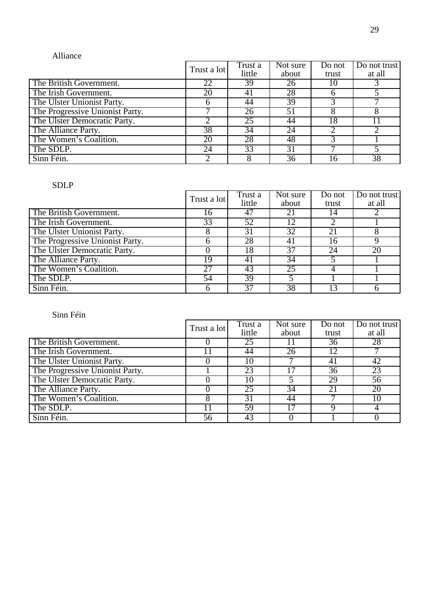#### Alliance

|                                 | Trust a lot | Trust a | Not sure | Do not | Do not trust |
|---------------------------------|-------------|---------|----------|--------|--------------|
|                                 |             | little  | about    | trust  | at all       |
| The British Government.         | 22          | 39      | 26       | 10     |              |
| The Irish Government.           | 20          | 41      | 28       |        |              |
| The Ulster Unionist Party.      | 6           | 44      | 39       |        |              |
| The Progressive Unionist Party. |             | 26      | 51       |        |              |
| The Ulster Democratic Party.    |             | 25      | 44       | 18     |              |
| The Alliance Party.             | 38          | 34      | 24       |        |              |
| The Women's Coalition.          | 20          | 28      | 48       |        |              |
| The SDLP.                       | 24          | 33      | 31       |        |              |
| Sinn Féin.                      |             |         | 36       | l 6    | 38           |

#### SDLP

|                                 | Trust a lot | Trust a | Not sure        | Do not | Do not trust |
|---------------------------------|-------------|---------|-----------------|--------|--------------|
|                                 |             | little  | about           | trust  | at all       |
| The British Government.         | 16          | 47      | 21              | 14     |              |
| The Irish Government.           | 33          | 52      |                 |        |              |
| The Ulster Unionist Party.      | 8           | 31      | 32              | 21     |              |
| The Progressive Unionist Party. |             | 28      | 4 <sub>1</sub>  | 16     |              |
| The Ulster Democratic Party.    |             | 18      | 37              | 24     | 20           |
| The Alliance Party.             | 19          | 41      | $3\overline{4}$ |        |              |
| The Women's Coalition.          | 27          | 43      | 25              |        |              |
| The SDLP.                       | 54          | 39      |                 |        |              |
| Sinn Féin.                      |             | 37      | 38              |        |              |

|                                 | Trust a lot | Trust a | Not sure | Do not | Do not trust    |
|---------------------------------|-------------|---------|----------|--------|-----------------|
|                                 |             | little  | about    | trust  | at all          |
| The British Government.         |             | 25      |          | 36     | 28              |
| The Irish Government.           |             | 44      | 26       | 12     |                 |
| The Ulster Unionist Party.      |             | 10      |          |        | 42              |
| The Progressive Unionist Party. |             | 23      |          | 36     | 23              |
| The Ulster Democratic Party.    |             | 10      |          | 29     | $\overline{56}$ |
| The Alliance Party.             |             | 25      | 34       | 21     | 20              |
| The Women's Coalition.          |             | 31      | 44       |        | $\overline{10}$ |
| The SDLP.                       |             | 59      |          |        |                 |
| Sinn Féin.                      | 56          | 43      |          |        |                 |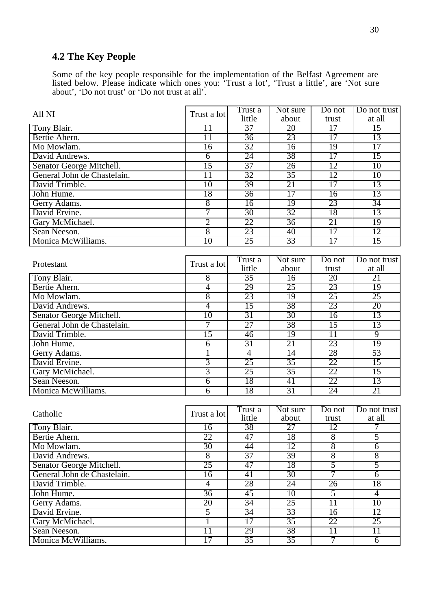# **4.2 The Key People**

Some of the key people responsible for the implementation of the Belfast Agreement are listed below. Please indicate which ones you: 'Trust a lot', 'Trust a little', are 'Not sure about', 'Do not trust' or 'Do not trust at all'.

| All NI                      | Trust a lot     | Trust a         | Not sure        | Do not            | Do not trust    |
|-----------------------------|-----------------|-----------------|-----------------|-------------------|-----------------|
|                             |                 | little          | about           | trust             | at all          |
| Tony Blair.                 | 11              | $\overline{37}$ | 20              | 17                | 15              |
| Bertie Ahern.               | 11              | 36              | 23              | 17                | 13              |
| Mo Mowlam.                  | 16              | 32              | 16              | 19                | 17              |
| David Andrews.              | $\overline{6}$  | 24              | 38              | 17                | 15              |
| Senator George Mitchell.    | 15              | $\overline{37}$ | 26              | 12                | 10              |
| General John de Chastelain. | 11              | 32              | 35              | 12                | 10              |
| David Trimble.              | $\overline{10}$ | 39              | 21              | 17                | 13              |
| John Hume.                  | 18              | 36              | 17              | 16                | 13              |
| Gerry Adams.                | $\overline{8}$  | $\overline{16}$ | 19              | 23                | 34              |
| David Ervine.               | 7               | $\overline{30}$ | 32              | 18                | 13              |
| Gary McMichael.             | $\overline{2}$  | 22              | 36              | 21                | 19              |
| Sean Neeson.                | $\overline{8}$  | 23              | 40              | 17                | 12              |
| Monica McWilliams.          | $\overline{10}$ | $\overline{25}$ | 33              | $\overline{17}$   | 15              |
|                             |                 |                 |                 |                   |                 |
|                             |                 | Trust a         | Not sure        | Do not            | Do not trust    |
| Protestant                  | Trust a lot     | little          | about           | trust             | at all          |
| Tony Blair.                 | 8               | $\overline{35}$ | $\overline{16}$ | 20                | 21              |
| Bertie Ahern.               | $\overline{4}$  | 29              | 25              | 23                | 19              |
| Mo Mowlam.                  | 8               | 23              | 19              | 25                | 25              |
| David Andrews.              | $\overline{4}$  | $\overline{15}$ | 38              | 23                | 20              |
| Senator George Mitchell.    | 10              | 31              | 30              | 16                | 13              |
| General John de Chastelain. | 7               | 27              | 38              | 15                | 13              |
| David Trimble.              | 15              | 46              | 19              | $\overline{11}$   | $\overline{9}$  |
| John Hume.                  | $\overline{6}$  | 31              | 21              | 23                | 19              |
| Gerry Adams.                | 1               | 4               | 14              | 28                | 53              |
| David Ervine.               | $\overline{3}$  | 25              | $\overline{35}$ | 22                | $\overline{15}$ |
| Gary McMichael.             | $\overline{3}$  | 25              | $\overline{35}$ | 22                | 15              |
| Sean Neeson.                | $\overline{6}$  | 18              | 41              | 22                | 13              |
| Monica McWilliams.          | $\overline{6}$  | 18              | 31              | 24                | 21              |
|                             |                 |                 |                 |                   |                 |
|                             |                 | Trust a         | Not sure        | Do not            | Do not trust    |
| Catholic                    | Trust a lot     | little          | about           | trust             | at all          |
| Tony Blair.                 | 16              | 38              | $\overline{27}$ | 12                | 7               |
| Bertie Ahern.               | 22              | 47              | 18              | $\overline{8}$    | $\overline{5}$  |
| Mo Mowlam.                  | 30              | 44              | 12              | 8                 | $\overline{6}$  |
| David Andrews.              | $\overline{8}$  | $\overline{37}$ | 39              | 8                 | $\overline{8}$  |
| Senator George Mitchell.    | 25              | 47              | 18              | 5                 | 5               |
| General John de Chastelain. | 16              | 41              | 30              | 7                 | $\overline{6}$  |
| David Trimble.              | $\overline{4}$  | 28              | $\overline{24}$ | 26                | 18              |
| John Hume.                  | 36              | 45              | 10              | 5                 | $\overline{4}$  |
| Gerry Adams.                | 20              | 34              | 25              | $\overline{11}$   | 10              |
| David Ervine.               | 5               | $\overline{34}$ | 33              | 16                | 12              |
| Gary McMichael.             | $\overline{1}$  | 17              | $\overline{35}$ | 22                | 25              |
| Sean Neeson.                | $\overline{11}$ | 29              | 38              | $\overline{11}$   | $\overline{11}$ |
| Monica McWilliams.          | 17              | 35              | $\overline{35}$ | $\overline{\tau}$ | $\overline{6}$  |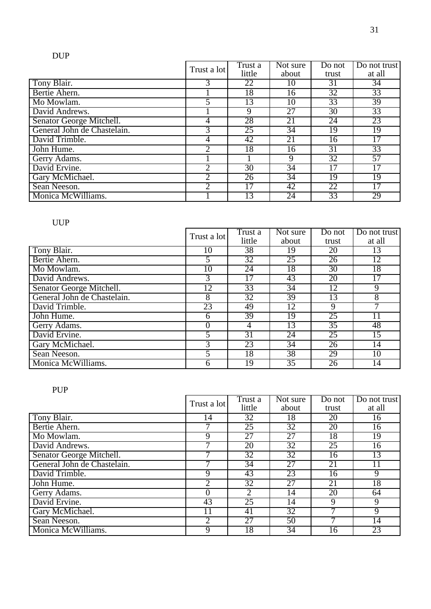# DUP

|                             | Trust a lot    | Trust a         | Not sure        | Do not | Do not trust    |
|-----------------------------|----------------|-----------------|-----------------|--------|-----------------|
|                             |                | little          | about           | trust  | at all          |
| Tony Blair.                 | 3              | 22              | 10              | 31     | 34              |
| Bertie Ahern.               |                | 18              | 16              | 32     | 33              |
| Mo Mowlam.                  |                | 13              | 10              | 33     | 39              |
| David Andrews.              |                | 9               | 27              | 30     | 33              |
| Senator George Mitchell.    | 4              | 28              | 21              | 24     | 23              |
| General John de Chastelain. | $\overline{3}$ | $\overline{25}$ | $\overline{34}$ | 19     | $\overline{19}$ |
| David Trimble.              | 4              | 42              | 21              | 16     | 17              |
| John Hume.                  | $\overline{2}$ | 18              | 16              | 31     | 33              |
| Gerry Adams.                |                |                 | 9               | 32     | $\overline{57}$ |
| David Ervine.               | 2              | 30              | 34              | 17     | 17              |
| Gary McMichael.             | $\overline{2}$ | 26              | 34              | 19     | 19              |
| Sean Neeson.                | $\overline{2}$ | 17              | 42              | 22     | 17              |
| Monica McWilliams.          |                | 13              | 24              | 33     | 29              |

### UUP

|                             | Trust a lot | Trust a         | Not sure        | Do not          | Do not trust    |
|-----------------------------|-------------|-----------------|-----------------|-----------------|-----------------|
|                             |             | little          | about           | trust           | at all          |
| Tony Blair.                 | 10          | 38              | 19              | 20              | 13              |
| Bertie Ahern.               | 5           | $\overline{32}$ | 25              | 26              | 12              |
| Mo Mowlam.                  | 10          | 24              | 18              | 30              | 18              |
| David Andrews.              | 3           | 17              | 43              | 20              | $\overline{17}$ |
| Senator George Mitchell.    | 12          | 33              | $\overline{34}$ | 12              | $\overline{9}$  |
| General John de Chastelain. | 8           | $\overline{32}$ | 39              | 13              | $\overline{8}$  |
| David Trimble.              | 23          | 49              | 12              | 9               |                 |
| John Hume.                  | 6           | 39              | 19              | 25              | 11              |
| Gerry Adams.                | $\Omega$    | 4               | 13              | $\overline{35}$ | 48              |
| David Ervine.               | 5           | $\overline{31}$ | 24              | 25              | 15              |
| Gary McMichael.             | 3           | 23              | 34              | 26              | 14              |
| Sean Neeson.                | 5           | 18              | 38              | 29              | 10              |
| Monica McWilliams.          | 6           | 19              | 35              | 26              | 14              |

### PUP

|                             | Trust a lot    | Trust a<br>little | Not sure<br>about | Do not<br>trust | Do not trust<br>at all |
|-----------------------------|----------------|-------------------|-------------------|-----------------|------------------------|
| Tony Blair.                 | 14             | 32                | 18                | 20              | 16                     |
| Bertie Ahern.               |                | 25                | 32                | 20              | 16                     |
| Mo Mowlam.                  | 9              | $\overline{27}$   | $\overline{27}$   | 18              | $\overline{19}$        |
| David Andrews.              |                | 20                | $\overline{32}$   | 25              | $\overline{16}$        |
| Senator George Mitchell.    |                | $\overline{32}$   | 32                | 16              | 13                     |
| General John de Chastelain. |                | $\overline{34}$   | $\overline{27}$   | 21              | 11                     |
| David Trimble.              | 9              | 43                | 23                | 16              | $\overline{9}$         |
| John Hume.                  | 2              | $\overline{32}$   | 27                | 21              | $1\overline{8}$        |
| Gerry Adams.                | $\theta$       | $\overline{2}$    | 14                | 20              | 64                     |
| David Ervine.               | 43             | 25                | 14                | 9               | 9                      |
| Gary McMichael.             | 11             | 41                | 32                |                 | $\overline{9}$         |
| Sean Neeson.                | $\overline{2}$ | $\overline{27}$   | 50                |                 | 14                     |
| Monica McWilliams.          | 9              | 18                | 34                | 16              | 23                     |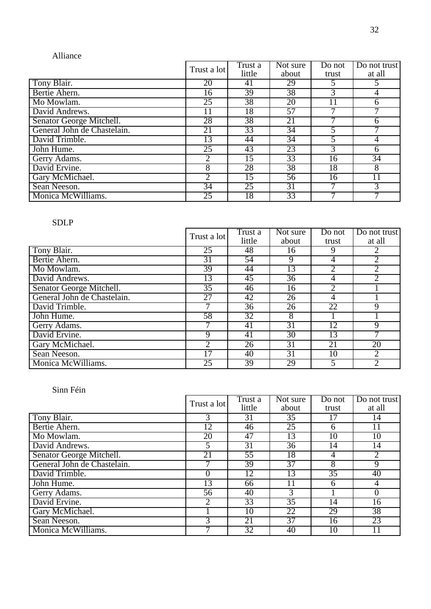#### Alliance

|                             | Trust a lot     | Trust a<br>little | Not sure<br>about | Do not<br>trust | Do not trust<br>at all |
|-----------------------------|-----------------|-------------------|-------------------|-----------------|------------------------|
| Tony Blair.                 | 20              | 41                | 29                |                 | 5                      |
| Bertie Ahern.               | 16              | 39                | 38                | 3               | $\overline{4}$         |
| Mo Mowlam.                  | 25              | 38                | 20                | 11              | 6                      |
| David Andrews.              | 11              | 18                | 57                |                 |                        |
| Senator George Mitchell.    | 28              | 38                | 21                |                 | 6                      |
| General John de Chastelain. | 21              | 33                | $\overline{34}$   |                 |                        |
| David Trimble.              | 13              | 44                | 34                |                 | 4                      |
| John Hume.                  | 25              | 43                | 23                | 3               | 6                      |
| Gerry Adams.                | 2               | 15                | 33                | 16              | $\overline{34}$        |
| David Ervine.               | 8               | 28                | 38                | 18              | $\overline{8}$         |
| Gary McMichael.             | 2               | 15                | 56                | 16              | 11                     |
| Sean Neeson.                | $\overline{34}$ | 25                | 31                |                 | $\overline{3}$         |
| Monica McWilliams.          | 25              | 18                | 33                |                 |                        |

#### SDLP

|                             | Trust a lot     | Trust a | Not sure        | Do not          | Do not trust   |
|-----------------------------|-----------------|---------|-----------------|-----------------|----------------|
|                             |                 | little  | about           | trust           | at all         |
| Tony Blair.                 | 25              | 48      | 16              | 9               | 2              |
| Bertie Ahern.               | $\overline{31}$ | 54      | 9               | 4               | $\overline{2}$ |
| Mo Mowlam.                  | 39              | 44      | 13              |                 | $\overline{2}$ |
| David Andrews.              | 13              | 45      | $\overline{36}$ | 4               | $\overline{2}$ |
| Senator George Mitchell.    | $\overline{35}$ | 46      | 16              |                 |                |
| General John de Chastelain. | $\overline{27}$ | 42      | $\overline{26}$ | 4               |                |
| David Trimble.              |                 | 36      | 26              | 22              | 9              |
| John Hume.                  | 58              | 32      | 8               |                 |                |
| Gerry Adams.                |                 | 41      | 31              | $1\overline{2}$ | 9              |
| David Ervine.               | $\mathbf Q$     | 41      | $\overline{30}$ | 13              |                |
| Gary McMichael.             |                 | 26      | 31              | 21              | 20             |
| Sean Neeson.                | 17              | 40      | 31              | 10              | $\overline{2}$ |
| Monica McWilliams.          | 25              | 39      | 29              |                 | 2              |

|                             | Trust a lot | Trust a<br>little | Not sure<br>about | Do not<br>trust | Do not trust<br>at all |
|-----------------------------|-------------|-------------------|-------------------|-----------------|------------------------|
| Tony Blair.                 | 3           | 31                | 35                |                 | 14                     |
| Bertie Ahern.               | 12          | 46                | 25                | 6               | $\overline{11}$        |
| Mo Mowlam.                  | 20          | 47                | 13                | 10              | $\overline{10}$        |
| David Andrews.              | 5           | 31                | 36                | 14              | 14                     |
| Senator George Mitchell.    | 21          | 55                | 18                | 4               | $\overline{2}$         |
| General John de Chastelain. |             | 39                | 37                | 8               | $\overline{9}$         |
| David Trimble.              |             | 12                | 13                | $\overline{35}$ | 40                     |
| John Hume.                  | 13          | 66                | 11                | 6               | $\overline{4}$         |
| Gerry Adams.                | 56          | 40                | 3                 |                 | $\overline{0}$         |
| David Ervine.               |             | 33                | $\overline{35}$   | 14              | 16                     |
| Gary McMichael.             |             | 10                | 22                | 29              | 38                     |
| Sean Neeson.                |             | 21                | 37                | 16              | 23                     |
| Monica McWilliams.          |             | $\overline{32}$   | 40                | 10              |                        |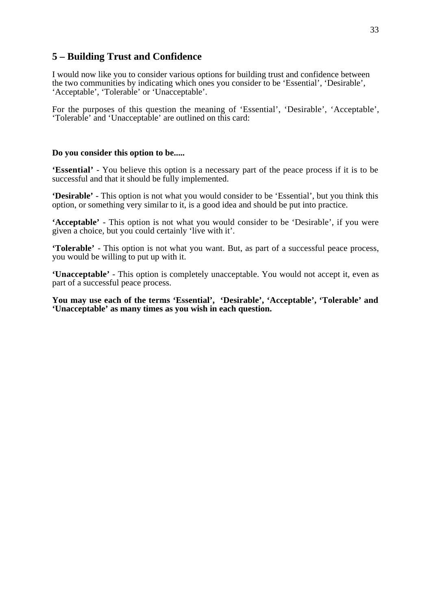#### **5 – Building Trust and Confidence**

I would now like you to consider various options for building trust and confidence between the two communities by indicating which ones you consider to be 'Essential', 'Desirable', 'Acceptable', 'Tolerable' or 'Unacceptable'.

For the purposes of this question the meaning of 'Essential', 'Desirable', 'Acceptable', 'Tolerable' and 'Unacceptable' are outlined on this card:

#### **Do you consider this option to be.....**

**'Essential'** - You believe this option is a necessary part of the peace process if it is to be successful and that it should be fully implemented.

**'Desirable'** - This option is not what you would consider to be 'Essential', but you think this option, or something very similar to it, is a good idea and should be put into practice.

**'Acceptable'** - This option is not what you would consider to be 'Desirable', if you were given a choice, but you could certainly 'live with it'.

**'Tolerable'** - This option is not what you want. But, as part of a successful peace process, you would be willing to put up with it.

**'Unacceptable'** - This option is completely unacceptable. You would not accept it, even as part of a successful peace process.

**You may use each of the terms 'Essential', 'Desirable', 'Acceptable', 'Tolerable' and 'Unacceptable' as many times as you wish in each question.**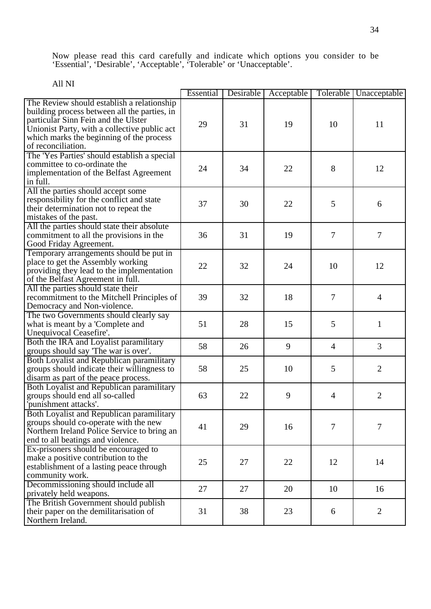Now please read this card carefully and indicate which options you consider to be 'Essential', 'Desirable', 'Acceptable', 'Tolerable' or 'Unacceptable'.

|                                              | Essential | Desirable | Acceptable |                | Tolerable   Unacceptable |
|----------------------------------------------|-----------|-----------|------------|----------------|--------------------------|
| The Review should establish a relationship   |           |           |            |                |                          |
| building process between all the parties, in |           |           |            |                |                          |
| particular Sinn Fein and the Ulster          | 29        | 31        | 19         | 10             | 11                       |
| Unionist Party, with a collective public act |           |           |            |                |                          |
| which marks the beginning of the process     |           |           |            |                |                          |
| of reconciliation.                           |           |           |            |                |                          |
| The 'Yes Parties' should establish a special |           |           |            |                |                          |
| committee to co-ordinate the                 | 24        | 34        | 22         | 8              | 12                       |
| implementation of the Belfast Agreement      |           |           |            |                |                          |
| in full.                                     |           |           |            |                |                          |
| All the parties should accept some           |           |           |            |                |                          |
| responsibility for the conflict and state    | 37        | 30        | 22         | 5              | 6                        |
| their determination not to repeat the        |           |           |            |                |                          |
| mistakes of the past.                        |           |           |            |                |                          |
| All the parties should state their absolute  |           |           |            |                |                          |
| commitment to all the provisions in the      | 36        | 31        | 19         | 7              | $\overline{7}$           |
| Good Friday Agreement.                       |           |           |            |                |                          |
| Temporary arrangements should be put in      |           |           |            |                |                          |
| place to get the Assembly working            |           |           |            |                |                          |
| providing they lead to the implementation    | 22        | 32        | 24         | 10             | 12                       |
| of the Belfast Agreement in full.            |           |           |            |                |                          |
| All the parties should state their           |           |           |            |                |                          |
| recommitment to the Mitchell Principles of   | 39        | 32        | 18         | 7              | $\overline{4}$           |
| Democracy and Non-violence.                  |           |           |            |                |                          |
| The two Governments should clearly say       |           |           |            |                |                          |
| what is meant by a 'Complete and             | 51        | 28        | 15         | 5              | 1                        |
| Unequivocal Ceasefire'.                      |           |           |            |                |                          |
| Both the IRA and Loyalist paramilitary       |           |           |            |                |                          |
| groups should say 'The war is over'.         | 58        | 26        | 9          | $\overline{4}$ | 3                        |
| Both Loyalist and Republican paramilitary    |           |           |            |                |                          |
| groups should indicate their willingness to  | 58        | 25        | 10         | 5              | $\overline{2}$           |
| disarm as part of the peace process.         |           |           |            |                |                          |
| Both Loyalist and Republican paramilitary    |           |           |            |                |                          |
| groups should end all so-called              | 63        | 22        | 9          | 4              | $\mathbf{2}$             |
| 'punishment attacks'.                        |           |           |            |                |                          |
| Both Loyalist and Republican paramilitary    |           |           |            |                |                          |
| groups should co-operate with the new        |           |           |            |                |                          |
| Northern Ireland Police Service to bring an  | 41        | 29        | 16         | 7              | $\tau$                   |
| end to all beatings and violence.            |           |           |            |                |                          |
| Ex-prisoners should be encouraged to         |           |           |            |                |                          |
| make a positive contribution to the          |           |           |            |                |                          |
| establishment of a lasting peace through     | 25        | 27        | 22         | 12             | 14                       |
| community work.                              |           |           |            |                |                          |
| Decommissioning should include all           |           |           |            |                |                          |
| privately held weapons.                      | 27        | 27        | 20         | 10             | 16                       |
| The British Government should publish        |           |           |            |                |                          |
| their paper on the demilitarisation of       | 31        | 38        | 23         | 6              | $\overline{2}$           |
| Northern Ireland.                            |           |           |            |                |                          |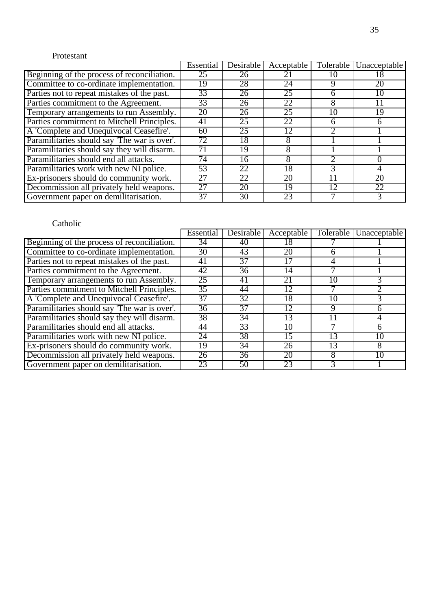#### Protestant

|                                              | Essential | <b>Desirable</b> | Acceptable |    | Tolerable Unacceptable |
|----------------------------------------------|-----------|------------------|------------|----|------------------------|
| Beginning of the process of reconciliation.  | 25        | 26               |            |    |                        |
| Committee to co-ordinate implementation.     | 19        | 28               | 24         |    | 20                     |
| Parties not to repeat mistakes of the past.  | 33        | 26               | 25         | 6  | 10                     |
| Parties commitment to the Agreement.         | 33        | 26               | 22         | 8  | 11                     |
| Temporary arrangements to run Assembly.      | 20        | 26               | 25         | 10 | 19                     |
| Parties commitment to Mitchell Principles.   | 41        | 25               | 22         | 6  |                        |
| A 'Complete and Unequivocal Ceasefire'.      | 60        | 25               | 12         |    |                        |
| Paramilitaries should say 'The war is over'. | 72        | 18               |            |    |                        |
| Paramilitaries should say they will disarm.  |           | 19               |            |    |                        |
| Paramilitaries should end all attacks.       | 74        | 16               |            |    |                        |
| Paramilitaries work with new NI police.      | 53        | 22               | 18         | 3  |                        |
| Ex-prisoners should do community work.       | 27        | 22               | 20         |    | 20                     |
| Decommission all privately held weapons.     | 27        | 20               | 19         | 12 | 22                     |
| Government paper on demilitarisation.        | 37        | 30               | 23         |    |                        |

|                                              | Essential       | Desirable | Acceptable | Tolerable | Unacceptable    |
|----------------------------------------------|-----------------|-----------|------------|-----------|-----------------|
| Beginning of the process of reconciliation.  | 34              | 40        | 18         |           |                 |
| Committee to co-ordinate implementation.     | 30              | 43        | 20         | 6         |                 |
| Parties not to repeat mistakes of the past.  | 41              | 37        |            | 4         |                 |
| Parties commitment to the Agreement.         | 42              | 36        | 14         |           |                 |
| Temporary arrangements to run Assembly.      | 25              | 41        | 21         | 10        |                 |
| Parties commitment to Mitchell Principles.   | 35              | 44        | 12         |           |                 |
| A 'Complete and Unequivocal Ceasefire'.      | 37              | 32        | 18         | 10        |                 |
| Paramilitaries should say 'The war is over'. | $\overline{36}$ | 37        | 12         | 9         | h               |
| Paramilitaries should say they will disarm.  | 38              | 34        | 13         |           | 4               |
| Paramilitaries should end all attacks.       | 44              | 33        | 10         |           | 6               |
| Paramilitaries work with new NI police.      | 24              | 38        | 15         | 13        | $1\overline{0}$ |
| Ex-prisoners should do community work.       | 19              | 34        | 26         | 13        | 8               |
| Decommission all privately held weapons.     | 26              | 36        | 20         | 8         | 10              |
| Government paper on demilitarisation.        | 23              | 50        | 23         | 3         |                 |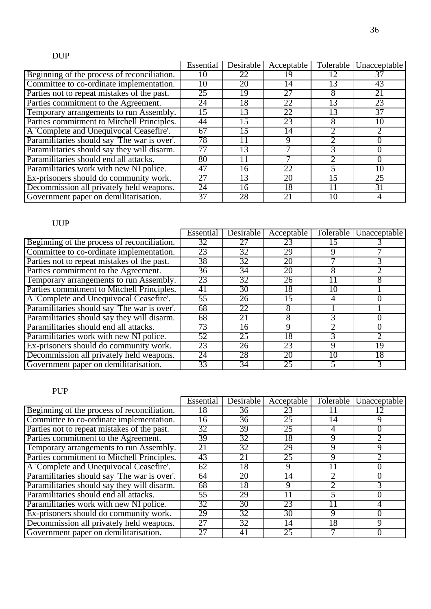# DUP

|                                              | Essential       | Desirable | Acceptable |    | Tolerable Unacceptable |
|----------------------------------------------|-----------------|-----------|------------|----|------------------------|
| Beginning of the process of reconciliation.  |                 |           |            |    |                        |
| Committee to co-ordinate implementation.     | 10              | 20        | 14         | 13 | 43                     |
| Parties not to repeat mistakes of the past.  | 25              | 19        | 27         | 8  | $2\overline{1}$        |
| Parties commitment to the Agreement.         | 24              | 18        | 22         | 13 | 23                     |
| Temporary arrangements to run Assembly.      | 15              | 13        | 22         | 13 | $\overline{37}$        |
| Parties commitment to Mitchell Principles.   | 44              | 15        | 23         | 8  | 10                     |
| A 'Complete and Unequivocal Ceasefire'.      | $\overline{6}7$ | 15        | 14         |    |                        |
| Paramilitaries should say 'The war is over'. | 78              |           | Q          |    |                        |
| Paramilitaries should say they will disarm.  | 77              | 13        |            | 3  |                        |
| Paramilitaries should end all attacks.       | 80              |           |            |    |                        |
| Paramilitaries work with new NI police.      | 47              | 16        | 22         |    | 10                     |
| Ex-prisoners should do community work.       | 27              | 13        | 20         | 15 | $\overline{25}$        |
| Decommission all privately held weapons.     | 24              | 16        | 18         |    | 31                     |
| Government paper on demilitarisation.        | 37              | 28        | 21         | 10 |                        |

### UUP

|                                              | Essential  | Desirable       | Acceptable |    | Tolerable   Unacceptable |
|----------------------------------------------|------------|-----------------|------------|----|--------------------------|
| Beginning of the process of reconciliation.  | 32         |                 | 23         |    |                          |
| Committee to co-ordinate implementation.     | 23         | $\overline{32}$ | 29         | 9  |                          |
| Parties not to repeat mistakes of the past.  | 38         | 32              | 20         |    |                          |
| Parties commitment to the Agreement.         | 36         | 34              | 20         | 8  |                          |
| Temporary arrangements to run Assembly.      | 23         | 32              | 26         |    | 8                        |
| Parties commitment to Mitchell Principles.   | 41         | 30              | 18         | 10 |                          |
| A 'Complete and Unequivocal Ceasefire'.      | 55         | 26              | 15         | 4  |                          |
| Paramilitaries should say 'The war is over'. | 68         | 22              | 8          |    |                          |
| Paramilitaries should say they will disarm.  | 68         | 21              | 8          |    |                          |
| Paramilitaries should end all attacks.       | $\sqrt{3}$ | 16              | 9          |    |                          |
| Paramilitaries work with new NI police.      | 52         | 25              | 18         |    |                          |
| Ex-prisoners should do community work.       | 23         | 26              | 23         | 9  | 19                       |
| Decommission all privately held weapons.     | 24         | 28              | 20         | 10 | 18                       |
| Government paper on demilitarisation.        | 33         | 34              | 25         |    |                          |

#### PUP

|                                              | Essential       | <b>Desirable</b> | Acceptable      | Tolerable | Unacceptable |
|----------------------------------------------|-----------------|------------------|-----------------|-----------|--------------|
| Beginning of the process of reconciliation.  | 8               | 36               | 23              |           |              |
| Committee to co-ordinate implementation.     | 16              | 36               | $\overline{25}$ | 14        |              |
| Parties not to repeat mistakes of the past.  | 32              | 39               | 25              |           |              |
| Parties commitment to the Agreement.         | 39              | 32               | 18              | 9         |              |
| Temporary arrangements to run Assembly.      | $\overline{21}$ | 32               | 29              | 9         | Q            |
| Parties commitment to Mitchell Principles.   | 43              | 21               | 25              | 9         |              |
| A 'Complete and Unequivocal Ceasefire'.      | 62              | 18               | Q               |           |              |
| Paramilitaries should say 'The war is over'. | 64              | 20               | 14              |           |              |
| Paramilitaries should say they will disarm.  | 68              | 18               | Q               | າ         |              |
| Paramilitaries should end all attacks.       | 55              | 29               |                 |           |              |
| Paramilitaries work with new NI police.      | 32              | 30               | 23              | 11        |              |
| Ex-prisoners should do community work.       | 29              | 32               | 30              | 9         |              |
| Decommission all privately held weapons.     | 27              | $3\overline{2}$  | 14              | 18        | Q            |
| Government paper on demilitarisation.        |                 | 41               | 25              |           |              |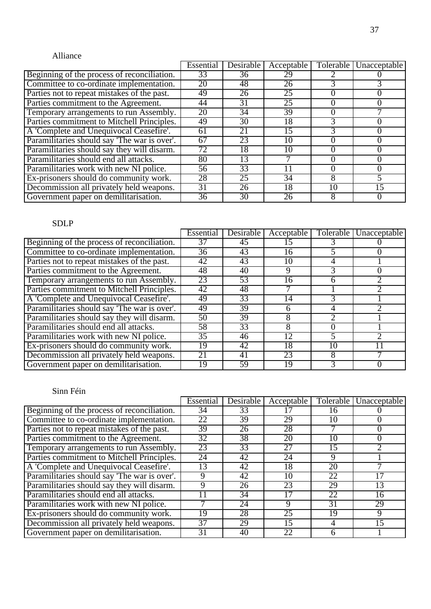#### Alliance

|                                              | Essential       | <b>Desirable</b> | Acceptable |    | Tolerable   Unacceptable |
|----------------------------------------------|-----------------|------------------|------------|----|--------------------------|
| Beginning of the process of reconciliation.  | 33              | 36               | 29         |    |                          |
| Committee to co-ordinate implementation.     | 20              | 48               | 26         |    |                          |
| Parties not to repeat mistakes of the past.  | 49              | 26               | 25         |    |                          |
| Parties commitment to the Agreement.         | 44              | 31               | 25         |    |                          |
| Temporary arrangements to run Assembly.      | 20              | 34               | 39         |    |                          |
| Parties commitment to Mitchell Principles.   | 49              | 30               | 18         |    |                          |
| A 'Complete and Unequivocal Ceasefire'.      | 61              | 21               | 15         |    |                          |
| Paramilitaries should say 'The war is over'. | 67              | 23               | 10         |    |                          |
| Paramilitaries should say they will disarm.  | $\overline{72}$ | 18               | 10         |    |                          |
| Paramilitaries should end all attacks.       | 80              | 13               |            |    |                          |
| Paramilitaries work with new NI police.      | 56              | 33               |            |    |                          |
| Ex-prisoners should do community work.       | 28              | 25               | 34         | 8  |                          |
| Decommission all privately held weapons.     | 31              | 26               | 18         | 10 | $1\overline{5}$          |
| Government paper on demilitarisation.        | 36              | 30               | 26         |    |                          |

### SDLP

|                                              | Essential | <b>Desirable</b> | Acceptable | Tolerable | Unacceptable |
|----------------------------------------------|-----------|------------------|------------|-----------|--------------|
| Beginning of the process of reconciliation.  | 37        | 45               |            |           |              |
| Committee to co-ordinate implementation.     | 36        | 43               | 16         |           |              |
| Parties not to repeat mistakes of the past.  | 42        | 43               | 10         |           |              |
| Parties commitment to the Agreement.         | 48        | 40               | 9          |           |              |
| Temporary arrangements to run Assembly.      | 23        | 53               | 16         | h         |              |
| Parties commitment to Mitchell Principles.   | 42        | 48               |            |           |              |
| A 'Complete and Unequivocal Ceasefire'.      | 49        | 33               | 14         |           |              |
| Paramilitaries should say 'The war is over'. | 49        | 39               | 6          | 4         |              |
| Paramilitaries should say they will disarm.  | 50        | 39               | 8          |           |              |
| Paramilitaries should end all attacks.       | 58        | 33               | 8          |           |              |
| Paramilitaries work with new NI police.      | 35        | 46               | 12         | 5         |              |
| Ex-prisoners should do community work.       | 19        | 42               | 18         | 10        |              |
| Decommission all privately held weapons.     | 21        | 41               | 23         | 8         |              |
| Government paper on demilitarisation.        | 19        | 59               | 19         |           |              |

|                                              | Essential       | Desirable       | Acceptable      | Tolerable | Unacceptable |
|----------------------------------------------|-----------------|-----------------|-----------------|-----------|--------------|
| Beginning of the process of reconciliation.  | 34              | 33              |                 | 16        |              |
| Committee to co-ordinate implementation.     | 22              | 39              | 29              | 10        |              |
| Parties not to repeat mistakes of the past.  | 39              | 26              | 28              |           |              |
| Parties commitment to the Agreement.         | 32              | 38              | 20              | 10        |              |
| Temporary arrangements to run Assembly.      | 23              | $3\overline{3}$ | 27              | 15        |              |
| Parties commitment to Mitchell Principles.   | 24              | 42              | 24              | 9         |              |
| A 'Complete and Unequivocal Ceasefire'.      | 13              | 42              | 18              | 20        |              |
| Paramilitaries should say 'The war is over'. | 9               | 42              | 10              | 22        |              |
| Paramilitaries should say they will disarm.  |                 | 26              | 23              | 29        | 13           |
| Paramilitaries should end all attacks.       |                 | 34              |                 | 22        | 16           |
| Paramilitaries work with new NI police.      |                 | 24              | 9               | 31        | 29           |
| Ex-prisoners should do community work.       | 19              | 28              | 25              | 19        | 9            |
| Decommission all privately held weapons.     | 37              | 29              | $1\overline{5}$ | 4         | 15           |
| Government paper on demilitarisation.        | $\overline{31}$ | 40              | 22              | h         |              |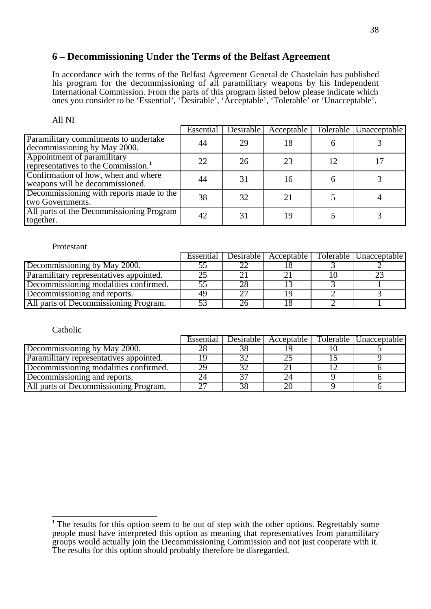#### **6 – Decommissioning Under the Terms of the Belfast Agreement**

In accordance with the terms of the Belfast Agreement General de Chastelain has published his program for the decommissioning of all paramilitary weapons by his Independent International Commission. From the parts of this program listed below please indicate which ones you consider to be 'Essential', 'Desirable', 'Acceptable', 'Tolerable' or 'Unacceptable'.

|                                                                                | Essential | Desirable | Acceptable |   | Tolerable   Unacceptable |
|--------------------------------------------------------------------------------|-----------|-----------|------------|---|--------------------------|
| Paramilitary commitments to undertake<br>decommissioning by May 2000.          | 44        | 29        | 18         |   |                          |
| Appointment of paramilitary<br>representatives to the Commission. <sup>1</sup> | 22        | 26        | 23         |   |                          |
| Confirmation of how, when and where<br>weapons will be decommissioned.         | 44        | 31        | 16         | n |                          |
| Decommissioning with reports made to the<br>two Governments.                   | 38        | 32        |            |   |                          |
| All parts of the Decommissioning Program<br>together.                          | 42        | 31        | 19         |   |                          |

#### All NI

#### Protestant

|                                         | Essential   Desirable | Acceptable | Tolerable   Unacceptable |
|-----------------------------------------|-----------------------|------------|--------------------------|
| Decommissioning by May 2000.            |                       |            |                          |
| Paramilitary representatives appointed. |                       |            |                          |
| Decommissioning modalities confirmed.   |                       |            |                          |
| Decommissioning and reports.            |                       |            |                          |
| All parts of Decommissioning Program.   |                       |            |                          |

| Catholic                                |           |           |            |                          |
|-----------------------------------------|-----------|-----------|------------|--------------------------|
|                                         | Essential | Desirable | Acceptable | Tolerable   Unacceptable |
| Decommissioning by May 2000.            |           |           |            |                          |
| Paramilitary representatives appointed. |           |           |            |                          |
| Decommissioning modalities confirmed.   | 29        |           |            |                          |
| Decommissioning and reports.            |           |           |            |                          |
| All parts of Decommissioning Program.   |           |           | 20         |                          |

 $\overline{1}$ <sup>1</sup> The results for this option seem to be out of step with the other options. Regrettably some people must have interpreted this option as meaning that representatives from paramilitary groups would actually join the Decommissioning Commission and not just cooperate with it. The results for this option should probably therefore be disregarded.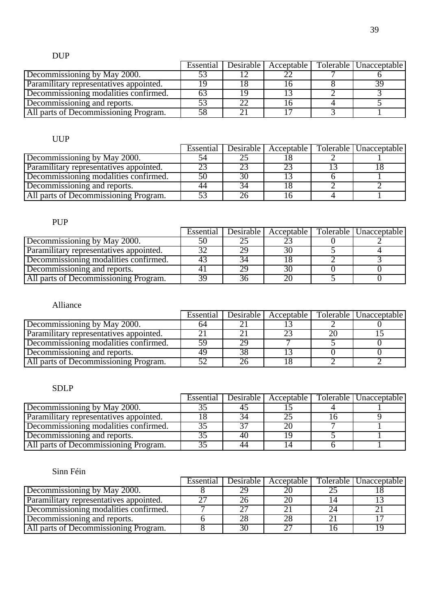### DUP

|                                         | Essential |  | Desirable   Acceptable   Tolerable   Unacceptable |
|-----------------------------------------|-----------|--|---------------------------------------------------|
| Decommissioning by May 2000.            |           |  |                                                   |
| Paramilitary representatives appointed. |           |  |                                                   |
| Decommissioning modalities confirmed.   |           |  |                                                   |
| Decommissioning and reports.            |           |  |                                                   |
| All parts of Decommissioning Program.   |           |  |                                                   |

#### UUP

|                                         | Essential | $\sqrt{\text{Desirable} \mid}$ Acceptable | Tolerable Unacceptable |
|-----------------------------------------|-----------|-------------------------------------------|------------------------|
| Decommissioning by May 2000.            |           |                                           |                        |
| Paramilitary representatives appointed. |           |                                           |                        |
| Decommissioning modalities confirmed.   |           |                                           |                        |
| Decommissioning and reports.            |           |                                           |                        |
| All parts of Decommissioning Program.   |           |                                           |                        |

### PUP

|                                         | Essential | Desirable | Acceptable | Tolerable   Unacceptable |
|-----------------------------------------|-----------|-----------|------------|--------------------------|
| Decommissioning by May 2000.            |           |           |            |                          |
| Paramilitary representatives appointed. |           |           | 30         |                          |
| Decommissioning modalities confirmed.   |           |           |            |                          |
| Decommissioning and reports.            |           |           | 30         |                          |
| All parts of Decommissioning Program.   |           |           |            |                          |

### Alliance

|                                         | Essential |  | Desirable   Acceptable   Tolerable   Unacceptable |
|-----------------------------------------|-----------|--|---------------------------------------------------|
| Decommissioning by May 2000.            | n4        |  |                                                   |
| Paramilitary representatives appointed. |           |  |                                                   |
| Decommissioning modalities confirmed.   |           |  |                                                   |
| Decommissioning and reports.            |           |  |                                                   |
| All parts of Decommissioning Program.   |           |  |                                                   |

#### SDLP

|                                         | Essential |    |  | Desirable   Acceptable   Tolerable   Unacceptable |
|-----------------------------------------|-----------|----|--|---------------------------------------------------|
| Decommissioning by May 2000.            |           |    |  |                                                   |
| Paramilitary representatives appointed. |           |    |  |                                                   |
| Decommissioning modalities confirmed.   |           |    |  |                                                   |
| Decommissioning and reports.            |           | 40 |  |                                                   |
| All parts of Decommissioning Program.   |           |    |  |                                                   |

|                                         | Essential | Desirable | Acceptable | Tolerable   Unacceptable |
|-----------------------------------------|-----------|-----------|------------|--------------------------|
| Decommissioning by May 2000.            |           |           |            |                          |
| Paramilitary representatives appointed. |           |           |            |                          |
| Decommissioning modalities confirmed.   |           |           |            |                          |
| Decommissioning and reports.            |           |           |            |                          |
| All parts of Decommissioning Program.   |           |           |            |                          |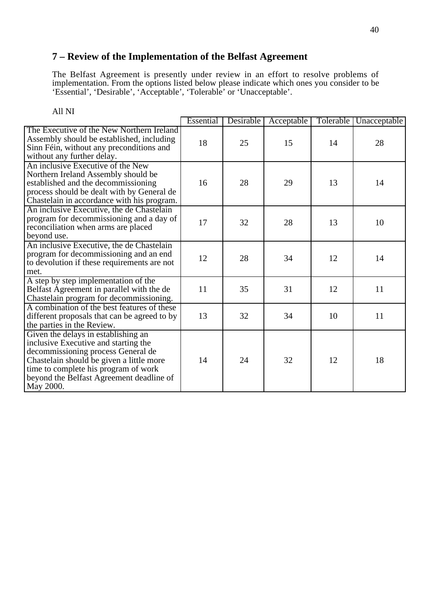### **7 – Review of the Implementation of the Belfast Agreement**

The Belfast Agreement is presently under review in an effort to resolve problems of implementation. From the options listed below please indicate which ones you consider to be 'Essential', 'Desirable', 'Acceptable', 'Tolerable' or 'Unacceptable'.

|                                                                                                                                                                                                                                                                | Essential | Desirable | Acceptable | Tolerable | Unacceptable |
|----------------------------------------------------------------------------------------------------------------------------------------------------------------------------------------------------------------------------------------------------------------|-----------|-----------|------------|-----------|--------------|
| The Executive of the New Northern Ireland<br>Assembly should be established, including<br>Sinn Féin, without any preconditions and<br>without any further delay.                                                                                               | 18        | 25        | 15         | 14        | 28           |
| An inclusive Executive of the New<br>Northern Ireland Assembly should be<br>established and the decommissioning<br>process should be dealt with by General de<br>Chastelain in accordance with his program.                                                    | 16        | 28        | 29         | 13        | 14           |
| An inclusive Executive, the de Chastelain<br>program for decommissioning and a day of<br>reconciliation when arms are placed<br>beyond use.                                                                                                                    | 17        | 32        | 28         | 13        | 10           |
| An inclusive Executive, the de Chastelain<br>program for decommissioning and an end<br>to devolution if these requirements are not<br>met.                                                                                                                     | 12        | 28        | 34         | 12        | 14           |
| A step by step implementation of the<br>Belfast Agreement in parallel with the de<br>Chastelain program for decommissioning.                                                                                                                                   | 11        | 35        | 31         | 12        | 11           |
| A combination of the best features of these<br>different proposals that can be agreed to by<br>the parties in the Review.                                                                                                                                      | 13        | 32        | 34         | 10        | 11           |
| Given the delays in establishing an<br>inclusive Executive and starting the<br>decommissioning process General de<br>Chastelain should be given a little more<br>time to complete his program of work<br>beyond the Belfast Agreement deadline of<br>May 2000. | 14        | 24        | 32         | 12        | 18           |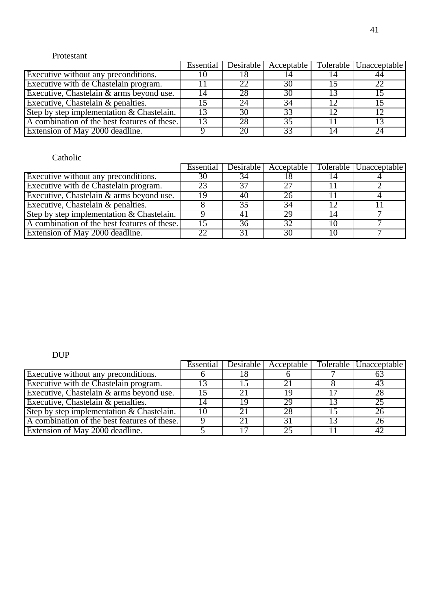#### Protestant

|                                              |    |    | Essential Desirable Acceptable | Tolerable Unacceptable |
|----------------------------------------------|----|----|--------------------------------|------------------------|
| Executive without any preconditions.         |    |    |                                |                        |
| Executive with de Chastelain program.        |    |    | 30                             | 22                     |
| Executive, Chastelain & arms beyond use.     | 14 | 28 | 30                             |                        |
| Executive, Chastelain & penalties.           |    |    | 34                             |                        |
| Step by step implementation & Chastelain.    |    | 30 | 33                             |                        |
| A combination of the best features of these. |    | 28 | 35                             |                        |
| Extension of May 2000 deadline.              |    |    | 33                             | 24                     |

#### Catholic

|                                              |    |    | Essential   Desirable   Acceptable | Tolerable   Unacceptable |
|----------------------------------------------|----|----|------------------------------------|--------------------------|
| Executive without any preconditions.         | 30 | 54 |                                    |                          |
| Executive with de Chastelain program.        | 23 |    | フフ                                 |                          |
| Executive, Chastelain & arms beyond use.     | 10 | 40 | 26                                 |                          |
| Executive, Chastelain & penalties.           |    |    | 34                                 |                          |
| Step by step implementation $& Chastelain.$  |    |    | 29                                 |                          |
| A combination of the best features of these. |    | 36 | 32                                 |                          |
| Extension of May 2000 deadline.              |    |    | 30                                 |                          |

### DUP

|                                              | Essential | Desirable I |    | Acceptable   Tolerable   Unacceptable |
|----------------------------------------------|-----------|-------------|----|---------------------------------------|
| Executive without any preconditions.         |           |             |    |                                       |
| Executive with de Chastelain program.        |           |             |    |                                       |
| Executive, Chastelain & arms beyond use.     |           |             | 10 | 28                                    |
| Executive, Chastelain & penalties.           |           |             | 29 | 25                                    |
| Step by step implementation $&$ Chastelain.  |           |             | 28 | 26                                    |
| A combination of the best features of these. |           |             | 31 | 26                                    |
| Extension of May 2000 deadline.              |           |             |    |                                       |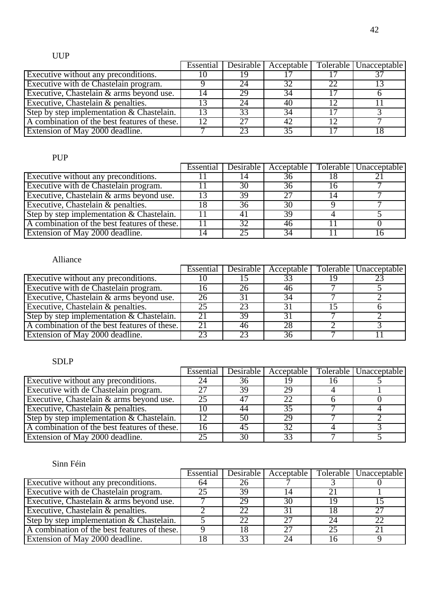### UUP

|                                              |    |    |    |    | Essential   Desirable   Acceptable   Tolerable   Unacceptable |
|----------------------------------------------|----|----|----|----|---------------------------------------------------------------|
| Executive without any preconditions.         |    |    |    |    |                                                               |
| Executive with de Chastelain program.        |    | 24 | 32 | 22 |                                                               |
| Executive, Chastelain & arms beyond use.     | 14 | 29 | 34 |    |                                                               |
| Executive, Chastelain & penalties.           |    |    | 40 |    |                                                               |
| Step by step implementation & Chastelain.    |    | 33 | 34 |    |                                                               |
| A combination of the best features of these. |    |    | 42 |    |                                                               |
| Extension of May 2000 deadline.              |    |    |    |    |                                                               |

#### PUP

|                                              | Essential Desirable |                 | Acceptable   Tolerable   Unacceptable |
|----------------------------------------------|---------------------|-----------------|---------------------------------------|
| <b>Executive without any preconditions.</b>  |                     | 36              |                                       |
| Executive with de Chastelain program.        | 30                  | 36              |                                       |
| Executive, Chastelain & arms beyond use.     | 39                  | $\overline{27}$ |                                       |
| Executive, Chastelain & penalties.           | 36                  | 30              |                                       |
| Step by step implementation & Chastelain.    |                     | 39              |                                       |
| A combination of the best features of these. | 32                  | 46              |                                       |
| Extension of May 2000 deadline.              |                     | 34              |                                       |

#### Alliance

|                                              | Essential |    | Desirable   Acceptable | Tolerable   Unacceptable |
|----------------------------------------------|-----------|----|------------------------|--------------------------|
| Executive without any preconditions.         |           |    | 33                     |                          |
| Executive with de Chastelain program.        |           | 26 | 46                     |                          |
| Executive, Chastelain & arms beyond use.     |           |    | 34                     |                          |
| Executive, Chastelain & penalties.           | 25        | 23 |                        |                          |
| Step by step implementation $&$ Chastelain.  | 21        | 39 | 31                     |                          |
| A combination of the best features of these. | 21        | 46 | 28                     |                          |
| Extension of May 2000 deadline.              |           |    | 36                     |                          |

#### SDLP

|                                              |    |    | Essential Desirable   Acceptable | Tolerable   Unacceptable |
|----------------------------------------------|----|----|----------------------------------|--------------------------|
| Executive without any preconditions.         |    | 36 |                                  |                          |
| Executive with de Chastelain program.        |    | 39 | 29                               |                          |
| Executive, Chastelain & arms beyond use.     | 25 |    | 22                               |                          |
| Executive, Chastelain & penalties.           |    |    | 35                               |                          |
| Step by step implementation $&$ Chastelain.  |    |    | 29                               |                          |
| A combination of the best features of these. | 16 | 45 | 32                               |                          |
| Extension of May 2000 deadline.              | 25 | 30 | 33                               |                          |

|                                              | Essential |    |    |    | Desirable   Acceptable   Tolerable   Unacceptable |
|----------------------------------------------|-----------|----|----|----|---------------------------------------------------|
| <b>Executive without any preconditions.</b>  | 64        | Zh |    |    |                                                   |
| Executive with de Chastelain program.        |           | 39 |    |    |                                                   |
| Executive, Chastelain & arms beyond use.     |           | 29 | 30 | 19 |                                                   |
| Executive, Chastelain & penalties.           |           |    |    |    |                                                   |
| Step by step implementation $&$ Chastelain.  |           | 22 | 27 | 24 | 22                                                |
| A combination of the best features of these. |           |    | 27 | 25 |                                                   |
| Extension of May 2000 deadline.              |           | 33 | 24 |    |                                                   |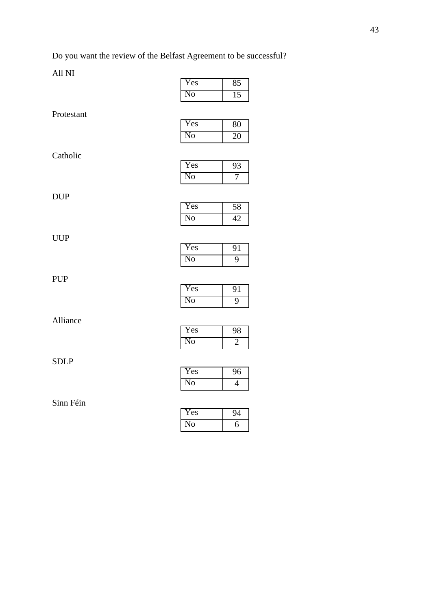Do you want the review of the Belfast Agreement to be successful?

|             |                           | $\overline{ }$  |
|-------------|---------------------------|-----------------|
| Protestant  |                           |                 |
|             | Yes                       | 80              |
|             | No                        | $\overline{20}$ |
|             |                           |                 |
| Catholic    |                           |                 |
|             | Yes                       | $\overline{93}$ |
|             | $\overline{\text{No}}$    | 7               |
| <b>DUP</b>  |                           |                 |
|             | Yes                       | 58              |
|             | N <sub>0</sub>            | 42              |
|             |                           |                 |
| <b>UUP</b>  |                           |                 |
|             | Yes                       | $\overline{91}$ |
|             | N <sub>0</sub>            | $\overline{9}$  |
| <b>PUP</b>  |                           |                 |
|             | Yes                       | 91              |
|             | N <sub>0</sub>            | $\overline{9}$  |
|             |                           |                 |
| Alliance    |                           |                 |
|             | Yes                       | 98              |
|             | No                        | $\overline{2}$  |
| <b>SDLP</b> |                           |                 |
|             | Yes                       | $\overline{96}$ |
|             | N <sub>o</sub>            | $\overline{4}$  |
|             |                           |                 |
| Sinn Féin   |                           |                 |
|             | $\overline{\mathrm{Yes}}$ | 94              |
|             | $\overline{\text{No}}$    | $\overline{6}$  |

| Yes |  |
|-----|--|
| 0   |  |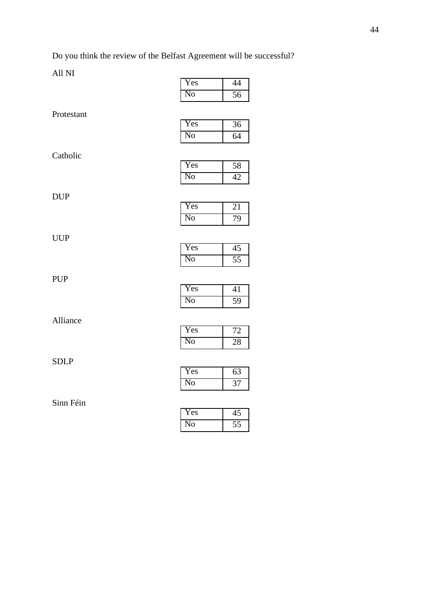Do you think the review of the Belfast Agreement will be successful?

| $\overline{\mathrm{Yes}}$ | 44              |
|---------------------------|-----------------|
| $\overline{No}$           | 56              |
|                           |                 |
| Yes                       | $\overline{36}$ |
| $\overline{No}$           | 64              |
|                           |                 |
| Yes                       | $\overline{58}$ |
| N <sub>o</sub>            | 42              |
|                           |                 |
| Yes                       | 21              |
| N <sub>0</sub>            | 79              |
|                           |                 |
| Yes                       | $\overline{45}$ |
| N <sub>o</sub>            | $\overline{55}$ |
|                           |                 |
| Yes                       | 41              |
| $\overline{\text{No}}$    | 59              |
|                           |                 |
| Yes                       | 72              |
|                           | $\overline{28}$ |
|                           |                 |
| Yes                       | $\overline{63}$ |
| N <sub>0</sub>            | 37              |
|                           |                 |
| Yes                       | 45              |
| No                        | $\overline{55}$ |
|                           | N <sub>0</sub>  |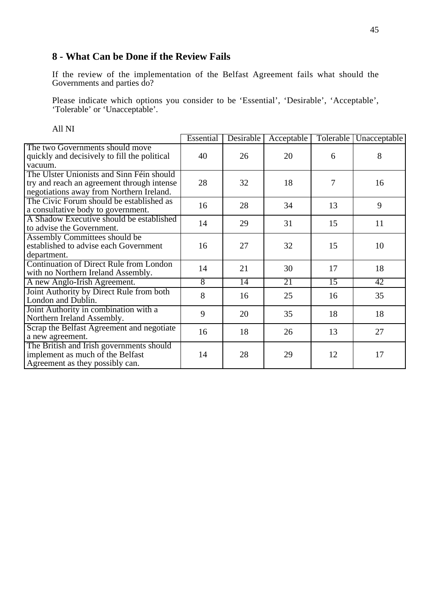### **8 - What Can be Done if the Review Fails**

If the review of the implementation of the Belfast Agreement fails what should the Governments and parties do?

Please indicate which options you consider to be 'Essential', 'Desirable', 'Acceptable', 'Tolerable' or 'Unacceptable'.

|                                                                                                                                     | Essential | Desirable       | Acceptable | Tolerable       | Unacceptable |
|-------------------------------------------------------------------------------------------------------------------------------------|-----------|-----------------|------------|-----------------|--------------|
| The two Governments should move<br>quickly and decisively to fill the political<br>vacuum.                                          | 40        | 26              | 20         | 6               | 8            |
| The Ulster Unionists and Sinn Féin should<br>try and reach an agreement through intense<br>negotiations away from Northern Ireland. | 28        | 32              | 18         | 7               | 16           |
| The Civic Forum should be established as<br>a consultative body to government.                                                      | 16        | 28              | 34         | 13              | 9            |
| A Shadow Executive should be established<br>to advise the Government.                                                               | 14        | 29              | 31         | 15              | 11           |
| Assembly Committees should be<br>established to advise each Government<br>department.                                               | 16        | 27              | 32         | 15              | 10           |
| <b>Continuation of Direct Rule from London</b><br>with no Northern Ireland Assembly.                                                | 14        | 21              | 30         | 17              | 18           |
| A new Anglo-Irish Agreement.                                                                                                        | 8         | $\overline{14}$ | 21         | $\overline{15}$ | 42           |
| Joint Authority by Direct Rule from both<br>London and Dublin.                                                                      | 8         | 16              | 25         | 16              | 35           |
| Joint Authority in combination with a<br>Northern Ireland Assembly.                                                                 | 9         | 20              | 35         | 18              | 18           |
| Scrap the Belfast Agreement and negotiate<br>a new agreement.                                                                       | 16        | 18              | 26         | 13              | 27           |
| The British and Irish governments should<br>implement as much of the Belfast<br>Agreement as they possibly can.                     | 14        | 28              | 29         | 12              | 17           |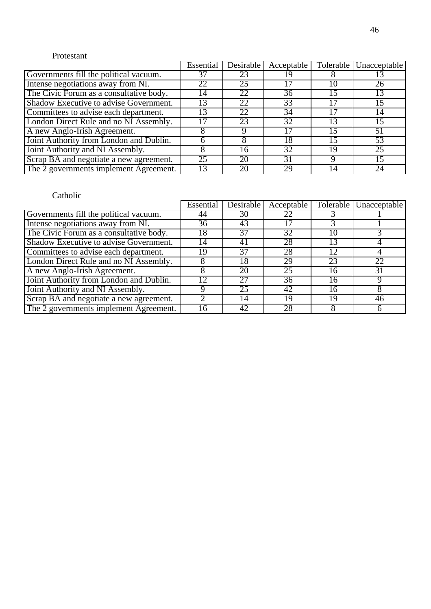#### Protestant

|                                         | Essential | Desirable       | Acceptable |    | Tolerable Unacceptable |
|-----------------------------------------|-----------|-----------------|------------|----|------------------------|
| Governments fill the political vacuum.  |           | 23              | 19         |    |                        |
| Intense negotiations away from NI.      | 22        | $2\overline{5}$ |            |    | 26                     |
| The Civic Forum as a consultative body. | 14        | 22              | 36         | 15 | 13                     |
| Shadow Executive to advise Government.  | 13        | 22              | 33         |    | 15                     |
| Committees to advise each department.   | 13        | 22              | 34         |    | 14                     |
| London Direct Rule and no NI Assembly.  |           | 23              | 32         | 13 | 15                     |
| A new Anglo-Irish Agreement.            |           |                 |            |    |                        |
| Joint Authority from London and Dublin. |           |                 | 18         | 15 | 53                     |
| Joint Authority and NI Assembly.        |           | 16              | 32         | 19 | 25                     |
| Scrap BA and negotiate a new agreement. | 25        | 20              | 31         |    | 15                     |
| The 2 governments implement Agreement.  |           |                 | 29         |    | 24                     |

|                                         | Essential | Desirable | Acceptable |    | Tolerable Unacceptable |
|-----------------------------------------|-----------|-----------|------------|----|------------------------|
| Governments fill the political vacuum.  | 44        | 30        | 22         |    |                        |
| Intense negotiations away from NI.      | 36        | 43        |            |    |                        |
| The Civic Forum as a consultative body. | 18        | 37        | 32         | 10 |                        |
| Shadow Executive to advise Government.  | 14        |           | 28         |    |                        |
| Committees to advise each department.   | 19        | 37        | 28         | 12 |                        |
| London Direct Rule and no NI Assembly.  |           | 18        | 29         | 23 | 22                     |
| A new Anglo-Irish Agreement.            |           | 20        | 25         | 16 | 31                     |
| Joint Authority from London and Dublin. | 12        | 27        | 36         | 16 |                        |
| Joint Authority and NI Assembly.        |           | 25        | 42         | 16 |                        |
| Scrap BA and negotiate a new agreement. |           | 14        | 19         | 19 | 46                     |
| The 2 governments implement Agreement.  | 16        | 42        | 28         |    |                        |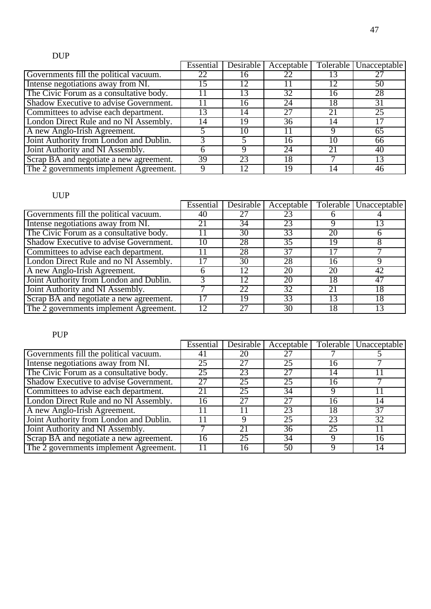### DUP

|                                         | Essential | Desirable | Acceptable |    | Tolerable Unacceptable |
|-----------------------------------------|-----------|-----------|------------|----|------------------------|
| Governments fill the political vacuum.  | 22        |           |            |    |                        |
| Intense negotiations away from NI.      |           |           |            | 12 | 50                     |
| The Civic Forum as a consultative body. |           |           | 32         | 16 | 28                     |
| Shadow Executive to advise Government.  |           | რ         | 24         | 18 | 31                     |
| Committees to advise each department.   | 3         | 14        | 27         | 21 | $\overline{25}$        |
| London Direct Rule and no NI Assembly.  | 14        | 19        | 36         | 14 | 17                     |
| A new Anglo-Irish Agreement.            |           |           |            |    | 65                     |
| Joint Authority from London and Dublin. |           |           | 16         | 10 | 66                     |
| Joint Authority and NI Assembly.        |           |           | 24         | 21 | 40                     |
| Scrap BA and negotiate a new agreement. | 39        | 23        | 18         |    | 13                     |
| The 2 governments implement Agreement.  |           |           | 19         | 14 | 46                     |

#### UUP

|                                         | Essential | Desirable | Acceptable      |    | Tolerable   Unacceptable |
|-----------------------------------------|-----------|-----------|-----------------|----|--------------------------|
| Governments fill the political vacuum.  | 40        |           | 23              |    |                          |
| Intense negotiations away from NI.      | 21        | 34        | 23              |    |                          |
| The Civic Forum as a consultative body. |           | 30        | 33              | 20 |                          |
| Shadow Executive to advise Government.  | 10        | 28        | 35              | 19 |                          |
| Committees to advise each department.   |           | 28        | 37              |    |                          |
| London Direct Rule and no NI Assembly.  |           | 30        | 28              | 16 |                          |
| A new Anglo-Irish Agreement.            |           |           | 20              | 20 | 42                       |
| Joint Authority from London and Dublin. |           |           | 20              | 18 | 47                       |
| Joint Authority and NI Assembly.        |           | 22        | $\overline{32}$ | 21 | 18                       |
| Scrap BA and negotiate a new agreement. |           | 19        | 33              |    | 18                       |
| The 2 governments implement Agreement.  |           |           | 30              | 18 |                          |

# PUP

|                                         | Essential | Desirable | Acceptable |    | Tolerable Unacceptable |
|-----------------------------------------|-----------|-----------|------------|----|------------------------|
| Governments fill the political vacuum.  | 41        | 20        |            |    |                        |
| Intense negotiations away from NI.      | 25        |           | 25         | 16 |                        |
| The Civic Forum as a consultative body. | 25        | 23        |            | 14 |                        |
| Shadow Executive to advise Government.  | 27        | 25        | 25         | 16 |                        |
| Committees to advise each department.   | 21        | 25        | 34         | Q  |                        |
| London Direct Rule and no NI Assembly.  | 16        |           | 27         | 16 | 14                     |
| A new Anglo-Irish Agreement.            |           |           | 23         | 18 | 37                     |
| Joint Authority from London and Dublin. |           |           | 25         | 23 | 32                     |
| Joint Authority and NI Assembly.        |           | 21        | 36         | 25 |                        |
| Scrap BA and negotiate a new agreement. | 16        | 25        | 34         | a  | 16                     |
| The 2 governments implement Agreement.  |           | l 6       | 50         | Q  | 14                     |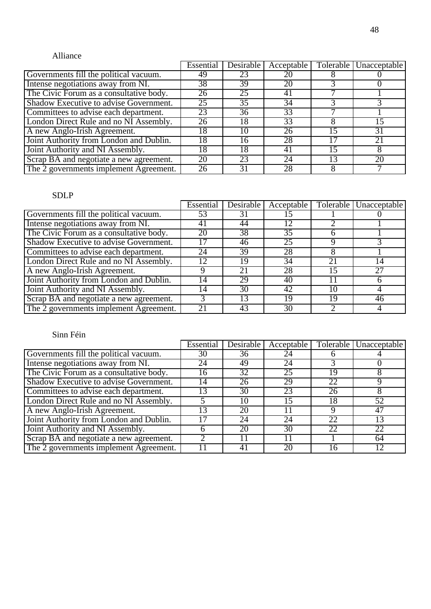#### Alliance

|                                         | <b>Essential</b> | Desirable | Acceptable |    | Tolerable Unacceptable |
|-----------------------------------------|------------------|-----------|------------|----|------------------------|
| Governments fill the political vacuum.  | 49               | 23        |            |    |                        |
| Intense negotiations away from NI.      | $3\overline{8}$  | 39        | 20         |    |                        |
| The Civic Forum as a consultative body. | 26               | 25        | 41         |    |                        |
| Shadow Executive to advise Government.  | 25               | 35        | 34         |    |                        |
| Committees to advise each department.   | 23               | 36        | 33         |    |                        |
| London Direct Rule and no NI Assembly.  | 26               | 18        | 33         |    | 15                     |
| A new Anglo-Irish Agreement.            | 8                |           | 26         |    | 31                     |
| Joint Authority from London and Dublin. | 18               | 16        | 28         | 17 | 21                     |
| Joint Authority and NI Assembly.        | 8                | 18        | 41         | 15 |                        |
| Scrap BA and negotiate a new agreement. | 20               | 23        | 24         | 13 | 20                     |
| The 2 governments implement Agreement.  | 26               |           | 28         |    |                        |

#### SDLP

|                                         | Essential | Desirable | Acceptable |    | Tolerable   Unacceptable |
|-----------------------------------------|-----------|-----------|------------|----|--------------------------|
| Governments fill the political vacuum.  | 53        | 31        |            |    |                          |
| Intense negotiations away from NI.      | 41        | 44        | 12         |    |                          |
| The Civic Forum as a consultative body. | 20        | 38        | 35         |    |                          |
| Shadow Executive to advise Government.  |           | 46        | 25         |    |                          |
| Committees to advise each department.   | 24        | 39        | 28         |    |                          |
| London Direct Rule and no NI Assembly.  | 12        | 19        | 34         | 21 | 14                       |
| A new Anglo-Irish Agreement.            |           |           | 28         | 15 | 27                       |
| Joint Authority from London and Dublin. | 4         | 29        | 40         |    |                          |
| Joint Authority and NI Assembly.        | 14        | 30        | 42         | 10 |                          |
| Scrap BA and negotiate a new agreement. |           |           | 19         | 19 | 46                       |
| The 2 governments implement Agreement.  | 21        | 43        | 30         |    |                          |

|                                         | Essential | Desirable | Acceptable |    | Tolerable Unacceptable |
|-----------------------------------------|-----------|-----------|------------|----|------------------------|
| Governments fill the political vacuum.  | 30        | 36        | 24         |    |                        |
| Intense negotiations away from NI.      | 24        | 49        | 24         |    |                        |
| The Civic Forum as a consultative body. | 16        | 32        | 25         | 19 |                        |
| Shadow Executive to advise Government.  | 14        | 26        | 29         | 22 |                        |
| Committees to advise each department.   |           | 30        | 23         | 26 |                        |
| London Direct Rule and no NI Assembly.  |           | I ()      | 15         | 18 | 52                     |
| A new Anglo-Irish Agreement.            | 13        | 20        |            | Q  | 47                     |
| Joint Authority from London and Dublin. |           | 24        | 24         | 22 | 13                     |
| Joint Authority and NI Assembly.        |           | 20        | 30         | 22 | 22                     |
| Scrap BA and negotiate a new agreement. |           |           |            |    | 64                     |
| The 2 governments implement Agreement.  |           | 4         | 20         | 16 | 12                     |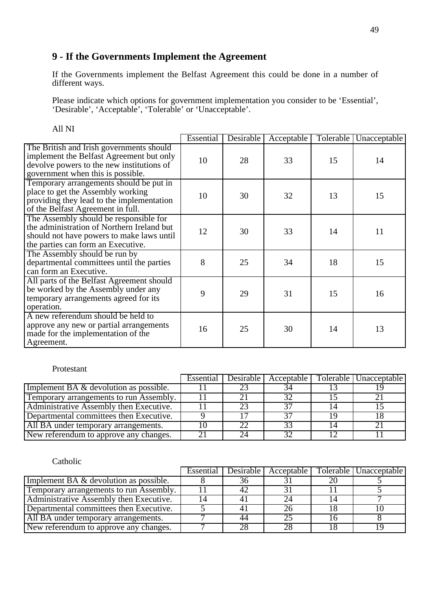### **9 - If the Governments Implement the Agreement**

If the Governments implement the Belfast Agreement this could be done in a number of different ways.

Please indicate which options for government implementation you consider to be 'Essential', 'Desirable', 'Acceptable', 'Tolerable' or 'Unacceptable'.

|                                                                                                                                                                         | Essential | Desirable | Acceptable | Tolerable | Unacceptable |
|-------------------------------------------------------------------------------------------------------------------------------------------------------------------------|-----------|-----------|------------|-----------|--------------|
| The British and Irish governments should<br>implement the Belfast Agreement but only<br>devolve powers to the new institutions of<br>government when this is possible.  | 10        | 28        | 33         | 15        | 14           |
| Temporary arrangements should be put in<br>place to get the Assembly working<br>providing they lead to the implementation<br>of the Belfast Agreement in full.          | 10        | 30        | 32         | 13        | 15           |
| The Assembly should be responsible for<br>the administration of Northern Ireland but<br>should not have powers to make laws until<br>the parties can form an Executive. | 12        | 30        | 33         | 14        | 11           |
| The Assembly should be run by<br>departmental committees until the parties<br>can form an Executive.                                                                    | 8         | 25        | 34         | 18        | 15           |
| All parts of the Belfast Agreement should<br>be worked by the Assembly under any<br>temporary arrangements agreed for its<br>operation.                                 | 9         | 29        | 31         | 15        | 16           |
| A new referendum should be held to<br>approve any new or partial arrangements<br>made for the implementation of the<br>Agreement.                                       | 16        | 25        | 30         | 14        | 13           |

All NI

#### Protestant

|                                          | Essential | Desirable l |    | Acceptable   Tolerable   Unacceptable |
|------------------------------------------|-----------|-------------|----|---------------------------------------|
| Implement BA $&$ devolution as possible. |           |             |    |                                       |
| Temporary arrangements to run Assembly.  |           |             |    |                                       |
| Administrative Assembly then Executive.  |           |             | 27 |                                       |
| Departmental committees then Executive.  |           |             |    |                                       |
| All BA under temporary arrangements.     |           |             | 23 |                                       |
| New referendum to approve any changes.   |           |             | 32 |                                       |

|                                         | Essential | <b>Desirable</b> | Acceptable | Tolerable   Unacceptable |
|-----------------------------------------|-----------|------------------|------------|--------------------------|
| Implement BA & devolution as possible.  |           |                  |            |                          |
| Temporary arrangements to run Assembly. |           |                  |            |                          |
| Administrative Assembly then Executive. |           |                  |            |                          |
| Departmental committees then Executive. |           |                  | 26         |                          |
| All BA under temporary arrangements.    |           |                  | 25         |                          |
| New referendum to approve any changes.  |           |                  | 28         |                          |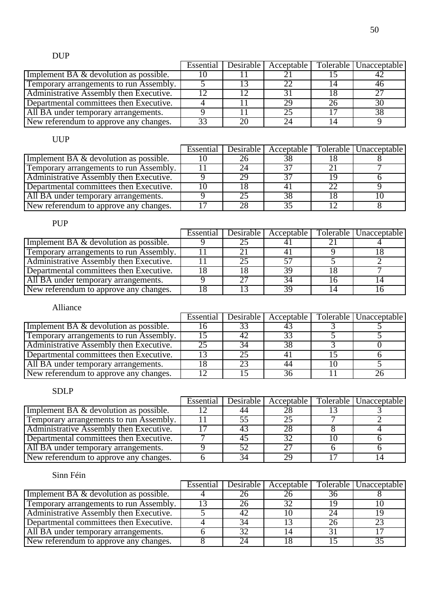# DUP

|                                         |     | Essential   Desirable | Acceptable |    | Tolerable   Unacceptable |
|-----------------------------------------|-----|-----------------------|------------|----|--------------------------|
| Implement BA & devolution as possible.  | 1 V |                       |            |    |                          |
| Temporary arrangements to run Assembly. |     |                       | つつ         | 14 | 46                       |
| Administrative Assembly then Executive. |     |                       |            |    | つワ                       |
| Departmental committees then Executive. |     |                       | 29         | 26 |                          |
| All BA under temporary arrangements.    |     |                       | 25         |    | 38                       |
| New referendum to approve any changes.  | 33  | 20                    |            | 14 |                          |

### UUP

|                                          |    | Essential   Desirable | Acceptable |     | Tolerable   Unacceptable |
|------------------------------------------|----|-----------------------|------------|-----|--------------------------|
| Implement BA $&$ devolution as possible. | ГU |                       | 38         |     |                          |
| Temporary arrangements to run Assembly.  |    |                       |            |     |                          |
| Administrative Assembly then Executive.  |    | 29                    | 27         | 1 Q |                          |
| Departmental committees then Executive.  | 10 |                       |            | 22  |                          |
| All BA under temporary arrangements.     |    |                       | 38         |     |                          |
| New referendum to approve any changes.   |    | 28                    |            |     |                          |

### PUP

|                                          | Essential | Desirable | Acceptable | Tolerable   Unacceptable |
|------------------------------------------|-----------|-----------|------------|--------------------------|
| Implement BA $&$ devolution as possible. |           |           |            |                          |
| Temporary arrangements to run Assembly.  |           |           |            |                          |
| Administrative Assembly then Executive.  |           |           |            |                          |
| Departmental committees then Executive.  |           |           | 39         |                          |
| All BA under temporary arrangements.     |           |           | 34         |                          |
| New referendum to approve any changes.   |           |           | 30         |                          |

#### Alliance

|                                                     | Essential | Desirable |    | Acceptable   Tolerable   Unacceptable |
|-----------------------------------------------------|-----------|-----------|----|---------------------------------------|
| Implement $\overline{BA}$ & devolution as possible. |           |           |    |                                       |
| Temporary arrangements to run Assembly.             |           |           |    |                                       |
| Administrative Assembly then Executive.             |           |           | 38 |                                       |
| Departmental committees then Executive.             |           |           |    |                                       |
| All BA under temporary arrangements.                |           |           | 44 |                                       |
| New referendum to approve any changes.              |           |           | 36 |                                       |

#### SDLP

|                                          | Essential | Desirable I | Acceptable   | Tolerable   Unacceptable |
|------------------------------------------|-----------|-------------|--------------|--------------------------|
| Implement BA $&$ devolution as possible. |           |             | 28           |                          |
| Temporary arrangements to run Assembly.  |           |             |              |                          |
| Administrative Assembly then Executive.  |           |             | 28           |                          |
| Departmental committees then Executive.  |           |             | $32^{\circ}$ |                          |
| All BA under temporary arrangements.     |           |             | つワ           |                          |
| New referendum to approve any changes.   |           |             | 29           |                          |

|                                          | Essential Desirable |    | Acceptable   Tolerable   Unacceptable |
|------------------------------------------|---------------------|----|---------------------------------------|
| Implement BA $&$ devolution as possible. |                     | 36 |                                       |
| Temporary arrangements to run Assembly.  |                     |    |                                       |
| Administrative Assembly then Executive.  |                     |    |                                       |
| Departmental committees then Executive.  |                     | 26 |                                       |
| All BA under temporary arrangements.     | $2^{\prime}$        |    |                                       |
| New referendum to approve any changes.   |                     |    |                                       |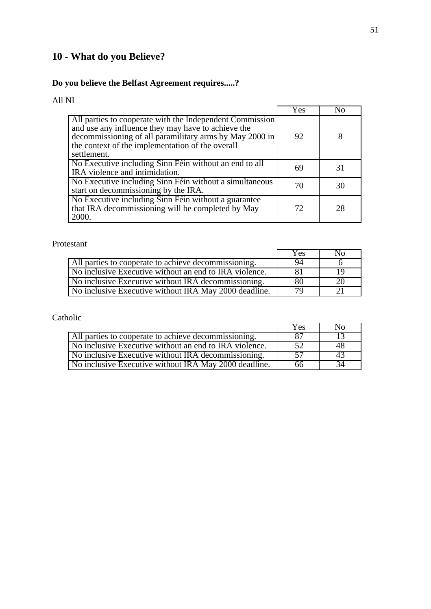# **10 - What do you Believe?**

### **Do you believe the Belfast Agreement requires.....?**

### All NI

|                                                                                                                                                                                                                                              | Yes |    |
|----------------------------------------------------------------------------------------------------------------------------------------------------------------------------------------------------------------------------------------------|-----|----|
| All parties to cooperate with the Independent Commission<br>and use any influence they may have to achieve the<br>decommissioning of all paramilitary arms by May 2000 in<br>the context of the implementation of the overall<br>settlement. | 92  |    |
| No Executive including Sinn Féin without an end to all<br>IRA violence and intimidation.                                                                                                                                                     | 69  | 31 |
| No Executive including Sinn Féin without a simultaneous<br>start on decommissioning by the IRA.                                                                                                                                              | 70  | 30 |
| No Executive including Sinn Féin without a guarantee<br>that IRA decommissioning will be completed by May<br>2000.                                                                                                                           | 72  | 28 |

#### Protestant

|                                                        | Yes | Nο |
|--------------------------------------------------------|-----|----|
|                                                        | 94  |    |
| All parties to cooperate to achieve decommissioning.   |     |    |
| No inclusive Executive without an end to IRA violence. |     | 19 |
| No inclusive Executive without IRA decommissioning.    | -80 | 20 |
| No inclusive Executive without IRA May 2000 deadline.  | 70  |    |

|                                                        | Yes | No. |
|--------------------------------------------------------|-----|-----|
| All parties to cooperate to achieve decommissioning.   | 87  |     |
| No inclusive Executive without an end to IRA violence. | 52  | 48  |
| No inclusive Executive without IRA decommissioning.    | 57  | 43  |
| No inclusive Executive without IRA May 2000 deadline.  | 66  | 34  |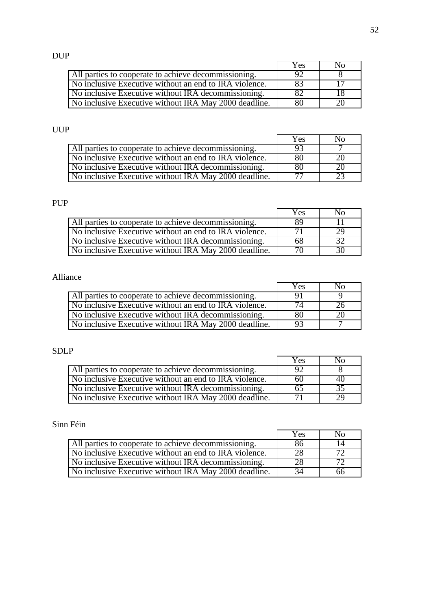### DUP

|                                                        | Yes | Nο |
|--------------------------------------------------------|-----|----|
| All parties to cooperate to achieve decommissioning.   | 92  |    |
| No inclusive Executive without an end to IRA violence. | 83  |    |
| No inclusive Executive without IRA decommissioning.    | 82  |    |
| No inclusive Executive without IRA May 2000 deadline.  | 80  |    |

#### UUP

|                                                        | Yes | NΩ |
|--------------------------------------------------------|-----|----|
| All parties to cooperate to achieve decommissioning.   | 93  |    |
| No inclusive Executive without an end to IRA violence. | 80  | 2O |
| No inclusive Executive without IRA decommissioning.    | 80  | 20 |
| No inclusive Executive without IRA May 2000 deadline.  |     |    |

### PUP

|                                                        | Yes | Nο |
|--------------------------------------------------------|-----|----|
| All parties to cooperate to achieve decommissioning.   | 89  |    |
| No inclusive Executive without an end to IRA violence. |     | 29 |
| No inclusive Executive without IRA decommissioning.    | 68  |    |
| No inclusive Executive without IRA May 2000 deadline.  |     | 30 |

### Alliance

|                                                        | Yes            | No |
|--------------------------------------------------------|----------------|----|
| All parties to cooperate to achieve decommissioning.   | -Q)            |    |
| No inclusive Executive without an end to IRA violence. |                | 26 |
| No inclusive Executive without IRA decommissioning.    | 80             | 20 |
| No inclusive Executive without IRA May 2000 deadline.  | Q <sub>3</sub> |    |

### SDLP

|                                                        | Yes | Nο |
|--------------------------------------------------------|-----|----|
| All parties to cooperate to achieve decommissioning.   | 92  |    |
| No inclusive Executive without an end to IRA violence. | 60  | 40 |
| No inclusive Executive without IRA decommissioning.    | 65  | 35 |
| No inclusive Executive without IRA May 2000 deadline.  |     |    |

#### Sinn Féin

|                                                        | Yes | No. |
|--------------------------------------------------------|-----|-----|
| All parties to cooperate to achieve decommissioning.   | 86  | 14  |
| No inclusive Executive without an end to IRA violence. | 28  |     |
| No inclusive Executive without IRA decommissioning.    | 28  |     |
| No inclusive Executive without IRA May 2000 deadline.  | 34  | 66  |

l,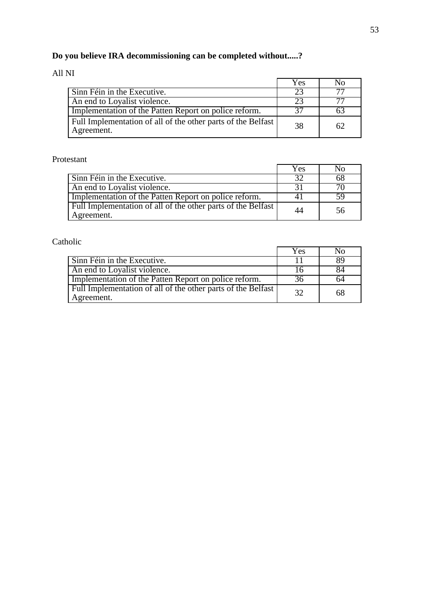# **Do you believe IRA decommissioning can be completed without.....?**

### All NI

|                                                                            | Yes | N0 |
|----------------------------------------------------------------------------|-----|----|
| Sinn Féin in the Executive.                                                | 23  |    |
| An end to Loyalist violence.                                               | 23  |    |
| Implementation of the Patten Report on police reform.                      | 37  |    |
| Full Implementation of all of the other parts of the Belfast<br>Agreement. | 38  | 62 |

#### Protestant

|                                                                            | Yes | N <sub>0</sub> |
|----------------------------------------------------------------------------|-----|----------------|
| Sinn Féin in the Executive.                                                | 32  | 68             |
| An end to Loyalist violence.                                               |     |                |
| Implementation of the Patten Report on police reform.                      | 4 I | 59             |
| Full Implementation of all of the other parts of the Belfast<br>Agreement. | 44  | 56             |

|                                                                            | Yes | N0. |
|----------------------------------------------------------------------------|-----|-----|
| Sinn Féin in the Executive.                                                |     | 89  |
| An end to Loyalist violence.                                               |     | 84  |
| Implementation of the Patten Report on police reform.                      | 36  | 64  |
| Full Implementation of all of the other parts of the Belfast<br>Agreement. | 32  | 68  |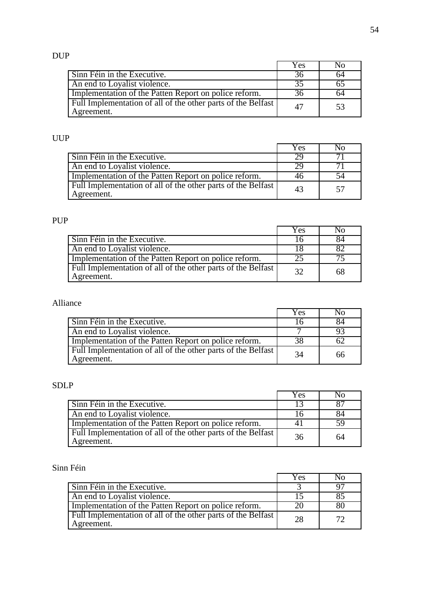# DUP

|                                                                            | Yes | NΩ |
|----------------------------------------------------------------------------|-----|----|
| Sinn Féin in the Executive.                                                | -36 | 64 |
| An end to Loyalist violence.                                               | 35  |    |
| Implementation of the Patten Report on police reform.                      | 36  | 64 |
| Full Implementation of all of the other parts of the Belfast<br>Agreement. | 47  | 53 |

### UUP

|                                                                            | Yes | N0 |
|----------------------------------------------------------------------------|-----|----|
| Sinn Féin in the Executive.                                                | 29  |    |
| An end to Loyalist violence.                                               | 29  |    |
| Implementation of the Patten Report on police reform.                      | 46  | 54 |
| Full Implementation of all of the other parts of the Belfast<br>Agreement. | 43  | 57 |

### PUP

|                                                                            | Yes | Nο |
|----------------------------------------------------------------------------|-----|----|
| Sinn Féin in the Executive.                                                | 16  | 84 |
| An end to Loyalist violence.                                               |     |    |
| Implementation of the Patten Report on police reform.                      |     |    |
| Full Implementation of all of the other parts of the Belfast<br>Agreement. | 32  | 68 |

### Alliance

|                                                                            | Yes | N <sub>0</sub> |
|----------------------------------------------------------------------------|-----|----------------|
| Sinn Féin in the Executive.                                                |     |                |
| An end to Loyalist violence.                                               |     |                |
| Implementation of the Patten Report on police reform.                      | 38  |                |
| Full Implementation of all of the other parts of the Belfast<br>Agreement. | -34 | 66             |

### SDLP

|                                                                            | Yes | N <sub>0</sub> |
|----------------------------------------------------------------------------|-----|----------------|
| Sinn Féin in the Executive.                                                |     |                |
| An end to Loyalist violence.                                               |     | 84             |
| Implementation of the Patten Report on police reform.                      |     |                |
| Full Implementation of all of the other parts of the Belfast<br>Agreement. | -36 | 64             |

|                                                                            | Yes | Nο |
|----------------------------------------------------------------------------|-----|----|
| Sinn Féin in the Executive.                                                |     |    |
| An end to Loyalist violence.                                               |     |    |
| Implementation of the Patten Report on police reform.                      |     | 80 |
| Full Implementation of all of the other parts of the Belfast<br>Agreement. | 28  | 72 |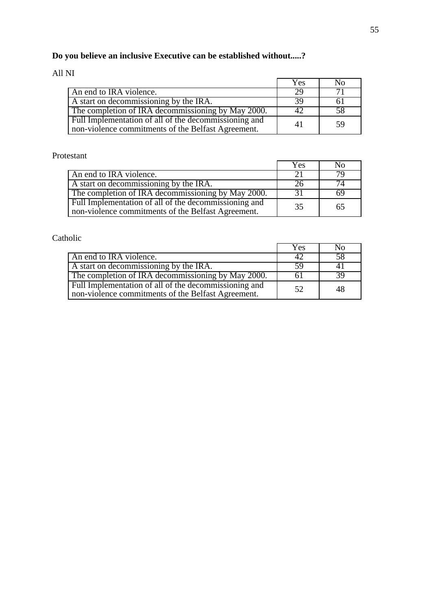# **Do you believe an inclusive Executive can be established without.....?**

### All NI

|                                                                                                             | Yes | N <sub>0</sub> |
|-------------------------------------------------------------------------------------------------------------|-----|----------------|
| An end to IRA violence.                                                                                     | 29  |                |
| A start on decommissioning by the IRA.                                                                      | 39  |                |
| The completion of IRA decommissioning by May 2000.                                                          | 42  | 58             |
| Full Implementation of all of the decommissioning and<br>non-violence commitments of the Belfast Agreement. | 41  | .59            |

#### Protestant

|                                                                                                                          | Yes           | No |
|--------------------------------------------------------------------------------------------------------------------------|---------------|----|
| An end to IRA violence.                                                                                                  | $\mathcal{D}$ |    |
| A start on decommissioning by the IRA.                                                                                   |               | 74 |
| The completion of IRA decommissioning by May 2000.                                                                       | 31            | 69 |
| Full Implementation of all $\overline{of}$ the decommissioning and<br>non-violence commitments of the Belfast Agreement. | 35            | 65 |

|                                                                                                             | Yes         | No. |
|-------------------------------------------------------------------------------------------------------------|-------------|-----|
| An end to IRA violence.                                                                                     | $4'_{\ell}$ | 58  |
| A start on decommissioning by the IRA.                                                                      | 59          |     |
| The completion of IRA decommissioning by May 2000.                                                          | 61          | 39  |
| Full Implementation of all of the decommissioning and<br>non-violence commitments of the Belfast Agreement. | 52          | 48  |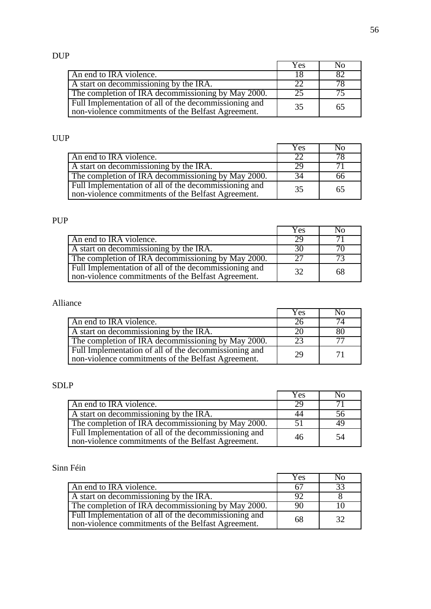# DUP

|                                                                                                             | Yes | No  |
|-------------------------------------------------------------------------------------------------------------|-----|-----|
| An end to IRA violence.                                                                                     |     | 82  |
| A start on decommissioning by the IRA.                                                                      | 22  | 78  |
| The completion of IRA decommissioning by May 2000.                                                          | 25  | 75. |
| Full Implementation of all of the decommissioning and<br>non-violence commitments of the Belfast Agreement. | 35  | 65  |

### UUP

|                                                                                                             | Yes | No |
|-------------------------------------------------------------------------------------------------------------|-----|----|
| An end to IRA violence.                                                                                     | 22  | 78 |
| A start on decommissioning by the IRA.                                                                      | 29  |    |
| The completion of IRA decommissioning by May 2000.                                                          | 34  | 66 |
| Full Implementation of all of the decommissioning and<br>non-violence commitments of the Belfast Agreement. | 35  | 65 |

### PUP

|                                                                                                             | Yes | N <sub>0</sub> |
|-------------------------------------------------------------------------------------------------------------|-----|----------------|
| An end to IRA violence.                                                                                     | 29  |                |
| A start on decommissioning by the IRA.                                                                      | 30  |                |
| The completion of IRA decommissioning by May 2000.                                                          | 27  |                |
| Full Implementation of all of the decommissioning and<br>non-violence commitments of the Belfast Agreement. | 32  | 68             |

### Alliance

|                                                                                                             | Yes | N <sub>0</sub> |
|-------------------------------------------------------------------------------------------------------------|-----|----------------|
| An end to IRA violence.                                                                                     |     | 74             |
| A start on decommissioning by the IRA.                                                                      |     | 80             |
| The completion of IRA decommissioning by May 2000.                                                          | 23  |                |
| Full Implementation of all of the decommissioning and<br>non-violence commitments of the Belfast Agreement. | 29  | 71             |

### SDLP

|                                                                                                             | Yes | No  |
|-------------------------------------------------------------------------------------------------------------|-----|-----|
| An end to IRA violence.                                                                                     | 29  |     |
| A start on decommissioning by the IRA.                                                                      | 44  | 56  |
| The completion of IRA decommissioning by May 2000.                                                          | .51 |     |
| Full Implementation of all of the decommissioning and<br>non-violence commitments of the Belfast Agreement. | 46  | -54 |

|                                                                                                             | Yes | Nο |
|-------------------------------------------------------------------------------------------------------------|-----|----|
| An end to IRA violence.                                                                                     | .67 | 33 |
| A start on decommissioning by the IRA.                                                                      |     |    |
| The completion of IRA decommissioning by May 2000.                                                          | 90  |    |
| Full Implementation of all of the decommissioning and<br>non-violence commitments of the Belfast Agreement. | -68 | 32 |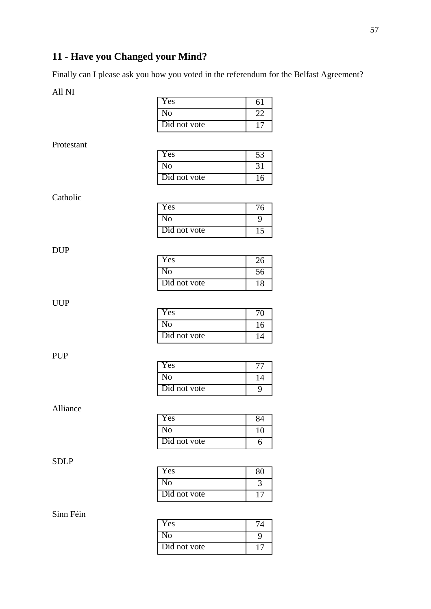# **11 - Have you Changed your Mind?**

Finally can I please ask you how you voted in the referendum for the Belfast Agreement?

All NI

| Yes          |  |
|--------------|--|
| No           |  |
| Did not vote |  |

Protestant

| Yes          |     |
|--------------|-----|
| No           |     |
| Did not vote | 6 ا |

Catholic

| Yes          | 6 |
|--------------|---|
| រក           |   |
| Did not vote |   |

DUP

| Yes          | 26 |
|--------------|----|
| No           | 56 |
| Did not vote |    |

#### UUP

| Yes          |    |
|--------------|----|
| J٥           | 16 |
| Did not vote |    |

#### PUP

| Yes          |   |
|--------------|---|
| N٥           | 4 |
| Did not vote |   |

#### Alliance

| Yes          |  |
|--------------|--|
| √ი           |  |
| Did not vote |  |

#### SDLP

| Yes          |  |
|--------------|--|
| √ი           |  |
| Did not vote |  |

| Yes          |  |
|--------------|--|
| IΟ           |  |
| Did not vote |  |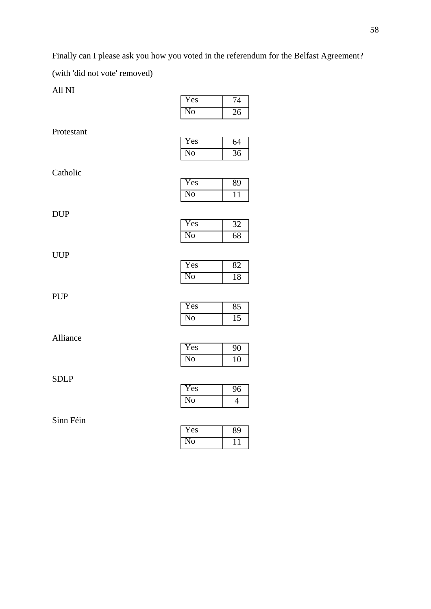Finally can I please ask you how you voted in the referendum for the Belfast Agreement? (with 'did not vote' removed)

All NI

| Yes | 74 |
|-----|----|
| No  | 26 |

Protestant

| 'es | 64 |
|-----|----|
| 0   | 6  |

Catholic

| Yes      |  |
|----------|--|
| $\Omega$ |  |

Yes 32 No 68

DUP

| I<br>ŗ,<br>٠ |  |
|--------------|--|

| Yes | 82 |
|-----|----|
| No  | 18 |

PUP

| Yes |  |
|-----|--|
| 'O  |  |

Alliance

| Yes | Q  |
|-----|----|
| NO  | 10 |

SDLP

| Yes    | б |
|--------|---|
| $^1$ O |   |

| 'es |  |
|-----|--|
| о   |  |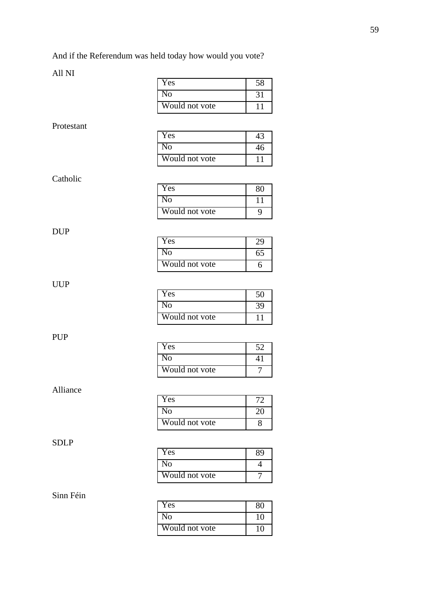And if the Referendum was held today how would you vote?

### All NI

|             | Yes            | 58              |
|-------------|----------------|-----------------|
|             | N <sub>0</sub> | $\overline{31}$ |
|             | Would not vote | 11              |
| Protestant  |                |                 |
|             | Yes            | 43              |
|             | N <sub>o</sub> | 46              |
|             | Would not vote | 11              |
|             |                |                 |
| Catholic    | Yes            | 80              |
|             | N <sub>o</sub> | 11              |
|             | Would not vote | 9               |
|             |                |                 |
| <b>DUP</b>  | Yes            | 29              |
|             | N <sub>o</sub> | 65              |
|             | Would not vote | 6               |
|             |                |                 |
| <b>UUP</b>  | Yes            | $\overline{50}$ |
|             | N <sub>0</sub> | 39              |
|             | Would not vote | 11              |
|             |                |                 |
| <b>PUP</b>  | Yes            | $\overline{52}$ |
|             | N <sub>o</sub> | 41              |
|             | Would not vote | $\overline{7}$  |
|             |                |                 |
| Alliance    | Yes            | 72              |
|             | N <sub>o</sub> | 20              |
|             | Would not vote | 8               |
|             |                |                 |
| <b>SDLP</b> | Yes            | 89              |
|             | N <sub>o</sub> | $\overline{4}$  |
|             | Would not vote | 7               |
|             |                |                 |
| Sinn Féin   |                |                 |
|             | Yes            | 80              |

No 10 Would not vote 10

### Protestant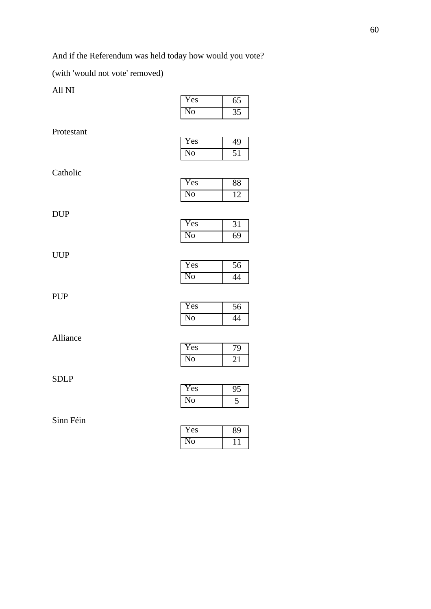And if the Referendum was held today how would you vote?

(with 'would not vote' removed)

All NI

| Yes | 65 |
|-----|----|
| Nο  |    |

Protestant

| 'es | Q  |
|-----|----|
| 0   | ₹. |

Catholic

| Yes    | ×× |
|--------|----|
| റ<br>ı |    |

Yes 31 No 69

DUP

| Yes | 56 |
|-----|----|
| No  | 44 |

PUP

| r es        | E |
|-------------|---|
| $ 0\rangle$ |   |

Alliance

| r es     |  |
|----------|--|
| $\Omega$ |  |

SDLP

| Yes |  |
|-----|--|
| O   |  |

| 'es |  |
|-----|--|
| 0   |  |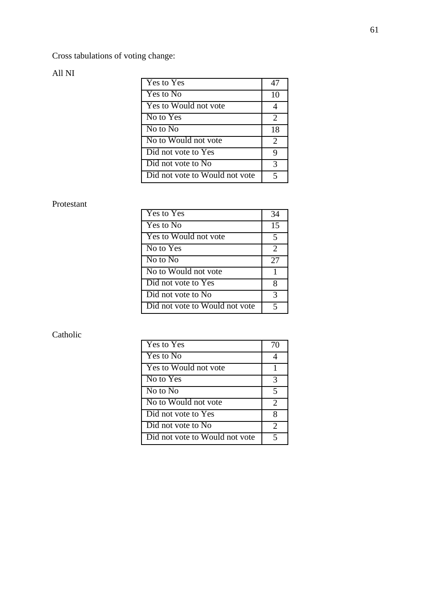Cross tabulations of voting change:

### All NI

| Yes to Yes                     |                             |
|--------------------------------|-----------------------------|
| Yes to No                      | 10                          |
| Yes to Would not vote          | 4                           |
| No to Yes                      | 2                           |
| No to $N0$                     | 18                          |
| No to Would not vote           | $\mathcal{D}_{\mathcal{L}}$ |
| Did not vote to Yes            | 9                           |
| Did not vote to No             | 3                           |
| Did not vote to Would not vote | 5                           |

#### Protestant

| <b>Yes to Yes</b>              | 34 |
|--------------------------------|----|
| Yes to No                      | 15 |
| Yes to Would not vote          | 5  |
| No to Yes                      | 2  |
| No to No                       | 27 |
| No to Would not vote           | 1  |
| Did not vote to Yes            | 8  |
| Did not vote to No             | 3  |
| Did not vote to Would not vote | 5  |

| Yes to Yes                     | 70                          |
|--------------------------------|-----------------------------|
| Yes to No                      |                             |
| Yes to Would not vote          |                             |
| No to Yes                      | 3                           |
| No to No                       | 5                           |
| No to Would not vote           | $\mathcal{D}_{\mathcal{L}}$ |
| Did not vote to Yes            | 8                           |
| Did not vote to No             | 2                           |
| Did not vote to Would not vote |                             |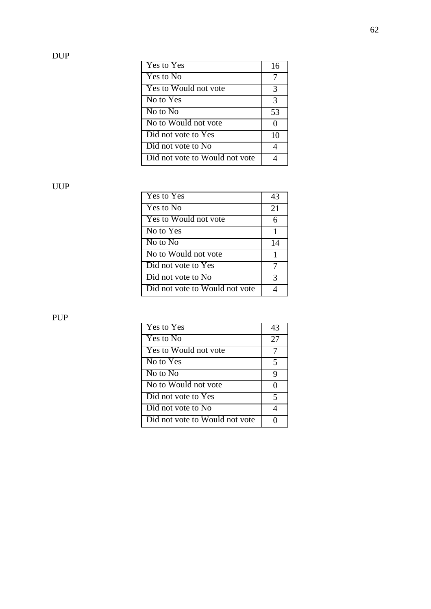DUP

| Yes to Yes                     | 16 |
|--------------------------------|----|
| Yes to No                      |    |
| Yes to Would not vote          | 3  |
| No to $Y_{\text{es}}$          | 3  |
| $No$ to $No$                   | 53 |
| No to Would not vote           | 0  |
| Did not vote to Yes            | 10 |
| Did not vote to No             |    |
| Did not vote to Would not vote |    |

UUP

| Yes to Yes                     | 43 |
|--------------------------------|----|
| Yes to No                      | 21 |
| Yes to Would not vote          | 6  |
| No to Yes                      | 1  |
| No to No                       | 14 |
| No to Would not vote           | 1  |
| Did not vote to Yes            |    |
| Did not vote to No             | 3  |
| Did not vote to Would not vote |    |

PUP

| Yes to Yes                     | 43 |
|--------------------------------|----|
| Yes to No                      | 27 |
| Yes to Would not vote          |    |
| No to Yes                      | 5  |
| No to No                       | 9  |
| No to Would not vote           | 0  |
| Did not vote to Yes            | 5  |
| Did not vote to No             |    |
| Did not vote to Would not vote |    |